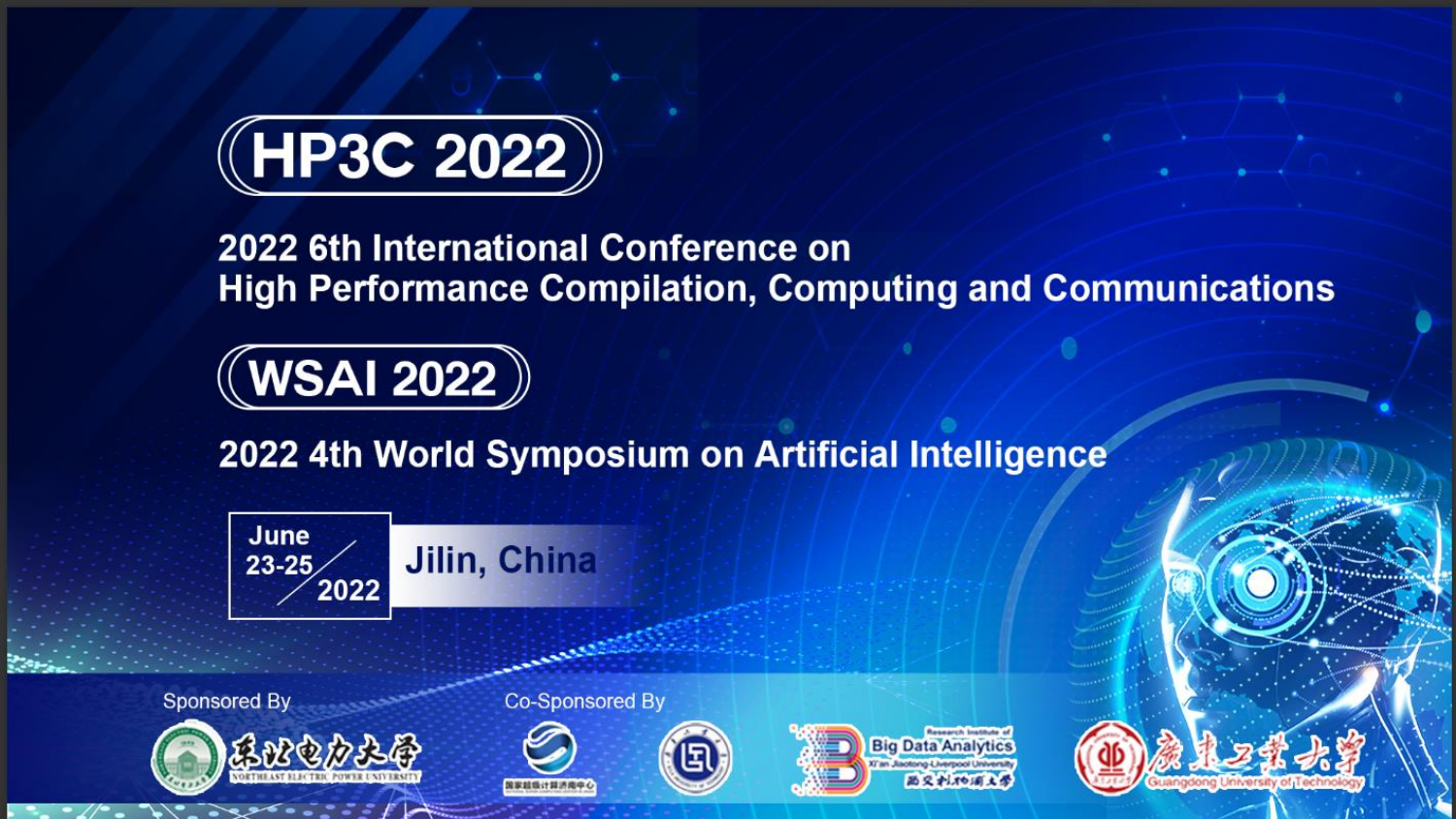

### 2022 6th International Conference on **High Performance Compilation, Computing and Communications**

# $(\!\!(\mathbf{WSA1}\,2022)\!\!)$

2022 4th World Symposium on Artificial Intelligence



**Sponsored By** 



**Co-Sponsored By** 





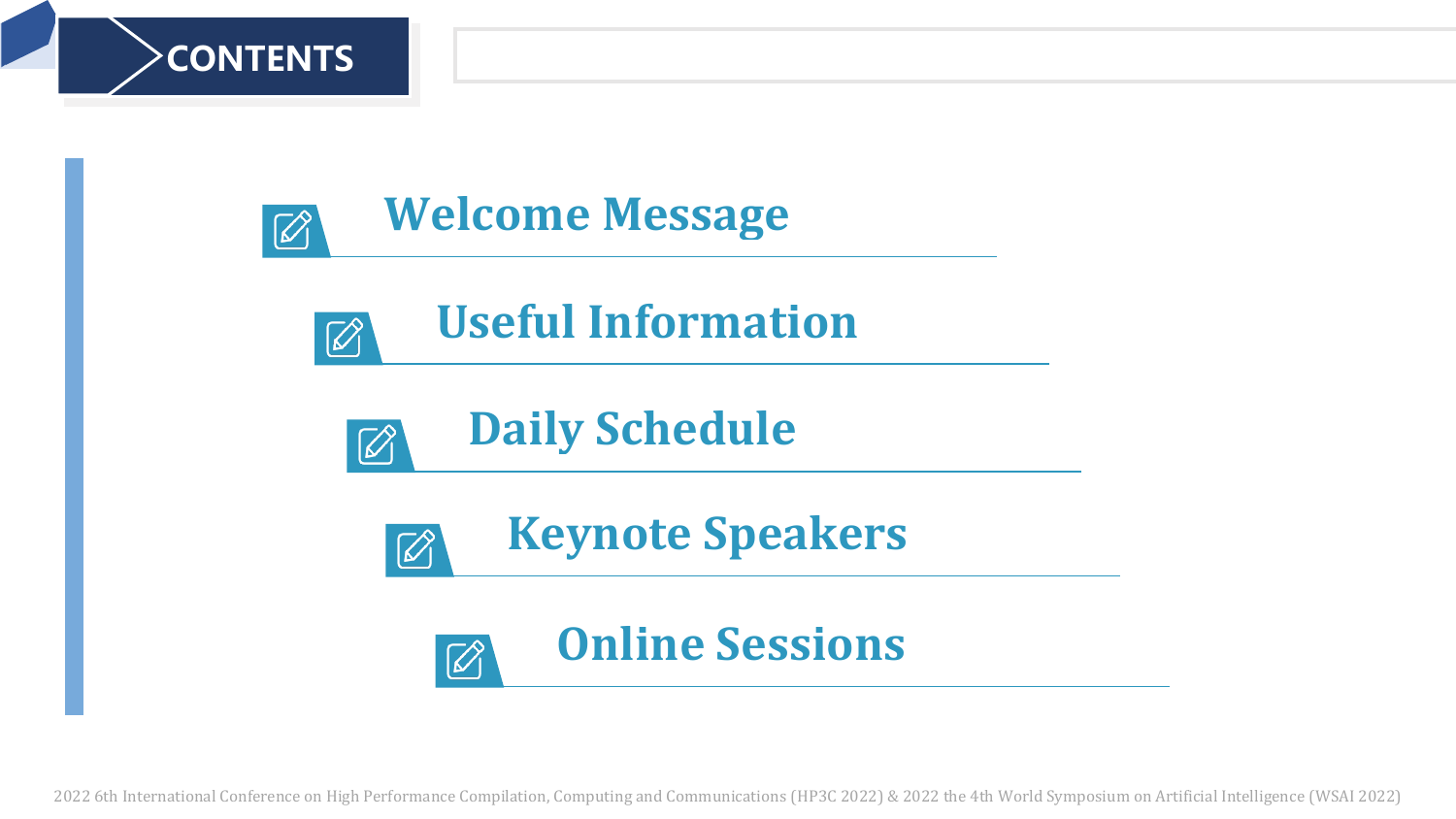









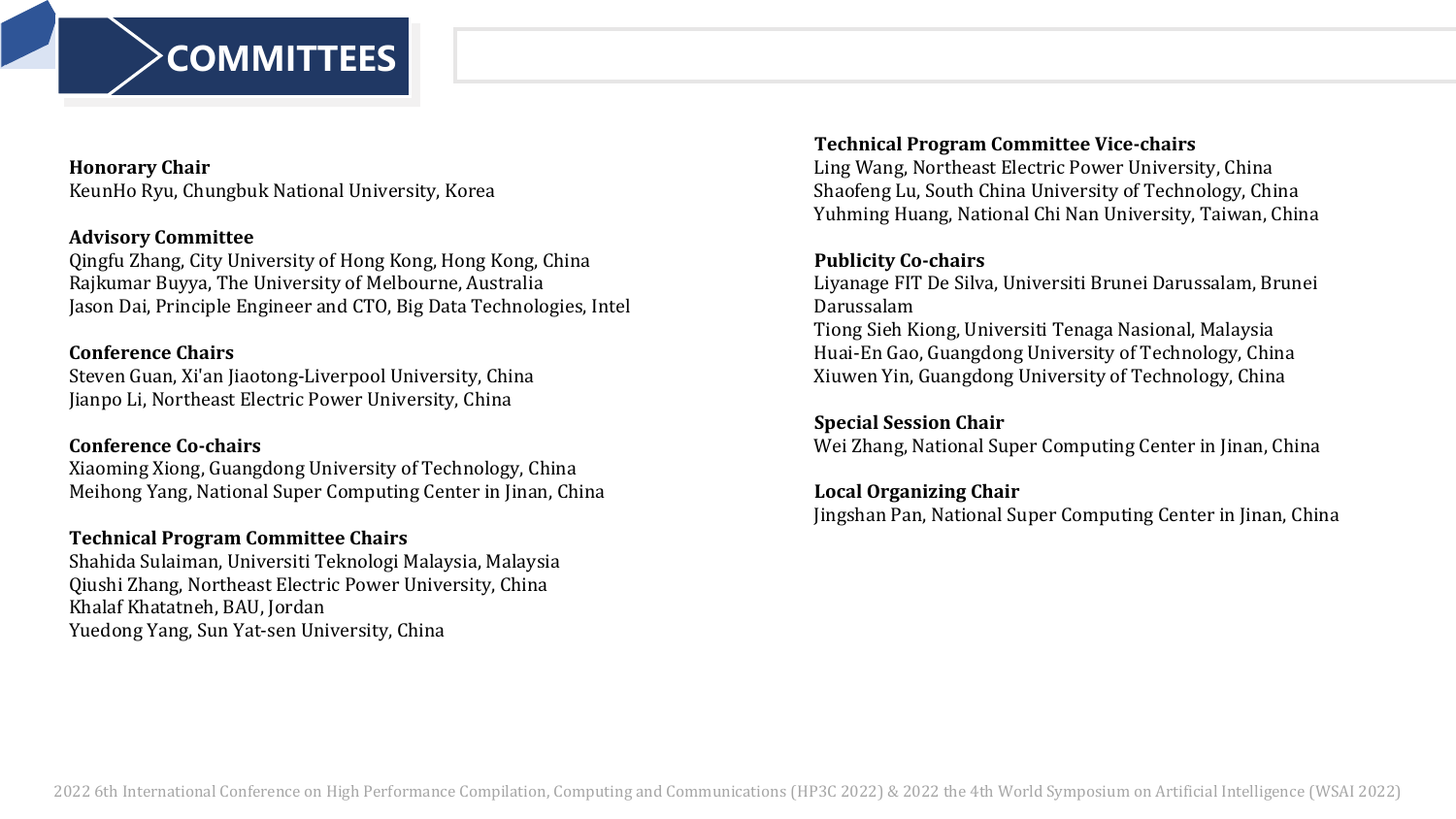

### **Honorary Chair**

KeunHo Ryu, Chungbuk National University, Korea

### **Advisory Committee**

Qingfu Zhang, City University of Hong Kong, Hong Kong, China Rajkumar Buyya, The University of Melbourne, Australia Jason Dai, Principle Engineer and CTO, Big Data Technologies, Intel

### **Conference Chairs**

Steven Guan, Xi'an Jiaotong-Liverpool University, China Jianpo Li, Northeast Electric Power University, China

### **Conference Co-chairs**

Xiaoming Xiong, Guangdong University of Technology, China Meihong Yang, National Super Computing Center in Jinan, China

### **Technical Program Committee Chairs**

Shahida Sulaiman, Universiti Teknologi Malaysia, Malaysia Qiushi Zhang, Northeast Electric Power University, China Khalaf Khatatneh, BAU, Jordan Yuedong Yang, Sun Yat-sen University, China

### **Technical Program Committee Vice-chairs**

Ling Wang, Northeast Electric Power University, China Shaofeng Lu, South China University of Technology, China Yuhming Huang, National Chi Nan University, Taiwan, China

### **Publicity Co-chairs**

Liyanage FIT De Silva, Universiti Brunei Darussalam, Brunei Darussalam Tiong Sieh Kiong, Universiti Tenaga Nasional, Malaysia Huai-En Gao, Guangdong University of Technology, China Xiuwen Yin, Guangdong University of Technology, China

### **Special Session Chair**

Wei Zhang, National Super Computing Center in Jinan, China

### **Local Organizing Chair**

Jingshan Pan, National Super Computing Center in Jinan, China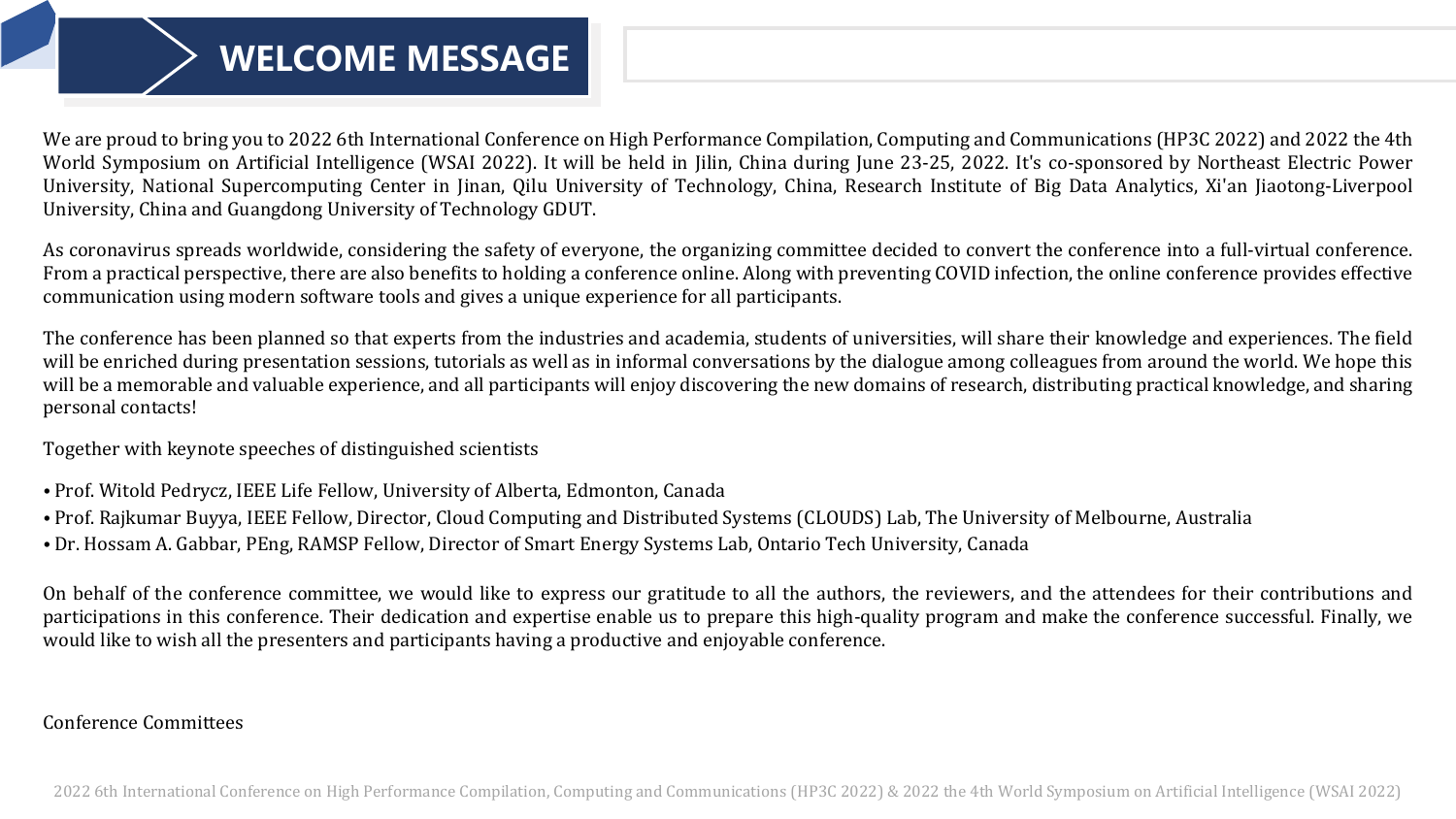## **WELCOME MESSAGE**

We are proud to bring you to 2022 6th International Conference on High Performance Compilation, Computing and Communications (HP3C 2022) and 2022 the 4th World Symposium on Artificial Intelligence (WSAI 2022). It will be held in Jilin, China during June 23-25, 2022. It's co-sponsored by Northeast Electric Power University, National Supercomputing Center in Jinan, Qilu University of Technology, China, Research Institute of Big Data Analytics, Xi'an Jiaotong-Liverpool University, China and Guangdong University of Technology GDUT.

As coronavirus spreads worldwide, considering the safety of everyone, the organizing committee decided to convert the conference into a full-virtual conference. From a practical perspective, there are also benefits to holding a conference online. Along with preventing COVID infection, the online conference provides effective communication using modern software tools and gives a unique experience for all participants.

The conference has been planned so that experts from the industries and academia, students of universities, will share their knowledge and experiences. The field will be enriched during presentation sessions, tutorials as well as in informal conversations by the dialogue among colleagues from around the world. We hope this will be a memorable and valuable experience, and all participants will enjoy discovering the new domains of research, distributing practical knowledge, and sharing personal contacts!

Together with keynote speeches of distinguished scientists

- Prof. Witold Pedrycz, IEEE Life Fellow, University of Alberta, Edmonton, Canada
- Prof. Rajkumar Buyya, IEEE Fellow, Director, Cloud Computing and Distributed Systems (CLOUDS) Lab, The University of Melbourne, Australia
- Dr. Hossam A. Gabbar, PEng, RAMSP Fellow, Director of Smart Energy Systems Lab, Ontario Tech University, Canada

On behalf of the conference committee, we would like to express our gratitude to all the authors, the reviewers, and the attendees for their contributions and participations in this conference. Their dedication and expertise enable us to prepare this high-quality program and make the conference successful. Finally, we would like to wish all the presenters and participants having a productive and enjoyable conference.

### Conference Committees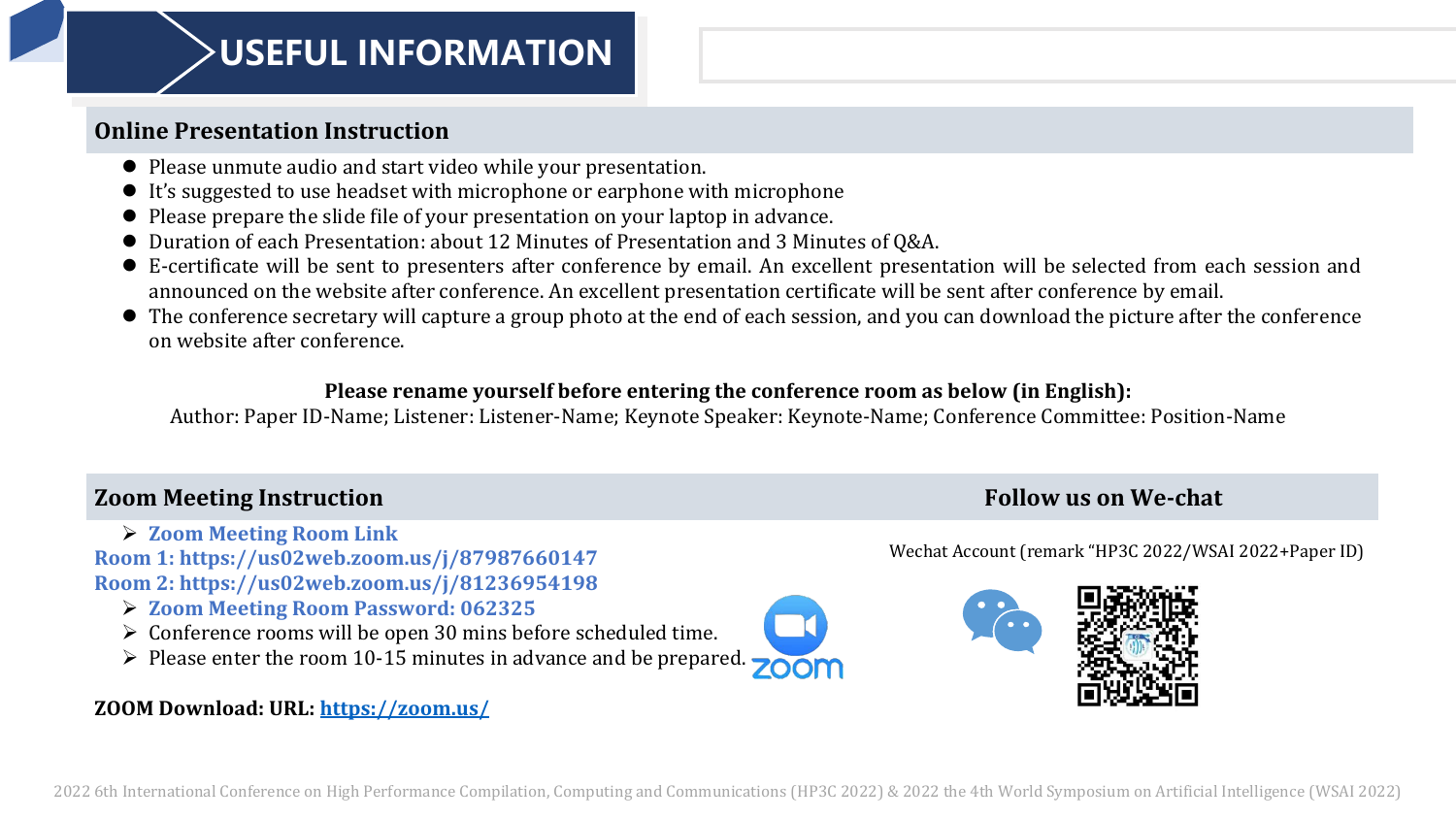### **USEFUL INFORMATION**

### **Online Presentation Instruction**

- ⚫ Please unmute audio and start video while your presentation.
- ⚫ It's suggested to use headset with microphone or earphone with microphone
- ⚫ Please prepare the slide file of your presentation on your laptop in advance.
- Duration of each Presentation: about 12 Minutes of Presentation and 3 Minutes of Q&A.
- ⚫ E-certificate will be sent to presenters after conference by email. An excellent presentation will be selected from each session and announced on the website after conference. An excellent presentation certificate will be sent after conference by email.
- ⚫ The conference secretary will capture a group photo at the end of each session, and you can download the picture after the conference on website after conference.

### **Please rename yourself before entering the conference room as below (in English):**

Author: Paper ID-Name; Listener: Listener-Name; Keynote Speaker: Keynote-Name; Conference Committee: Position-Name

### **Zoom Meeting Instruction Follow us on We-chat**

➢ **Zoom Meeting Room Link Room 1: https://us02web.zoom.us/j/87987660147 Room 2: https://us02web.zoom.us/j/81236954198**

- ➢ **Zoom Meeting Room Password: 062325**
- ➢ Conference rooms will be open 30 mins before scheduled time.
- $\triangleright$  Please enter the room 10-15 minutes in advance and be prepared. zoom

### **ZOOM Download: URL:<https://zoom.us/>**

Wechat Account (remark "HP3C 2022/WSAI 2022+Paper ID)

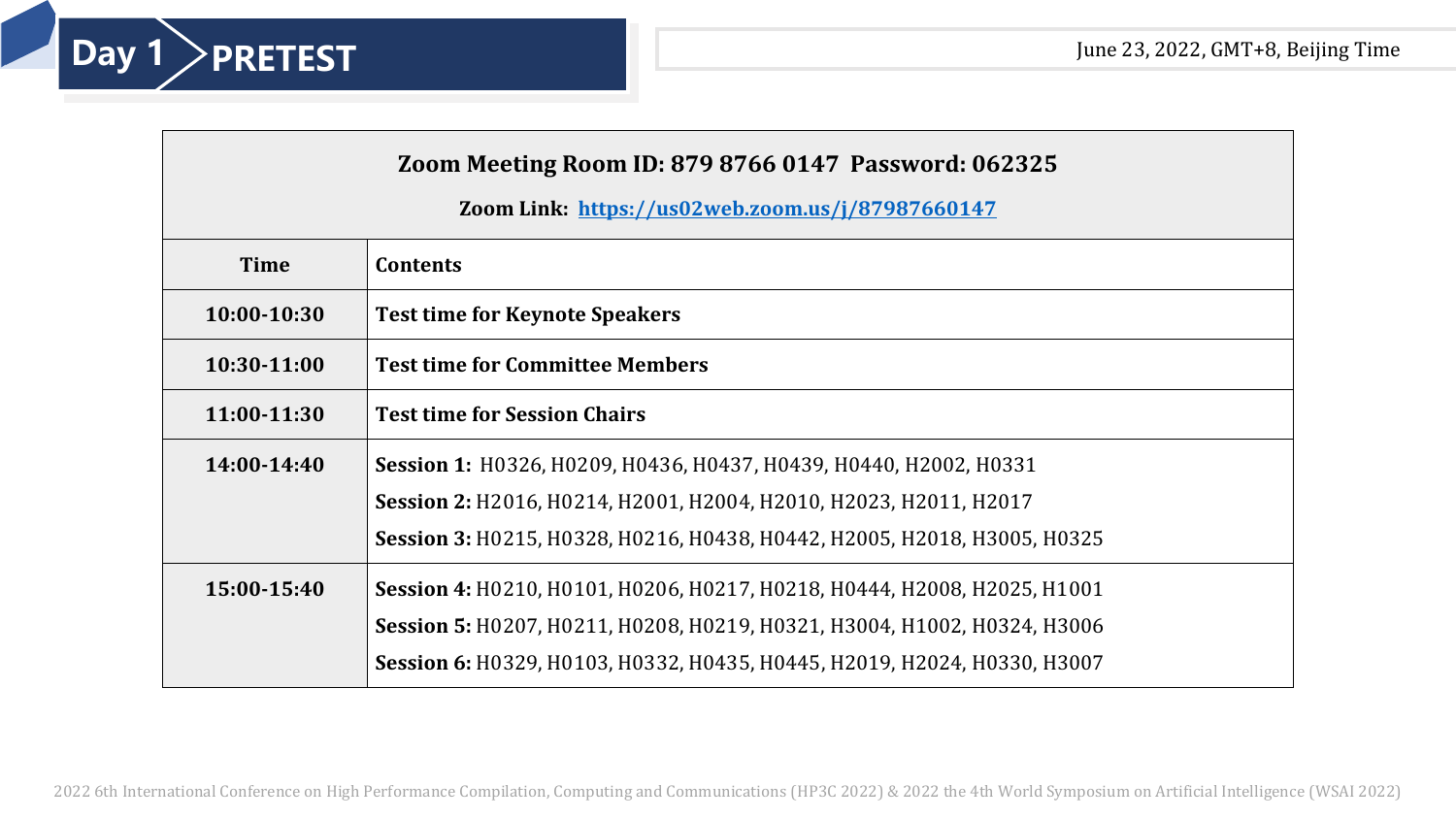

| <b>Zoom Meeting Room ID: 879 8766 0147 Password: 062325</b> |  |
|-------------------------------------------------------------|--|
|-------------------------------------------------------------|--|

### **Zoom Link: <https://us02web.zoom.us/j/87987660147>**

| <b>Time</b>   | <b>Contents</b>                                                          |
|---------------|--------------------------------------------------------------------------|
| $10:00-10:30$ | <b>Test time for Keynote Speakers</b>                                    |
| $10:30-11:00$ | <b>Test time for Committee Members</b>                                   |
| 11:00-11:30   | <b>Test time for Session Chairs</b>                                      |
| 14:00-14:40   | Session 1: H0326, H0209, H0436, H0437, H0439, H0440, H2002, H0331        |
|               | Session 2: H2016, H0214, H2001, H2004, H2010, H2023, H2011, H2017        |
|               | Session 3: H0215, H0328, H0216, H0438, H0442, H2005, H2018, H3005, H0325 |
| 15:00-15:40   | Session 4: H0210, H0101, H0206, H0217, H0218, H0444, H2008, H2025, H1001 |
|               | Session 5: H0207, H0211, H0208, H0219, H0321, H3004, H1002, H0324, H3006 |
|               | Session 6: H0329, H0103, H0332, H0435, H0445, H2019, H2024, H0330, H3007 |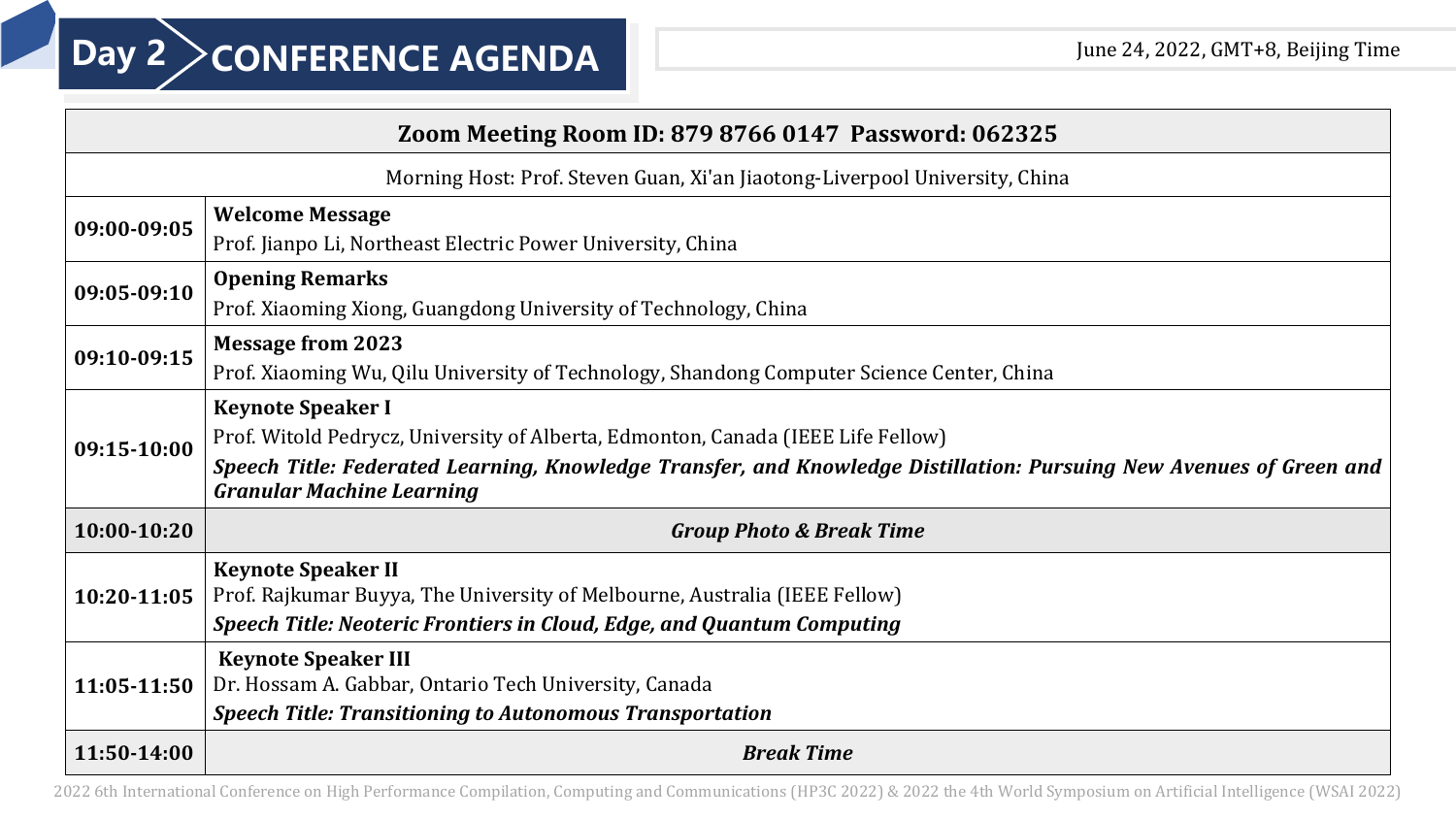| Zoom Meeting Room ID: 879 8766 0147 Password: 062325 |                                                                                                                                                                                                                                                                         |  |
|------------------------------------------------------|-------------------------------------------------------------------------------------------------------------------------------------------------------------------------------------------------------------------------------------------------------------------------|--|
|                                                      | Morning Host: Prof. Steven Guan, Xi'an Jiaotong-Liverpool University, China                                                                                                                                                                                             |  |
| 09:00-09:05                                          | <b>Welcome Message</b><br>Prof. Jianpo Li, Northeast Electric Power University, China                                                                                                                                                                                   |  |
| 09:05-09:10                                          | <b>Opening Remarks</b><br>Prof. Xiaoming Xiong, Guangdong University of Technology, China                                                                                                                                                                               |  |
| 09:10-09:15                                          | <b>Message from 2023</b><br>Prof. Xiaoming Wu, Qilu University of Technology, Shandong Computer Science Center, China                                                                                                                                                   |  |
| 09:15-10:00                                          | <b>Keynote Speaker I</b><br>Prof. Witold Pedrycz, University of Alberta, Edmonton, Canada (IEEE Life Fellow)<br>Speech Title: Federated Learning, Knowledge Transfer, and Knowledge Distillation: Pursuing New Avenues of Green and<br><b>Granular Machine Learning</b> |  |
| 10:00-10:20                                          | <b>Group Photo &amp; Break Time</b>                                                                                                                                                                                                                                     |  |
| 10:20-11:05                                          | <b>Keynote Speaker II</b><br>Prof. Rajkumar Buyya, The University of Melbourne, Australia (IEEE Fellow)<br>Speech Title: Neoteric Frontiers in Cloud, Edge, and Quantum Computing                                                                                       |  |
| 11:05-11:50                                          | <b>Keynote Speaker III</b><br>Dr. Hossam A. Gabbar, Ontario Tech University, Canada<br><b>Speech Title: Transitioning to Autonomous Transportation</b>                                                                                                                  |  |
| 11:50-14:00                                          | <b>Break Time</b>                                                                                                                                                                                                                                                       |  |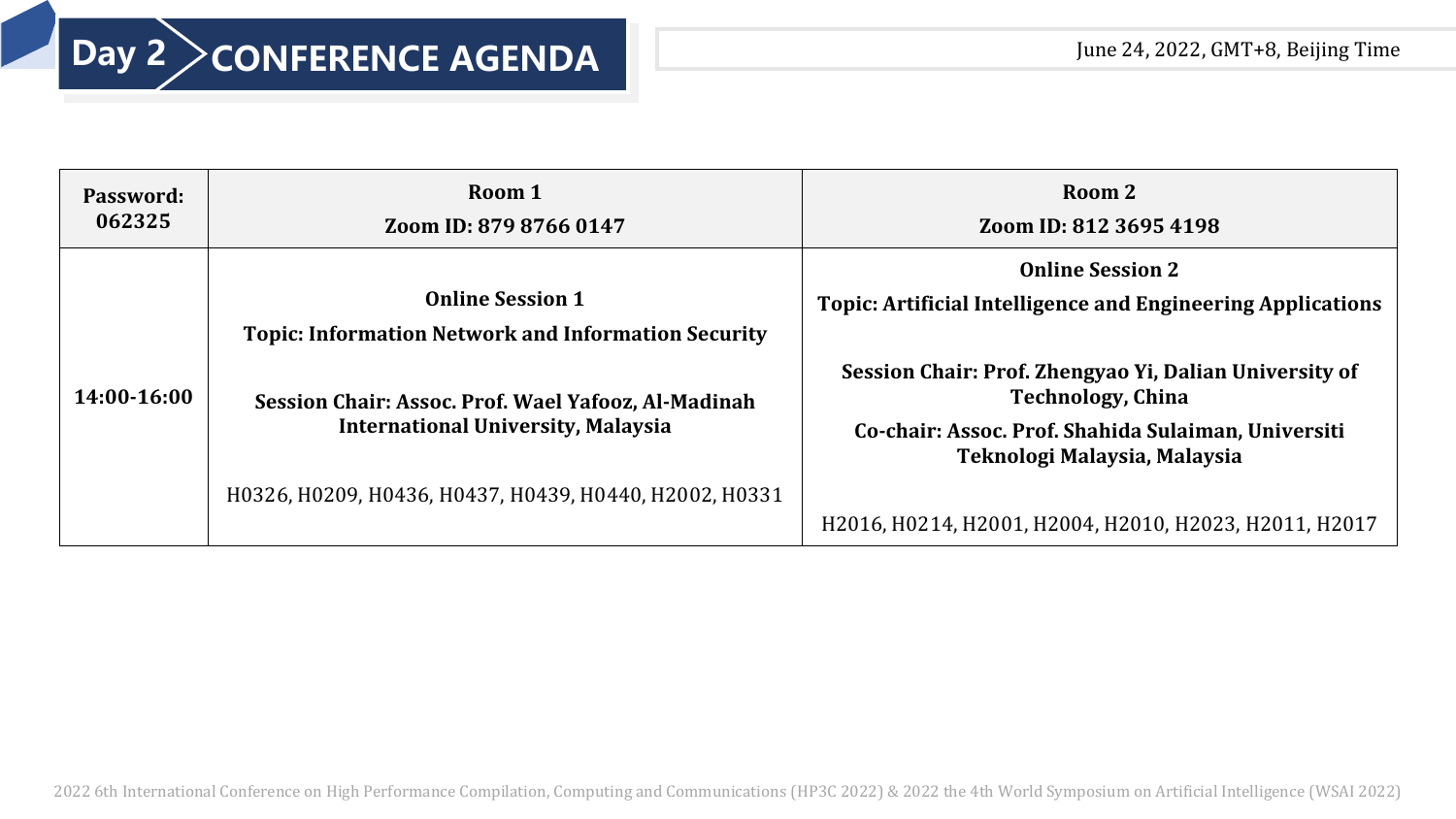## **Day 2 > CONFERENCE AGENDA** June 24, 2022, GMT+8, Beijing Time

| 062325      | Zoom ID: 879 8766 0147                                                                                                                                                                                                                              | Zoom ID: 812 3695 4198                                                                                                                                                                                                                                                                                                               |
|-------------|-----------------------------------------------------------------------------------------------------------------------------------------------------------------------------------------------------------------------------------------------------|--------------------------------------------------------------------------------------------------------------------------------------------------------------------------------------------------------------------------------------------------------------------------------------------------------------------------------------|
| 14:00-16:00 | <b>Online Session 1</b><br><b>Topic: Information Network and Information Security</b><br>Session Chair: Assoc. Prof. Wael Yafooz, Al-Madinah<br><b>International University, Malaysia</b><br>H0326, H0209, H0436, H0437, H0439, H0440, H2002, H0331 | <b>Online Session 2</b><br><b>Topic: Artificial Intelligence and Engineering Applications</b><br>Session Chair: Prof. Zhengyao Yi, Dalian University of<br><b>Technology, China</b><br>Co-chair: Assoc. Prof. Shahida Sulaiman, Universiti<br>Teknologi Malaysia, Malaysia<br>H2016, H0214, H2001, H2004, H2010, H2023, H2011, H2017 |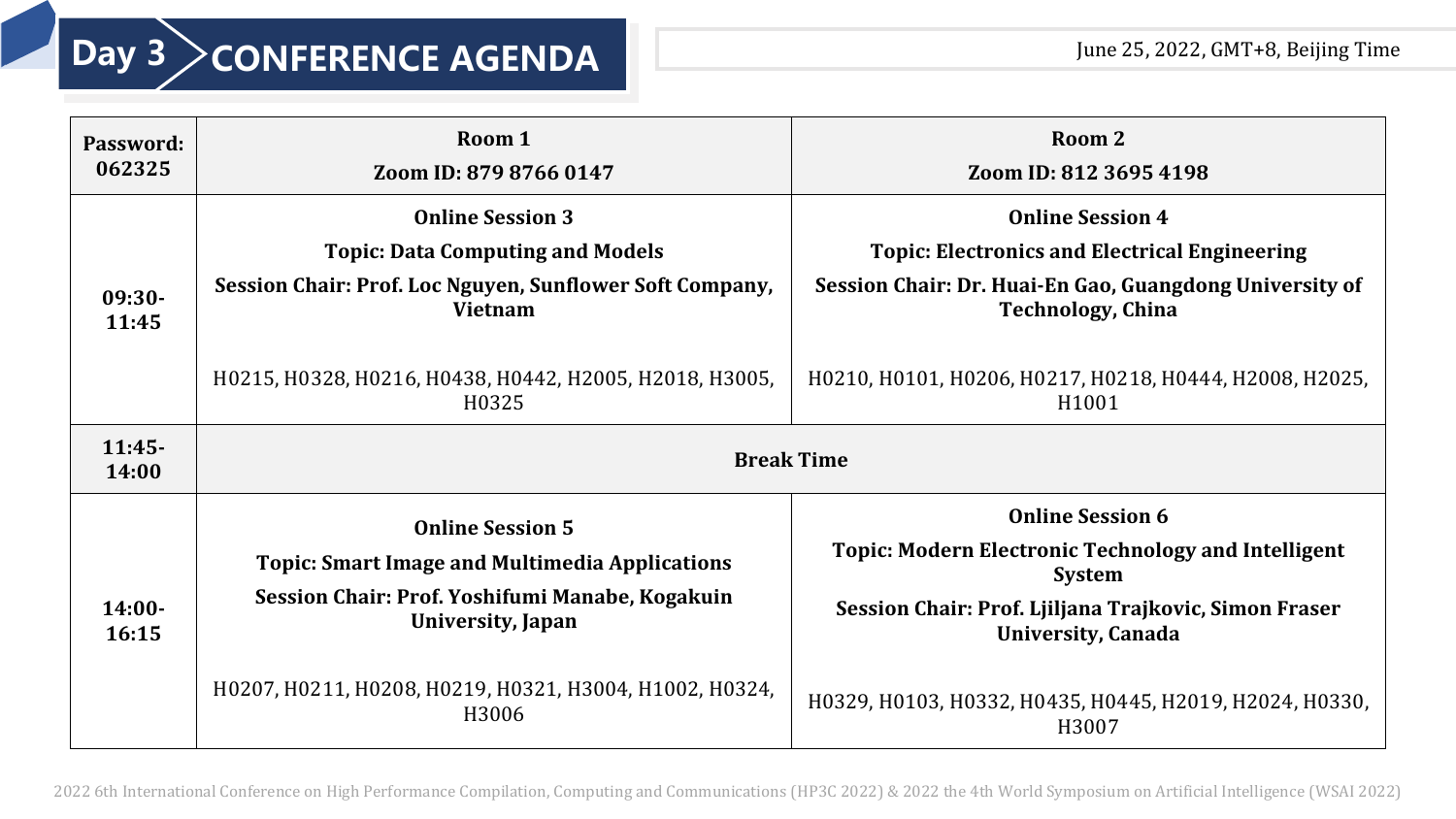| Password:<br>062325 | Room 1<br>Zoom ID: 879 8766 0147                                                                                                                                                                                     | Room 2<br>Zoom ID: 812 3695 4198                                                                                                                                                                                                           |
|---------------------|----------------------------------------------------------------------------------------------------------------------------------------------------------------------------------------------------------------------|--------------------------------------------------------------------------------------------------------------------------------------------------------------------------------------------------------------------------------------------|
| $09:30-$<br>11:45   | <b>Online Session 3</b><br><b>Topic: Data Computing and Models</b><br>Session Chair: Prof. Loc Nguyen, Sunflower Soft Company,<br><b>Vietnam</b><br>H0215, H0328, H0216, H0438, H0442, H2005, H2018, H3005,<br>H0325 | <b>Online Session 4</b><br><b>Topic: Electronics and Electrical Engineering</b><br>Session Chair: Dr. Huai-En Gao, Guangdong University of<br><b>Technology, China</b><br>H0210, H0101, H0206, H0217, H0218, H0444, H2008, H2025,<br>H1001 |
| $11:45-$<br>14:00   |                                                                                                                                                                                                                      | <b>Break Time</b>                                                                                                                                                                                                                          |
| $14:00-$<br>16:15   | <b>Online Session 5</b><br><b>Topic: Smart Image and Multimedia Applications</b><br>Session Chair: Prof. Yoshifumi Manabe, Kogakuin<br>University, Japan<br>H0207, H0211, H0208, H0219, H0321, H3004, H1002, H0324,  | <b>Online Session 6</b><br><b>Topic: Modern Electronic Technology and Intelligent</b><br><b>System</b><br>Session Chair: Prof. Ljiljana Trajkovic, Simon Fraser<br><b>University, Canada</b>                                               |
|                     | H3006                                                                                                                                                                                                                | H0329, H0103, H0332, H0435, H0445, H2019, H2024, H0330,<br>H3007                                                                                                                                                                           |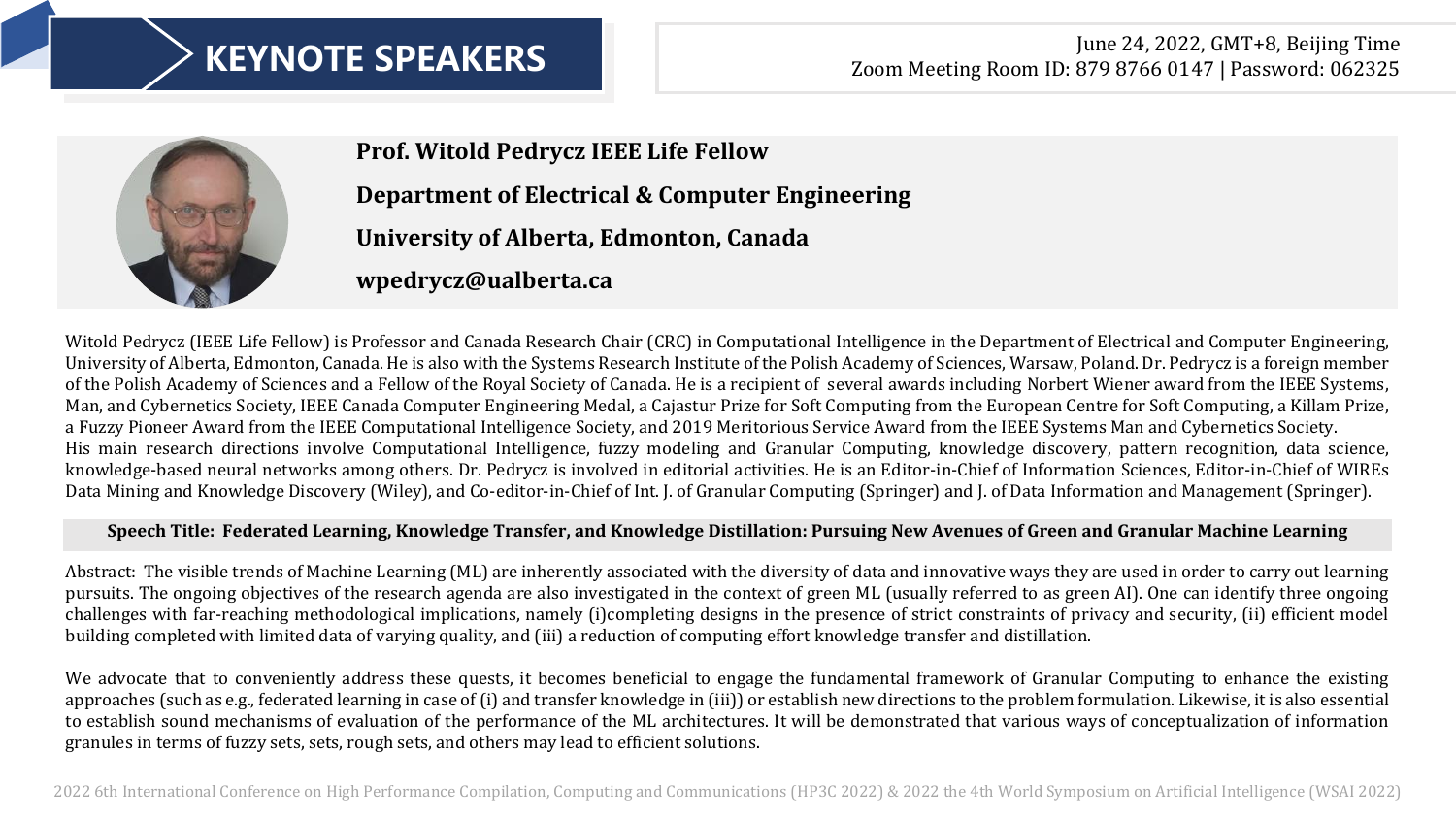## June 24, 2022, GMT+8, Beijing Time **KEYNOTE SPEAKERS** Zoom Meeting Room ID: 879 8766 0147 | Password: 062325



**Prof. Witold Pedrycz IEEE Life Fellow Department of Electrical & Computer Engineering University of Alberta, Edmonton, Canada wpedrycz@ualberta.ca**

Witold Pedrycz (IEEE Life Fellow) is Professor and Canada Research Chair (CRC) in Computational Intelligence in the Department of Electrical and Computer Engineering, University of Alberta, Edmonton, Canada. He is also with the Systems Research Institute of the Polish Academy of Sciences, Warsaw, Poland. Dr. Pedrycz is a foreign member of the Polish Academy of Sciences and a Fellow of the Royal Society of Canada. He is a recipient of several awards including Norbert Wiener award from the IEEE Systems, Man, and Cybernetics Society, IEEE Canada Computer Engineering Medal, a Cajastur Prize for Soft Computing from the European Centre for Soft Computing, a Killam Prize, a Fuzzy Pioneer Award from the IEEE Computational Intelligence Society, and 2019 Meritorious Service Award from the IEEE Systems Man and Cybernetics Society. His main research directions involve Computational Intelligence, fuzzy modeling and Granular Computing, knowledge discovery, pattern recognition, data science, knowledge-based neural networks among others. Dr. Pedrycz is involved in editorial activities. He is an Editor-in-Chief of Information Sciences, Editor-in-Chief of WIREs Data Mining and Knowledge Discovery (Wiley), and Co-editor-in-Chief of Int. J. of Granular Computing (Springer) and J. of Data Information and Management (Springer).

### **Speech Title: Federated Learning, Knowledge Transfer, and Knowledge Distillation: Pursuing New Avenues of Green and Granular Machine Learning**

Abstract: The visible trends of Machine Learning (ML) are inherently associated with the diversity of data and innovative ways they are used in order to carry out learning pursuits. The ongoing objectives of the research agenda are also investigated in the context of green ML (usually referred to as green AI). One can identify three ongoing challenges with far-reaching methodological implications, namely (i)completing designs in the presence of strict constraints of privacy and security, (ii) efficient model building completed with limited data of varying quality, and (iii) a reduction of computing effort knowledge transfer and distillation.

We advocate that to conveniently address these quests, it becomes beneficial to engage the fundamental framework of Granular Computing to enhance the existing approaches (such as e.g., federated learning in case of (i) and transfer knowledge in (iii)) or establish new directions to the problem formulation. Likewise, it is also essential to establish sound mechanisms of evaluation of the performance of the ML architectures. It will be demonstrated that various ways of conceptualization of information granules in terms of fuzzy sets, sets, rough sets, and others may lead to efficient solutions.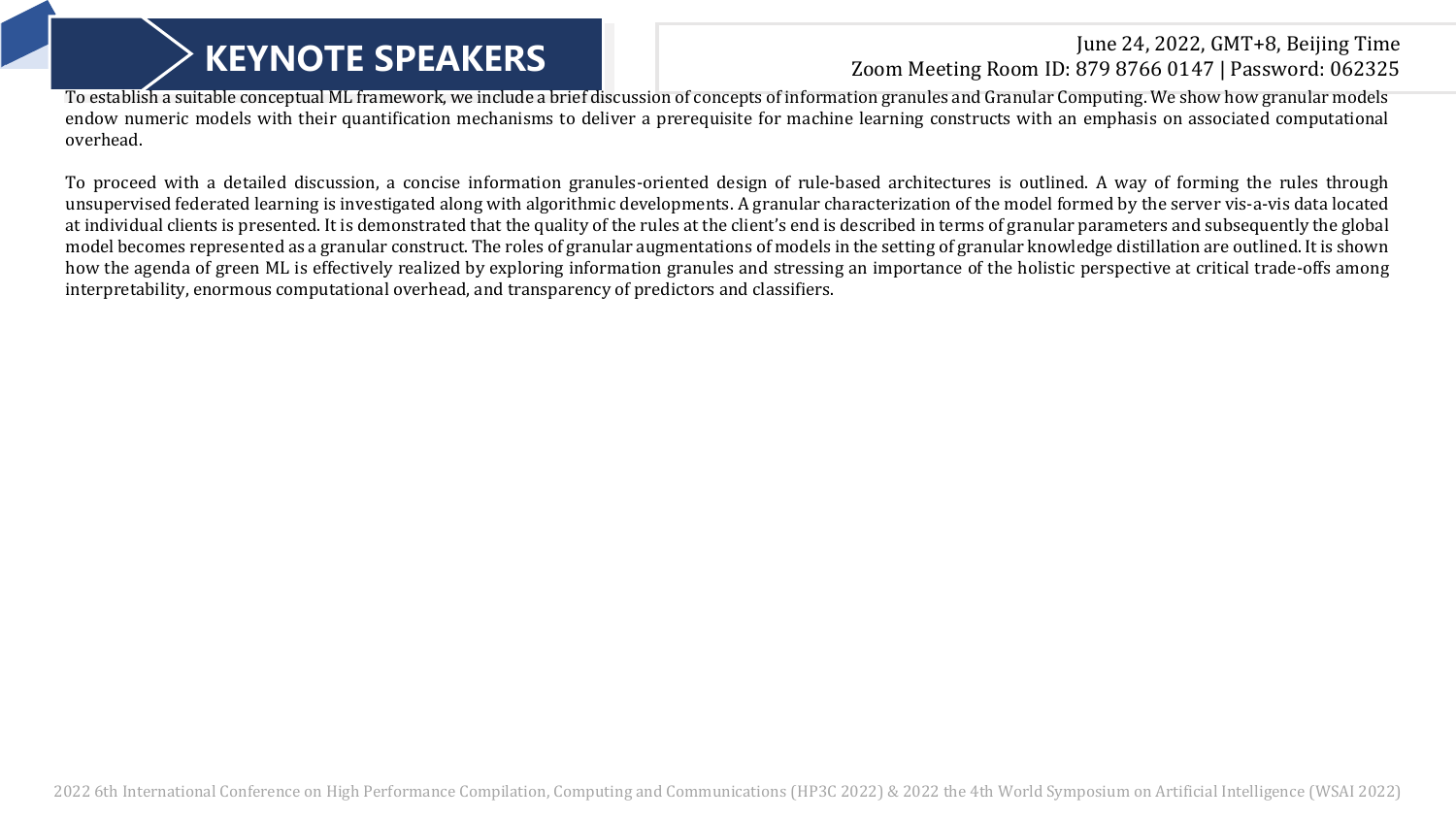## June 24, 2022, GMT+8, Beijing Time **KEYNOTE SPEAKERS** Zoom Meeting Room ID: 879 8766 0147 | Password: 062325

To establish a suitable conceptual ML framework, we include a brief discussion of concepts of information granules and Granular Computing. We show how granular models endow numeric models with their quantification mechanisms to deliver a prerequisite for machine learning constructs with an emphasis on associated computational overhead.

To proceed with a detailed discussion, a concise information granules-oriented design of rule-based architectures is outlined. A way of forming the rules through unsupervised federated learning is investigated along with algorithmic developments. A granular characterization of the model formed by the server vis-a-vis data located at individual clients is presented. It is demonstrated that the quality of the rules at the client's end is described in terms of granular parameters and subsequently the global model becomes represented as a granular construct. The roles of granular augmentations of models in the setting of granular knowledge distillation are outlined. It is shown how the agenda of green ML is effectively realized by exploring information granules and stressing an importance of the holistic perspective at critical trade-offs among interpretability, enormous computational overhead, and transparency of predictors and classifiers.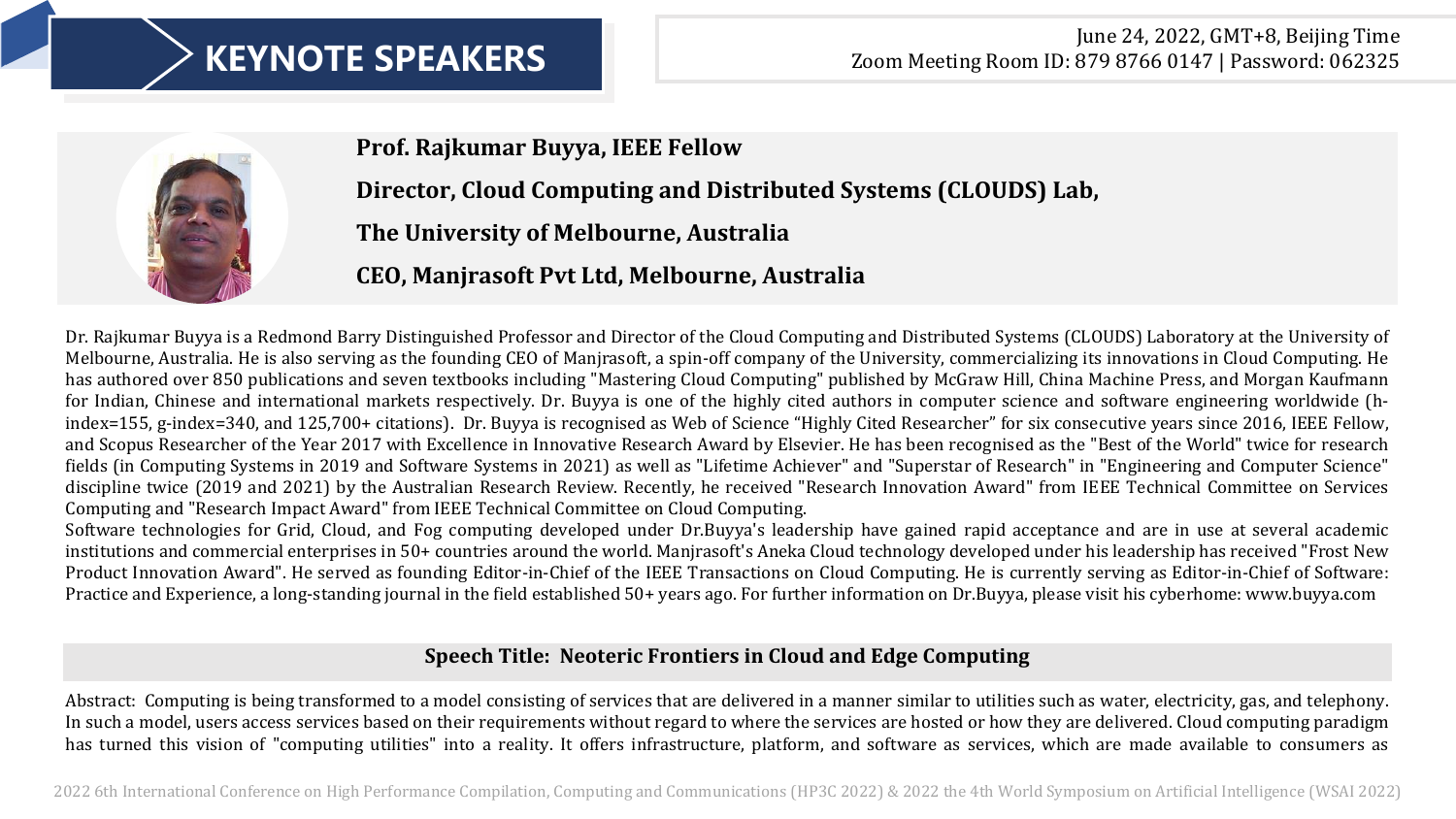

**Prof. Rajkumar Buyya, IEEE Fellow**

**Director, Cloud Computing and Distributed Systems (CLOUDS) Lab,** 

**The University of Melbourne, Australia** 

**CEO, Manjrasoft Pvt Ltd, Melbourne, Australia**

Dr. Rajkumar Buyya is a Redmond Barry Distinguished Professor and Director of the Cloud Computing and Distributed Systems (CLOUDS) Laboratory at the University of Melbourne, Australia. He is also serving as the founding CEO of Manjrasoft, a spin-off company of the University, commercializing its innovations in Cloud Computing. He has authored over 850 publications and seven textbooks including "Mastering Cloud Computing" published by McGraw Hill, China Machine Press, and Morgan Kaufmann for Indian, Chinese and international markets respectively. Dr. Buyya is one of the highly cited authors in computer science and software engineering worldwide (hindex=155, g-index=340, and 125,700+ citations). Dr. Buyya is recognised as Web of Science "Highly Cited Researcher" for six consecutive years since 2016, IEEE Fellow, and Scopus Researcher of the Year 2017 with Excellence in Innovative Research Award by Elsevier. He has been recognised as the "Best of the World" twice for research fields (in Computing Systems in 2019 and Software Systems in 2021) as well as "Lifetime Achiever" and "Superstar of Research" in "Engineering and Computer Science" discipline twice (2019 and 2021) by the Australian Research Review. Recently, he received "Research Innovation Award" from IEEE Technical Committee on Services Computing and "Research Impact Award" from IEEE Technical Committee on Cloud Computing.

Software technologies for Grid, Cloud, and Fog computing developed under Dr.Buyya's leadership have gained rapid acceptance and are in use at several academic institutions and commercial enterprises in 50+ countries around the world. Manjrasoft's Aneka Cloud technology developed under his leadership has received "Frost New Product Innovation Award". He served as founding Editor-in-Chief of the IEEE Transactions on Cloud Computing. He is currently serving as Editor-in-Chief of Software: Practice and Experience, a long-standing journal in the field established 50+ years ago. For further information on Dr.Buyya, please visit his cyberhome: www.buyya.com

### **Speech Title: Neoteric Frontiers in Cloud and Edge Computing**

Abstract: Computing is being transformed to a model consisting of services that are delivered in a manner similar to utilities such as water, electricity, gas, and telephony. In such a model, users access services based on their requirements without regard to where the services are hosted or how they are delivered. Cloud computing paradigm has turned this vision of "computing utilities" into a reality. It offers infrastructure, platform, and software as services, which are made available to consumers as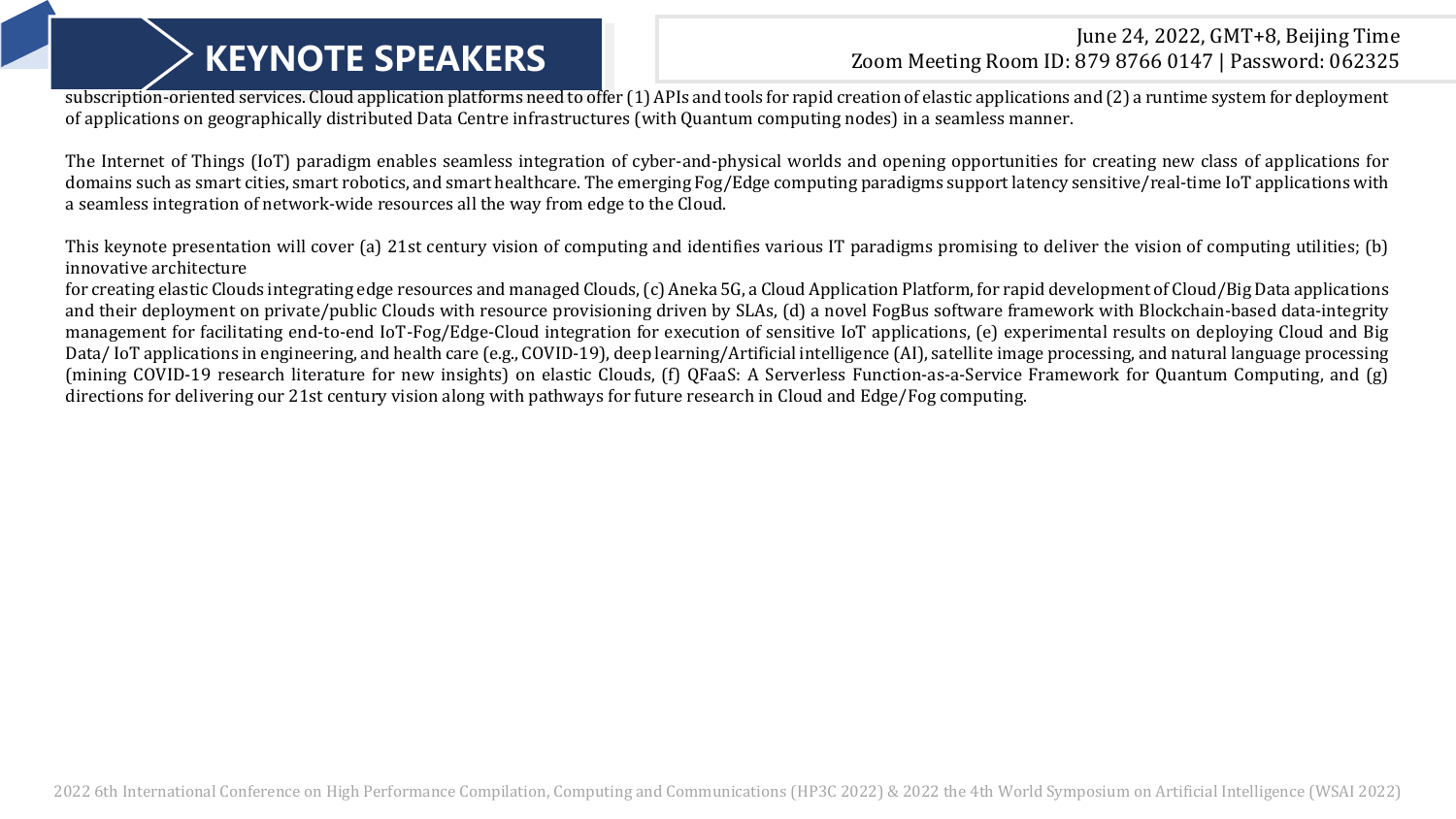### June 24, 2022, GMT+8, Beijing Time **KEYNOTE SPEAKERS** 200m Meeting Room ID: 879 8766 0147 | Password: 062325

subscription-oriented services. Cloud application platforms need to offer (1) APIs and tools for rapid creation of elastic applications and (2) a runtime system for deployment of applications on geographically distributed Data Centre infrastructures (with Quantum computing nodes) in a seamless manner.

The Internet of Things (IoT) paradigm enables seamless integration of cyber-and-physical worlds and opening opportunities for creating new class of applications for domains such as smart cities, smart robotics, and smart healthcare. The emerging Fog/Edge computing paradigms support latency sensitive/real-time IoT applications with a seamless integration of network-wide resources all the way from edge to the Cloud.

This keynote presentation will cover (a) 21st century vision of computing and identifies various IT paradigms promising to deliver the vision of computing utilities; (b) innovative architecture

for creating elastic Clouds integrating edge resources and managed Clouds, (c) Aneka 5G, a Cloud Application Platform, for rapid development of Cloud/Big Data applications and their deployment on private/public Clouds with resource provisioning driven by SLAs, (d) a novel FogBus software framework with Blockchain-based data-integrity management for facilitating end-to-end IoT-Fog/Edge-Cloud integration for execution of sensitive IoT applications, (e) experimental results on deploying Cloud and Big Data/IoT applications in engineering, and health care (e.g., COVID-19), deep learning/Artificial intelligence (AI), satellite image processing, and natural language processing (mining COVID-19 research literature for new insights) on elastic Clouds, (f) QFaaS: A Serverless Function-as-a-Service Framework for Quantum Computing, and (g) directions for delivering our 21st century vision along with pathways for future research in Cloud and Edge/Fog computing.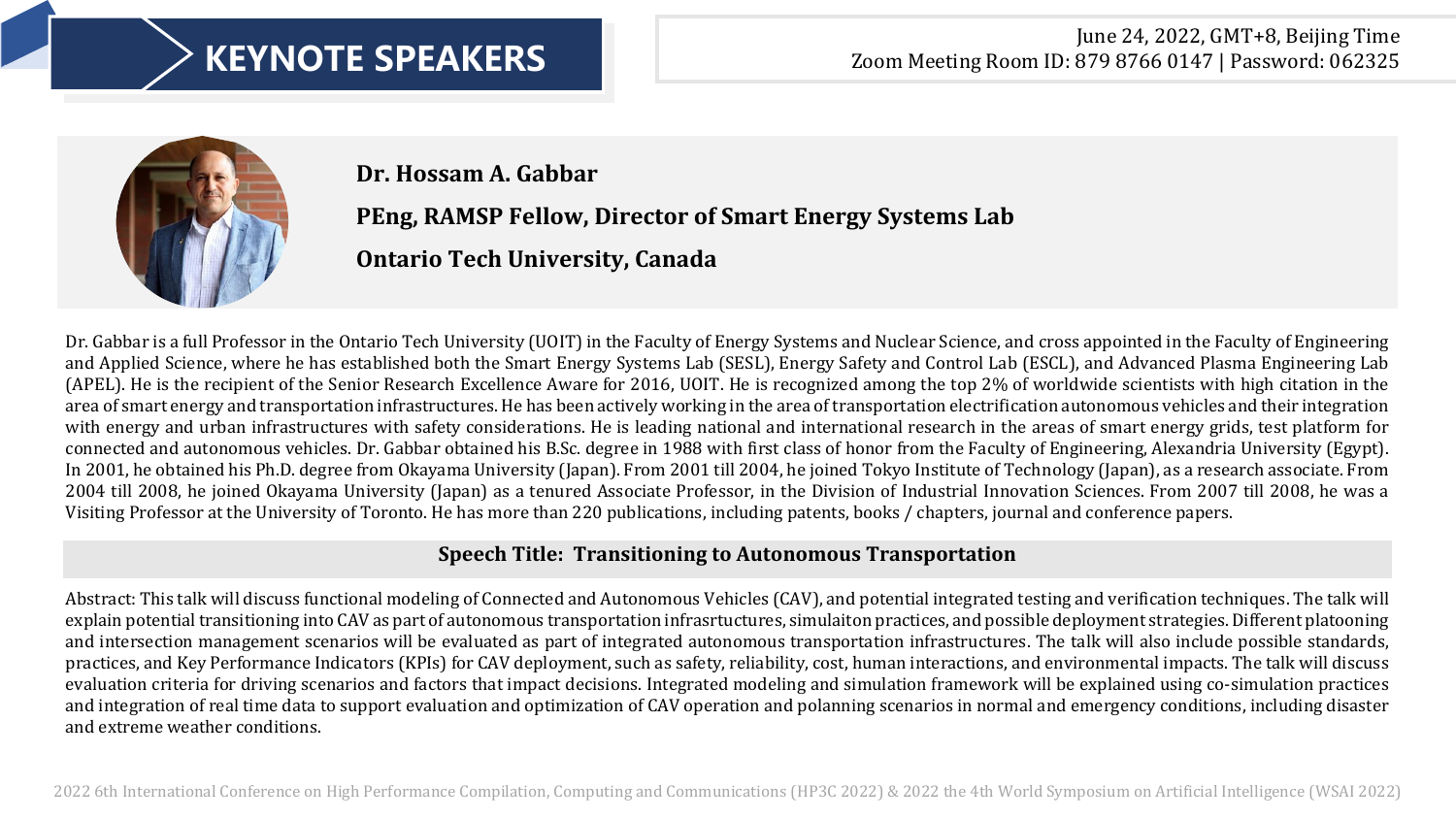

**Dr. Hossam A. Gabbar**

### **PEng, RAMSP Fellow, Director of Smart Energy Systems Lab**

**Ontario Tech University, Canada**

Dr. Gabbar is a full Professor in the Ontario Tech University (UOIT) in the Faculty of Energy Systems and Nuclear Science, and cross appointed in the Faculty of Engineering and Applied Science, where he has established both the Smart Energy Systems Lab (SESL), Energy Safety and Control Lab (ESCL), and Advanced Plasma Engineering Lab (APEL). He is the recipient of the Senior Research Excellence Aware for 2016, UOIT. He is recognized among the top 2% of worldwide scientists with high citation in the area of smart energy and transportation infrastructures. He has been actively working in the area of transportation electrification autonomous vehicles and their integration with energy and urban infrastructures with safety considerations. He is leading national and international research in the areas of smart energy grids, test platform for connected and autonomous vehicles. Dr. Gabbar obtained his B.Sc. degree in 1988 with first class of honor from the Faculty of Engineering, Alexandria University (Egypt). In 2001, he obtained his Ph.D. degree from Okayama University (Japan). From 2001 till 2004, he joined Tokyo Institute of Technology (Japan), as a research associate. From 2004 till 2008, he joined Okayama University (Japan) as a tenured Associate Professor, in the Division of Industrial Innovation Sciences. From 2007 till 2008, he was a Visiting Professor at the University of Toronto. He has more than 220 publications, including patents, books / chapters, journal and conference papers.

### **Speech Title: Transitioning to Autonomous Transportation**

Abstract: This talk will discuss functional modeling of Connected and Autonomous Vehicles (CAV), and potential integrated testing and verification techniques. The talk will explain potential transitioning into CAV as part of autonomous transportation infrasrtuctures, simulaiton practices, and possible deployment strategies. Different platooning and intersection management scenarios will be evaluated as part of integrated autonomous transportation infrastructures. The talk will also include possible standards, practices, and Key Performance Indicators (KPIs) for CAV deployment, such as safety, reliability, cost, human interactions, and environmental impacts. The talk will discuss evaluation criteria for driving scenarios and factors that impact decisions. Integrated modeling and simulation framework will be explained using co-simulation practices and integration of real time data to support evaluation and optimization of CAV operation and polanning scenarios in normal and emergency conditions, including disaster and extreme weather conditions.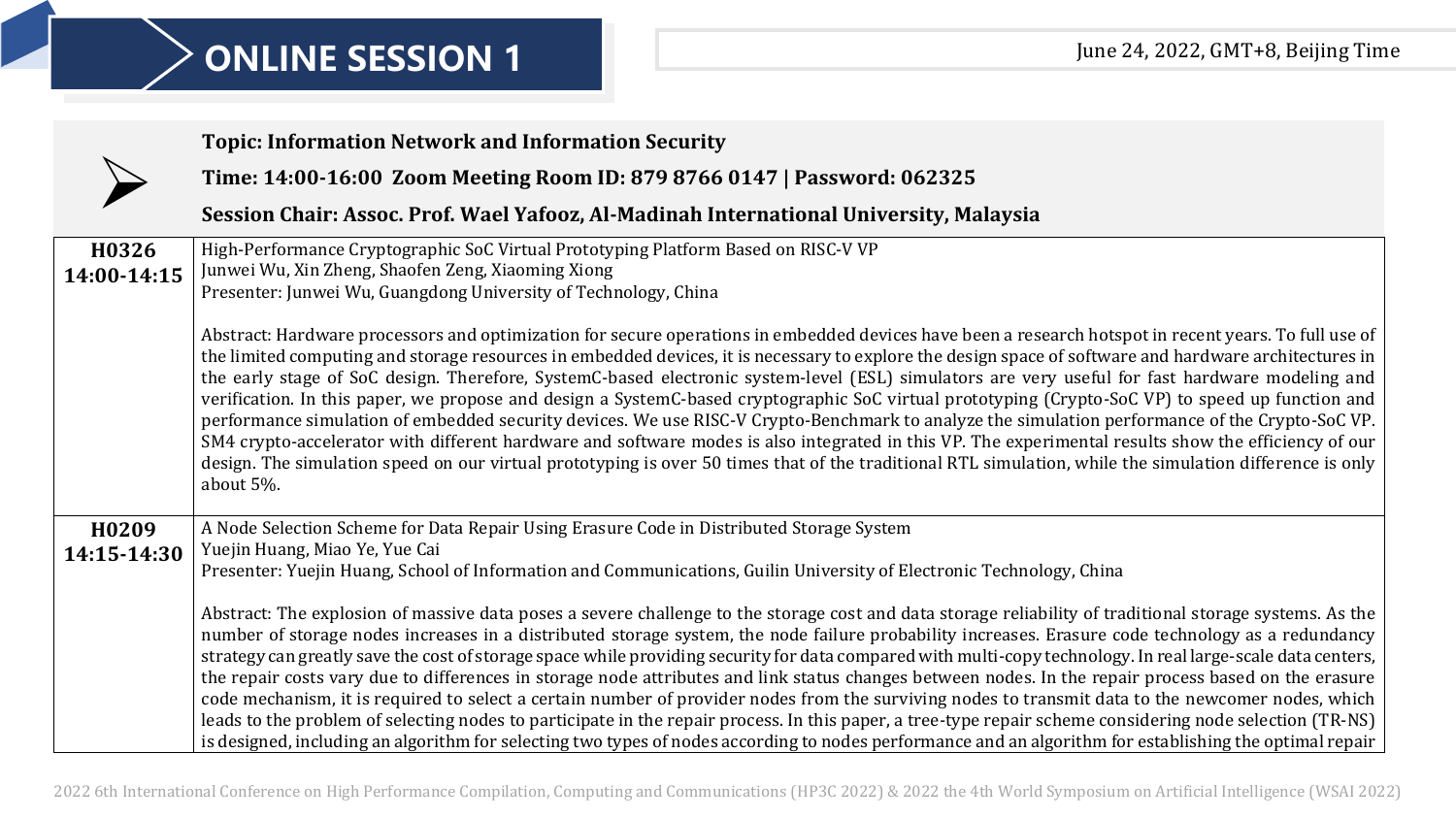| <b>Topic: Information Network and Information Security</b>                                                                                                                                                                                                                                                                                                                                                                                                                                                                                                                                                                                                                                                                                                                                                                                                                                                                                                                                                                                                                                                                                                                                                                                                                                                                                                                   |
|------------------------------------------------------------------------------------------------------------------------------------------------------------------------------------------------------------------------------------------------------------------------------------------------------------------------------------------------------------------------------------------------------------------------------------------------------------------------------------------------------------------------------------------------------------------------------------------------------------------------------------------------------------------------------------------------------------------------------------------------------------------------------------------------------------------------------------------------------------------------------------------------------------------------------------------------------------------------------------------------------------------------------------------------------------------------------------------------------------------------------------------------------------------------------------------------------------------------------------------------------------------------------------------------------------------------------------------------------------------------------|
| Time: 14:00-16:00 Zoom Meeting Room ID: 879 8766 0147   Password: 062325                                                                                                                                                                                                                                                                                                                                                                                                                                                                                                                                                                                                                                                                                                                                                                                                                                                                                                                                                                                                                                                                                                                                                                                                                                                                                                     |
| Session Chair: Assoc. Prof. Wael Yafooz, Al-Madinah International University, Malaysia                                                                                                                                                                                                                                                                                                                                                                                                                                                                                                                                                                                                                                                                                                                                                                                                                                                                                                                                                                                                                                                                                                                                                                                                                                                                                       |
| High-Performance Cryptographic SoC Virtual Prototyping Platform Based on RISC-V VP<br>Junwei Wu, Xin Zheng, Shaofen Zeng, Xiaoming Xiong<br>Presenter: Junwei Wu, Guangdong University of Technology, China                                                                                                                                                                                                                                                                                                                                                                                                                                                                                                                                                                                                                                                                                                                                                                                                                                                                                                                                                                                                                                                                                                                                                                  |
| Abstract: Hardware processors and optimization for secure operations in embedded devices have been a research hotspot in recent years. To full use of<br>the limited computing and storage resources in embedded devices, it is necessary to explore the design space of software and hardware architectures in<br>the early stage of SoC design. Therefore, SystemC-based electronic system-level (ESL) simulators are very useful for fast hardware modeling and<br>verification. In this paper, we propose and design a SystemC-based cryptographic SoC virtual prototyping (Crypto-SoC VP) to speed up function and<br>performance simulation of embedded security devices. We use RISC-V Crypto-Benchmark to analyze the simulation performance of the Crypto-SoC VP.<br>SM4 crypto-accelerator with different hardware and software modes is also integrated in this VP. The experimental results show the efficiency of our<br>design. The simulation speed on our virtual prototyping is over 50 times that of the traditional RTL simulation, while the simulation difference is only<br>about 5%.                                                                                                                                                                                                                                                                  |
| A Node Selection Scheme for Data Repair Using Erasure Code in Distributed Storage System<br>Yuejin Huang, Miao Ye, Yue Cai<br>Presenter: Yuejin Huang, School of Information and Communications, Guilin University of Electronic Technology, China<br>Abstract: The explosion of massive data poses a severe challenge to the storage cost and data storage reliability of traditional storage systems. As the<br>number of storage nodes increases in a distributed storage system, the node failure probability increases. Erasure code technology as a redundancy<br>strategy can greatly save the cost of storage space while providing security for data compared with multi-copy technology. In real large-scale data centers,<br>the repair costs vary due to differences in storage node attributes and link status changes between nodes. In the repair process based on the erasure<br>code mechanism, it is required to select a certain number of provider nodes from the surviving nodes to transmit data to the newcomer nodes, which<br>leads to the problem of selecting nodes to participate in the repair process. In this paper, a tree-type repair scheme considering node selection (TR-NS)<br>is designed, including an algorithm for selecting two types of nodes according to nodes performance and an algorithm for establishing the optimal repair |
|                                                                                                                                                                                                                                                                                                                                                                                                                                                                                                                                                                                                                                                                                                                                                                                                                                                                                                                                                                                                                                                                                                                                                                                                                                                                                                                                                                              |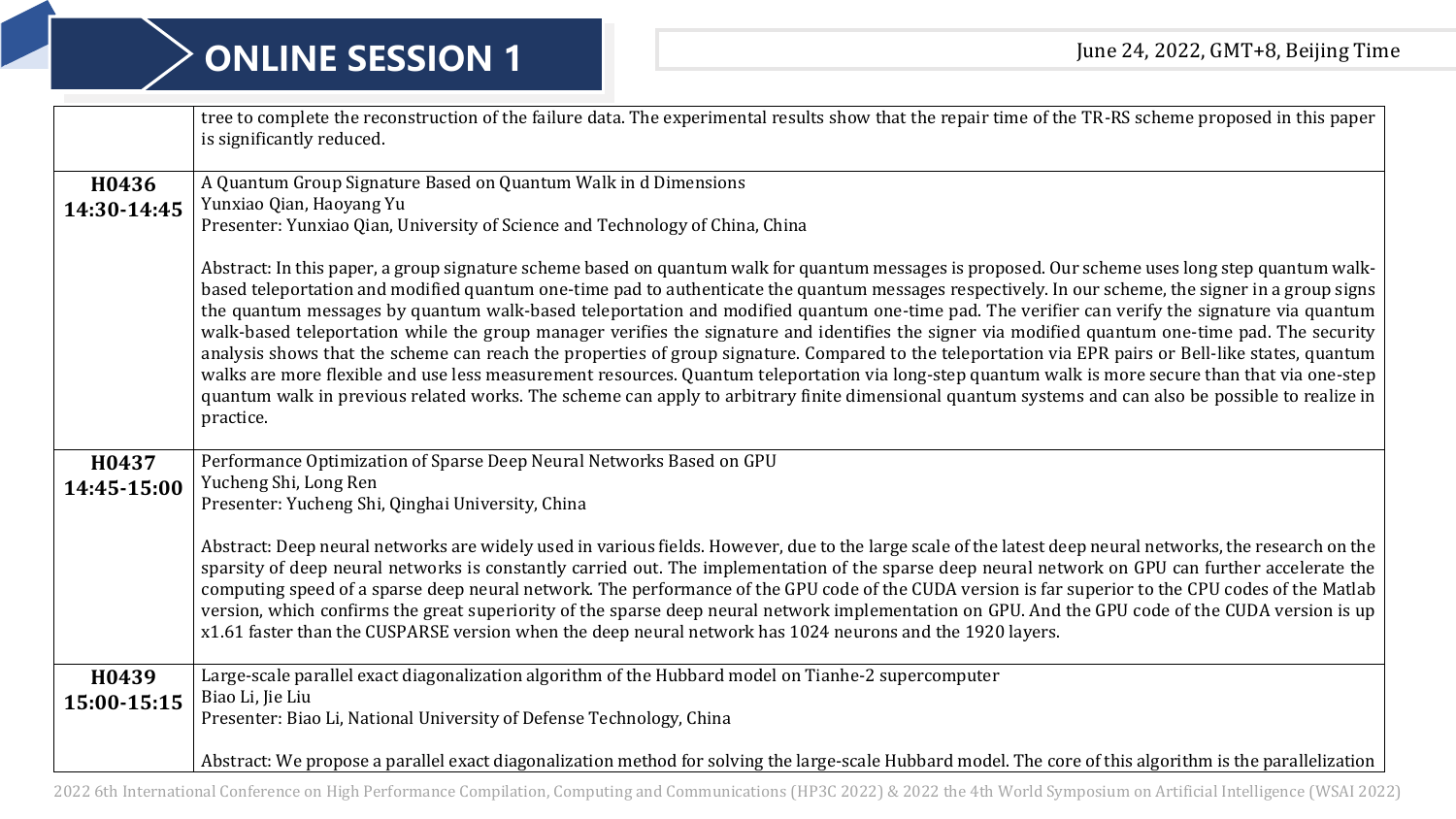|                      | tree to complete the reconstruction of the failure data. The experimental results show that the repair time of the TR-RS scheme proposed in this paper<br>is significantly reduced.                                                                                                                                                                                                                                                                                                                                                                                                                                                                                                                                                                                                                                                                                                                                                                                                                                                                                                              |
|----------------------|--------------------------------------------------------------------------------------------------------------------------------------------------------------------------------------------------------------------------------------------------------------------------------------------------------------------------------------------------------------------------------------------------------------------------------------------------------------------------------------------------------------------------------------------------------------------------------------------------------------------------------------------------------------------------------------------------------------------------------------------------------------------------------------------------------------------------------------------------------------------------------------------------------------------------------------------------------------------------------------------------------------------------------------------------------------------------------------------------|
| H0436                | A Quantum Group Signature Based on Quantum Walk in d Dimensions<br>Yunxiao Qian, Haoyang Yu                                                                                                                                                                                                                                                                                                                                                                                                                                                                                                                                                                                                                                                                                                                                                                                                                                                                                                                                                                                                      |
| 14:30-14:45          | Presenter: Yunxiao Qian, University of Science and Technology of China, China                                                                                                                                                                                                                                                                                                                                                                                                                                                                                                                                                                                                                                                                                                                                                                                                                                                                                                                                                                                                                    |
|                      | Abstract: In this paper, a group signature scheme based on quantum walk for quantum messages is proposed. Our scheme uses long step quantum walk-<br>based teleportation and modified quantum one-time pad to authenticate the quantum messages respectively. In our scheme, the signer in a group signs<br>the quantum messages by quantum walk-based teleportation and modified quantum one-time pad. The verifier can verify the signature via quantum<br>walk-based teleportation while the group manager verifies the signature and identifies the signer via modified quantum one-time pad. The security<br>analysis shows that the scheme can reach the properties of group signature. Compared to the teleportation via EPR pairs or Bell-like states, quantum<br>walks are more flexible and use less measurement resources. Quantum teleportation via long-step quantum walk is more secure than that via one-step<br>quantum walk in previous related works. The scheme can apply to arbitrary finite dimensional quantum systems and can also be possible to realize in<br>practice. |
| H0437                | Performance Optimization of Sparse Deep Neural Networks Based on GPU                                                                                                                                                                                                                                                                                                                                                                                                                                                                                                                                                                                                                                                                                                                                                                                                                                                                                                                                                                                                                             |
| 14:45-15:00          | Yucheng Shi, Long Ren<br>Presenter: Yucheng Shi, Qinghai University, China                                                                                                                                                                                                                                                                                                                                                                                                                                                                                                                                                                                                                                                                                                                                                                                                                                                                                                                                                                                                                       |
|                      | Abstract: Deep neural networks are widely used in various fields. However, due to the large scale of the latest deep neural networks, the research on the<br>sparsity of deep neural networks is constantly carried out. The implementation of the sparse deep neural network on GPU can further accelerate the<br>computing speed of a sparse deep neural network. The performance of the GPU code of the CUDA version is far superior to the CPU codes of the Matlab<br>version, which confirms the great superiority of the sparse deep neural network implementation on GPU. And the GPU code of the CUDA version is up<br>x1.61 faster than the CUSPARSE version when the deep neural network has 1024 neurons and the 1920 layers.                                                                                                                                                                                                                                                                                                                                                         |
| H0439<br>15:00-15:15 | Large-scale parallel exact diagonalization algorithm of the Hubbard model on Tianhe-2 supercomputer<br>Biao Li, Jie Liu                                                                                                                                                                                                                                                                                                                                                                                                                                                                                                                                                                                                                                                                                                                                                                                                                                                                                                                                                                          |
|                      | Presenter: Biao Li, National University of Defense Technology, China                                                                                                                                                                                                                                                                                                                                                                                                                                                                                                                                                                                                                                                                                                                                                                                                                                                                                                                                                                                                                             |
|                      | Abstract: We propose a parallel exact diagonalization method for solving the large-scale Hubbard model. The core of this algorithm is the parallelization                                                                                                                                                                                                                                                                                                                                                                                                                                                                                                                                                                                                                                                                                                                                                                                                                                                                                                                                        |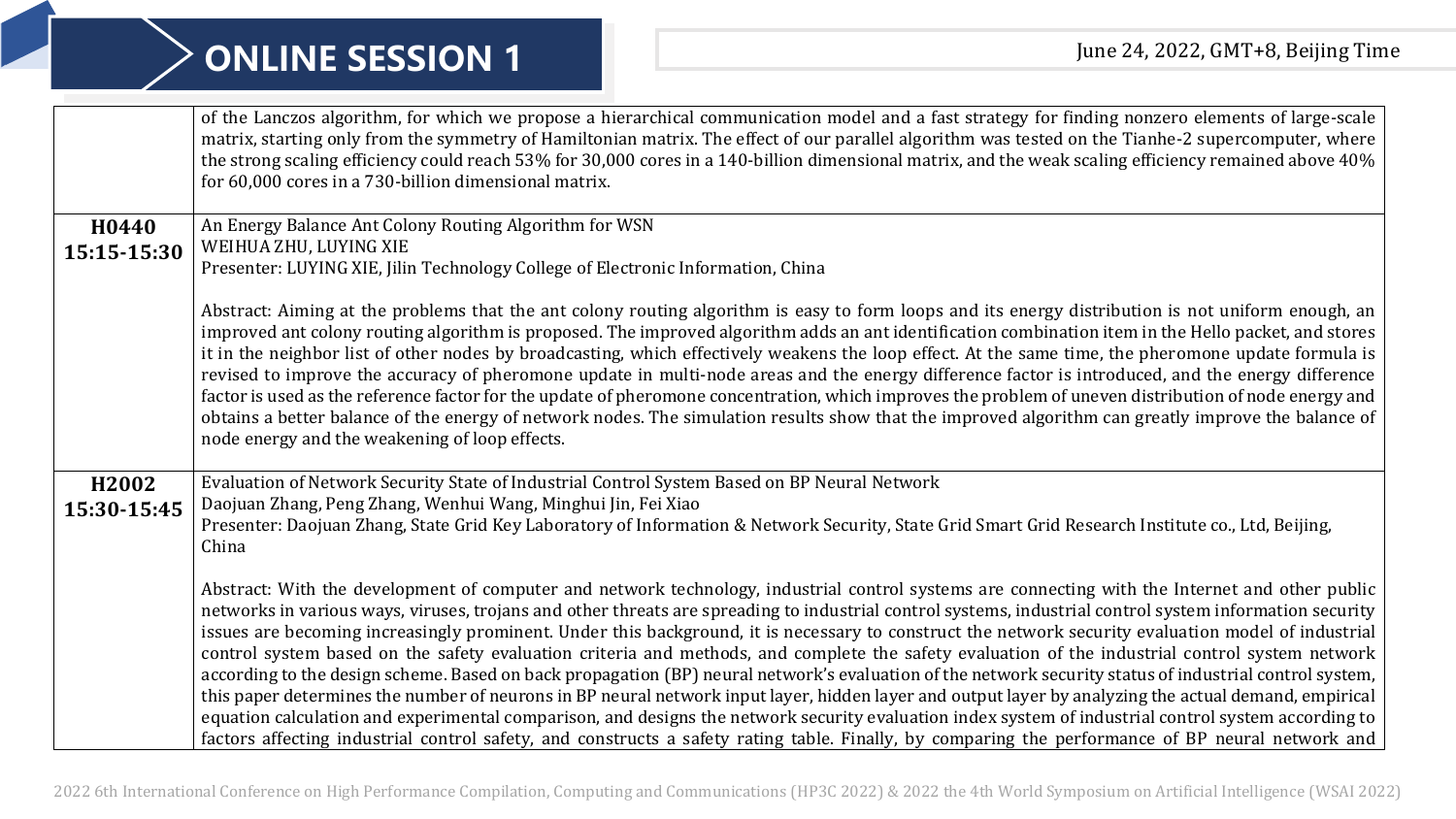|                      | of the Lanczos algorithm, for which we propose a hierarchical communication model and a fast strategy for finding nonzero elements of large-scale<br>matrix, starting only from the symmetry of Hamiltonian matrix. The effect of our parallel algorithm was tested on the Tianhe-2 supercomputer, where<br>the strong scaling efficiency could reach 53% for 30,000 cores in a 140-billion dimensional matrix, and the weak scaling efficiency remained above 40%<br>for 60,000 cores in a 730-billion dimensional matrix.                                                                                                                                                                                                                                                                                                                                                                                                                                                                                                                                                                                                                                                                                                                            |
|----------------------|--------------------------------------------------------------------------------------------------------------------------------------------------------------------------------------------------------------------------------------------------------------------------------------------------------------------------------------------------------------------------------------------------------------------------------------------------------------------------------------------------------------------------------------------------------------------------------------------------------------------------------------------------------------------------------------------------------------------------------------------------------------------------------------------------------------------------------------------------------------------------------------------------------------------------------------------------------------------------------------------------------------------------------------------------------------------------------------------------------------------------------------------------------------------------------------------------------------------------------------------------------|
| H0440<br>15:15-15:30 | An Energy Balance Ant Colony Routing Algorithm for WSN<br>WEIHUA ZHU, LUYING XIE<br>Presenter: LUYING XIE, Jilin Technology College of Electronic Information, China                                                                                                                                                                                                                                                                                                                                                                                                                                                                                                                                                                                                                                                                                                                                                                                                                                                                                                                                                                                                                                                                                   |
|                      | Abstract: Aiming at the problems that the ant colony routing algorithm is easy to form loops and its energy distribution is not uniform enough, an<br>improved ant colony routing algorithm is proposed. The improved algorithm adds an ant identification combination item in the Hello packet, and stores<br>it in the neighbor list of other nodes by broadcasting, which effectively weakens the loop effect. At the same time, the pheromone update formula is<br>revised to improve the accuracy of pheromone update in multi-node areas and the energy difference factor is introduced, and the energy difference<br>factor is used as the reference factor for the update of pheromone concentration, which improves the problem of uneven distribution of node energy and<br>obtains a better balance of the energy of network nodes. The simulation results show that the improved algorithm can greatly improve the balance of<br>node energy and the weakening of loop effects.                                                                                                                                                                                                                                                            |
| H2002<br>15:30-15:45 | Evaluation of Network Security State of Industrial Control System Based on BP Neural Network<br>Daojuan Zhang, Peng Zhang, Wenhui Wang, Minghui Jin, Fei Xiao<br>Presenter: Daojuan Zhang, State Grid Key Laboratory of Information & Network Security, State Grid Smart Grid Research Institute co., Ltd, Beijing,<br>China                                                                                                                                                                                                                                                                                                                                                                                                                                                                                                                                                                                                                                                                                                                                                                                                                                                                                                                           |
|                      | Abstract: With the development of computer and network technology, industrial control systems are connecting with the Internet and other public<br>networks in various ways, viruses, trojans and other threats are spreading to industrial control systems, industrial control system information security<br>issues are becoming increasingly prominent. Under this background, it is necessary to construct the network security evaluation model of industrial<br>control system based on the safety evaluation criteria and methods, and complete the safety evaluation of the industrial control system network<br>according to the design scheme. Based on back propagation (BP) neural network's evaluation of the network security status of industrial control system,<br>this paper determines the number of neurons in BP neural network input layer, hidden layer and output layer by analyzing the actual demand, empirical<br>equation calculation and experimental comparison, and designs the network security evaluation index system of industrial control system according to<br>factors affecting industrial control safety, and constructs a safety rating table. Finally, by comparing the performance of BP neural network and |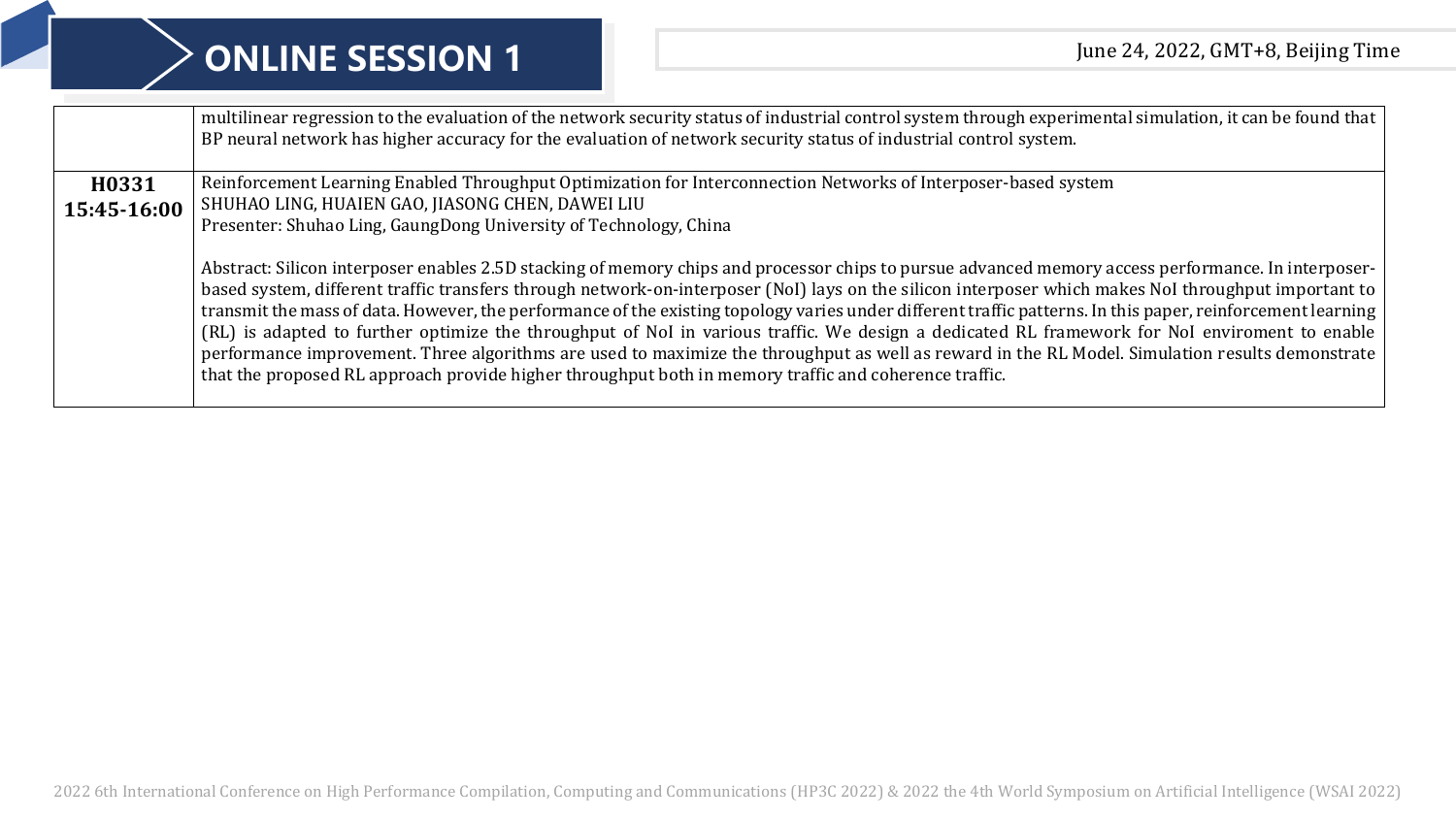|             | multilinear regression to the evaluation of the network security status of industrial control system through experimental simulation, it can be found that  <br>BP neural network has higher accuracy for the evaluation of network security status of industrial control system.                                                                                                                                                                                                                                                                                                                                                                                                                                                                                                                                                                                                         |
|-------------|-------------------------------------------------------------------------------------------------------------------------------------------------------------------------------------------------------------------------------------------------------------------------------------------------------------------------------------------------------------------------------------------------------------------------------------------------------------------------------------------------------------------------------------------------------------------------------------------------------------------------------------------------------------------------------------------------------------------------------------------------------------------------------------------------------------------------------------------------------------------------------------------|
| H0331       | Reinforcement Learning Enabled Throughput Optimization for Interconnection Networks of Interposer-based system                                                                                                                                                                                                                                                                                                                                                                                                                                                                                                                                                                                                                                                                                                                                                                            |
| 15:45-16:00 | SHUHAO LING, HUAIEN GAO, JIASONG CHEN, DAWEI LIU                                                                                                                                                                                                                                                                                                                                                                                                                                                                                                                                                                                                                                                                                                                                                                                                                                          |
|             | Presenter: Shuhao Ling, GaungDong University of Technology, China                                                                                                                                                                                                                                                                                                                                                                                                                                                                                                                                                                                                                                                                                                                                                                                                                         |
|             | Abstract: Silicon interposer enables 2.5D stacking of memory chips and processor chips to pursue advanced memory access performance. In interposer-<br>based system, different traffic transfers through network-on-interposer (NoI) lays on the silicon interposer which makes NoI throughput important to<br>transmit the mass of data. However, the performance of the existing topology varies under different traffic patterns. In this paper, reinforcement learning  <br>(RL) is adapted to further optimize the throughput of NoI in various traffic. We design a dedicated RL framework for NoI enviroment to enable<br>performance improvement. Three algorithms are used to maximize the throughput as well as reward in the RL Model. Simulation results demonstrate<br>that the proposed RL approach provide higher throughput both in memory traffic and coherence traffic. |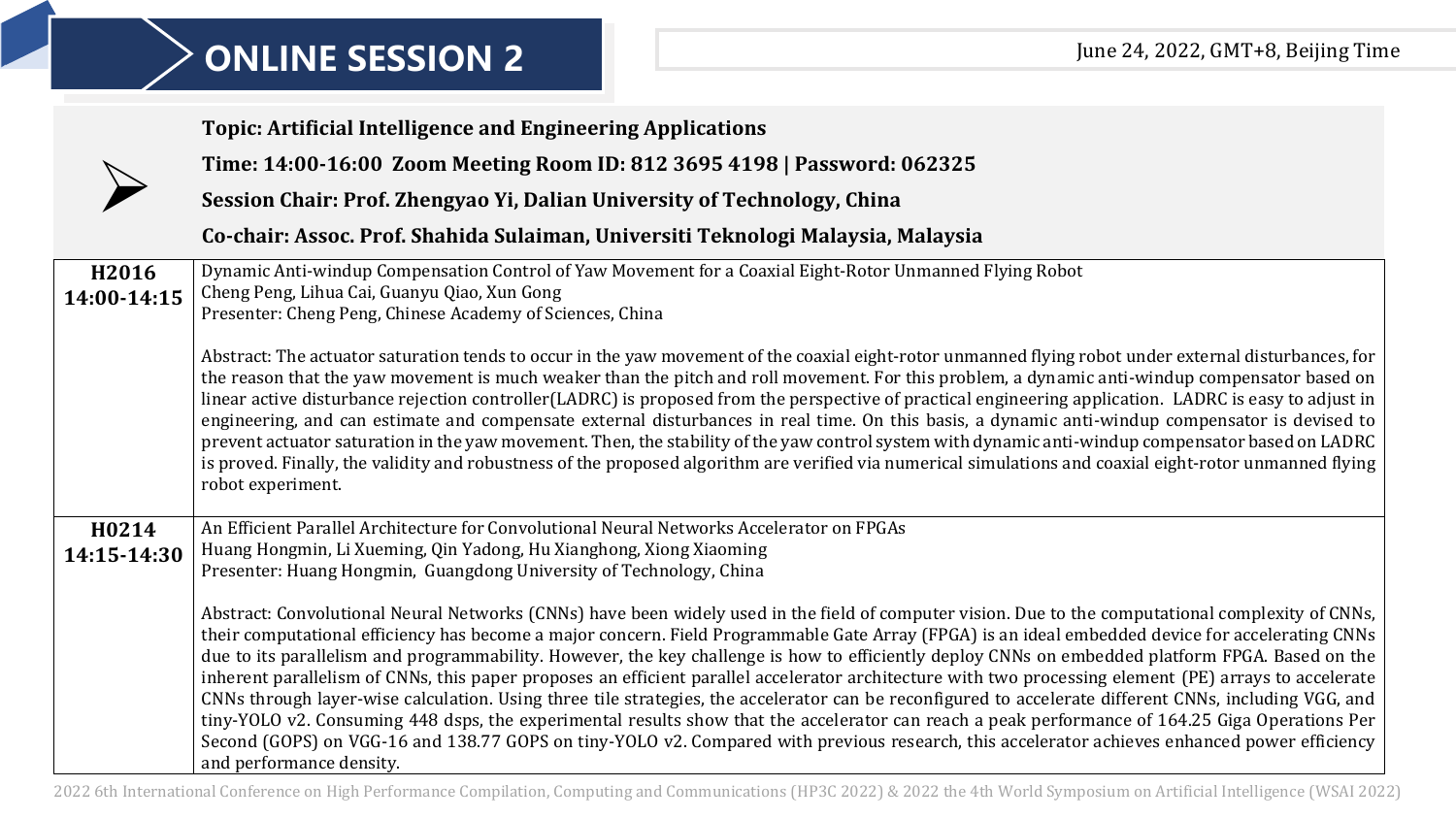|                      | <b>Topic: Artificial Intelligence and Engineering Applications</b>                                                                                                                                                                                                                                                                                                                                                                                                                                                                                                                                                                                                                                                                                                                                                                                                                                                                                                                                                                                                                                              |
|----------------------|-----------------------------------------------------------------------------------------------------------------------------------------------------------------------------------------------------------------------------------------------------------------------------------------------------------------------------------------------------------------------------------------------------------------------------------------------------------------------------------------------------------------------------------------------------------------------------------------------------------------------------------------------------------------------------------------------------------------------------------------------------------------------------------------------------------------------------------------------------------------------------------------------------------------------------------------------------------------------------------------------------------------------------------------------------------------------------------------------------------------|
|                      | Time: 14:00-16:00 Zoom Meeting Room ID: 812 3695 4198   Password: 062325                                                                                                                                                                                                                                                                                                                                                                                                                                                                                                                                                                                                                                                                                                                                                                                                                                                                                                                                                                                                                                        |
|                      | Session Chair: Prof. Zhengyao Yi, Dalian University of Technology, China                                                                                                                                                                                                                                                                                                                                                                                                                                                                                                                                                                                                                                                                                                                                                                                                                                                                                                                                                                                                                                        |
|                      | Co-chair: Assoc. Prof. Shahida Sulaiman, Universiti Teknologi Malaysia, Malaysia                                                                                                                                                                                                                                                                                                                                                                                                                                                                                                                                                                                                                                                                                                                                                                                                                                                                                                                                                                                                                                |
| H2016<br>14:00-14:15 | Dynamic Anti-windup Compensation Control of Yaw Movement for a Coaxial Eight-Rotor Unmanned Flying Robot<br>Cheng Peng, Lihua Cai, Guanyu Qiao, Xun Gong<br>Presenter: Cheng Peng, Chinese Academy of Sciences, China                                                                                                                                                                                                                                                                                                                                                                                                                                                                                                                                                                                                                                                                                                                                                                                                                                                                                           |
|                      | Abstract: The actuator saturation tends to occur in the yaw movement of the coaxial eight-rotor unmanned flying robot under external disturbances, for<br>the reason that the yaw movement is much weaker than the pitch and roll movement. For this problem, a dynamic anti-windup compensator based on<br>linear active disturbance rejection controller(LADRC) is proposed from the perspective of practical engineering application. LADRC is easy to adjust in<br>engineering, and can estimate and compensate external disturbances in real time. On this basis, a dynamic anti-windup compensator is devised to<br>prevent actuator saturation in the yaw movement. Then, the stability of the yaw control system with dynamic anti-windup compensator based on LADRC<br>is proved. Finally, the validity and robustness of the proposed algorithm are verified via numerical simulations and coaxial eight-rotor unmanned flying<br>robot experiment.                                                                                                                                                   |
| H0214<br>14:15-14:30 | An Efficient Parallel Architecture for Convolutional Neural Networks Accelerator on FPGAs<br>Huang Hongmin, Li Xueming, Qin Yadong, Hu Xianghong, Xiong Xiaoming<br>Presenter: Huang Hongmin, Guangdong University of Technology, China                                                                                                                                                                                                                                                                                                                                                                                                                                                                                                                                                                                                                                                                                                                                                                                                                                                                         |
|                      | Abstract: Convolutional Neural Networks (CNNs) have been widely used in the field of computer vision. Due to the computational complexity of CNNs,<br>their computational efficiency has become a major concern. Field Programmable Gate Array (FPGA) is an ideal embedded device for accelerating CNNs<br>due to its parallelism and programmability. However, the key challenge is how to efficiently deploy CNNs on embedded platform FPGA. Based on the<br>inherent parallelism of CNNs, this paper proposes an efficient parallel accelerator architecture with two processing element (PE) arrays to accelerate<br>CNNs through layer-wise calculation. Using three tile strategies, the accelerator can be reconfigured to accelerate different CNNs, including VGG, and<br>tiny-YOLO v2. Consuming 448 dsps, the experimental results show that the accelerator can reach a peak performance of 164.25 Giga Operations Per<br>Second (GOPS) on VGG-16 and 138.77 GOPS on tiny-YOLO v2. Compared with previous research, this accelerator achieves enhanced power efficiency<br>and performance density. |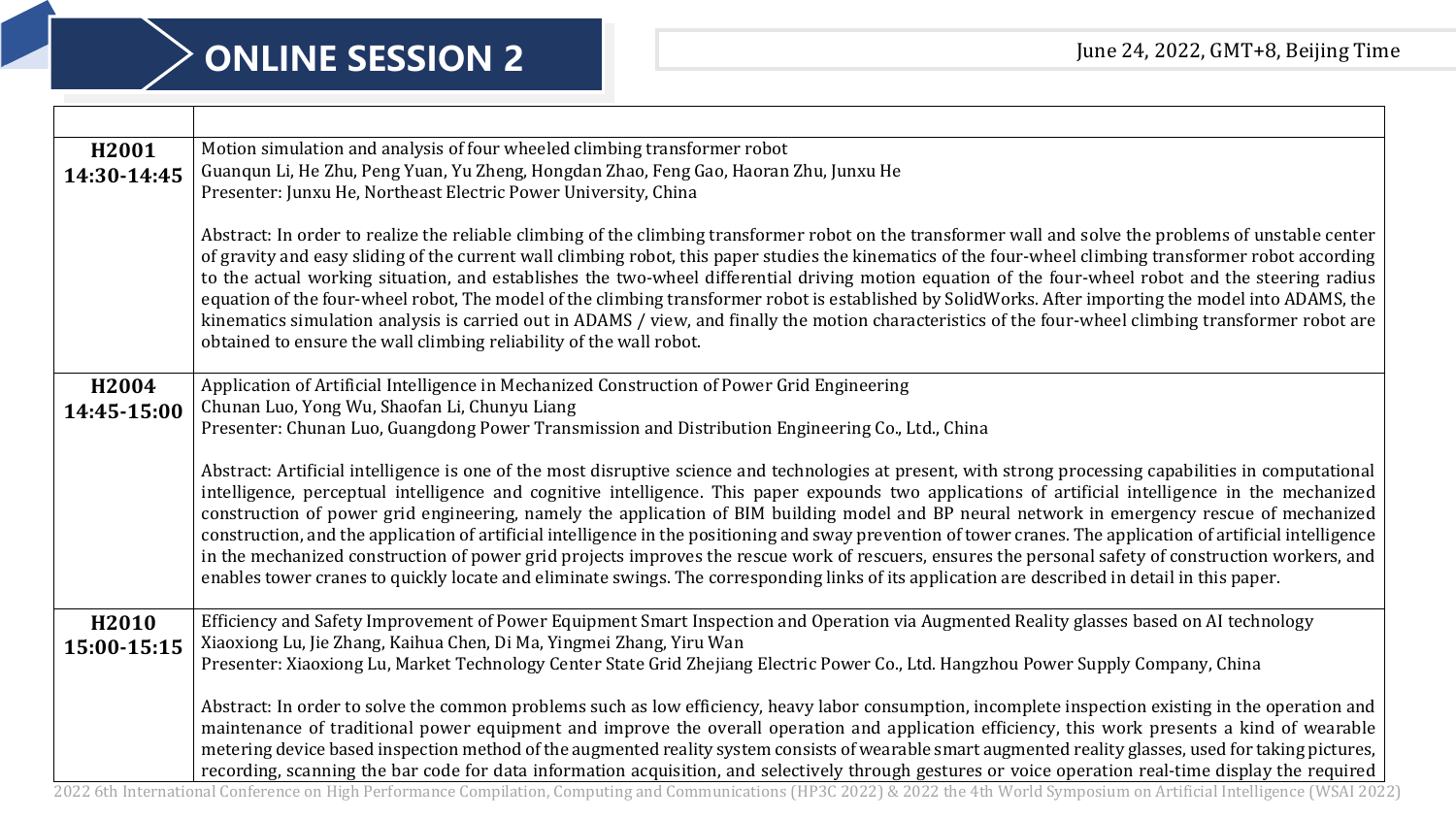| Motion simulation and analysis of four wheeled climbing transformer robot                                                                                                                                        |
|------------------------------------------------------------------------------------------------------------------------------------------------------------------------------------------------------------------|
| Guanqun Li, He Zhu, Peng Yuan, Yu Zheng, Hongdan Zhao, Feng Gao, Haoran Zhu, Junxu He                                                                                                                            |
| Presenter: Junxu He, Northeast Electric Power University, China                                                                                                                                                  |
|                                                                                                                                                                                                                  |
| Abstract: In order to realize the reliable climbing of the climbing transformer robot on the transformer wall and solve the problems of unstable center                                                          |
| of gravity and easy sliding of the current wall climbing robot, this paper studies the kinematics of the four-wheel climbing transformer robot according                                                         |
| to the actual working situation, and establishes the two-wheel differential driving motion equation of the four-wheel robot and the steering radius                                                              |
| equation of the four-wheel robot, The model of the climbing transformer robot is established by SolidWorks. After importing the model into ADAMS, the                                                            |
| kinematics simulation analysis is carried out in ADAMS / view, and finally the motion characteristics of the four-wheel climbing transformer robot are                                                           |
| obtained to ensure the wall climbing reliability of the wall robot.                                                                                                                                              |
|                                                                                                                                                                                                                  |
| Application of Artificial Intelligence in Mechanized Construction of Power Grid Engineering                                                                                                                      |
| Chunan Luo, Yong Wu, Shaofan Li, Chunyu Liang                                                                                                                                                                    |
| Presenter: Chunan Luo, Guangdong Power Transmission and Distribution Engineering Co., Ltd., China                                                                                                                |
|                                                                                                                                                                                                                  |
| Abstract: Artificial intelligence is one of the most disruptive science and technologies at present, with strong processing capabilities in computational                                                        |
| intelligence, perceptual intelligence and cognitive intelligence. This paper expounds two applications of artificial intelligence in the mechanized                                                              |
| construction of power grid engineering, namely the application of BIM building model and BP neural network in emergency rescue of mechanized                                                                     |
| construction, and the application of artificial intelligence in the positioning and sway prevention of tower cranes. The application of artificial intelligence                                                  |
| in the mechanized construction of power grid projects improves the rescue work of rescuers, ensures the personal safety of construction workers, and                                                             |
| enables tower cranes to quickly locate and eliminate swings. The corresponding links of its application are described in detail in this paper.                                                                   |
|                                                                                                                                                                                                                  |
| Efficiency and Safety Improvement of Power Equipment Smart Inspection and Operation via Augmented Reality glasses based on AI technology<br>Xiaoxiong Lu, Jie Zhang, Kaihua Chen, Di Ma, Yingmei Zhang, Yiru Wan |
| Presenter: Xiaoxiong Lu, Market Technology Center State Grid Zhejiang Electric Power Co., Ltd. Hangzhou Power Supply Company, China                                                                              |
|                                                                                                                                                                                                                  |
| Abstract: In order to solve the common problems such as low efficiency, heavy labor consumption, incomplete inspection existing in the operation and                                                             |
| maintenance of traditional power equipment and improve the overall operation and application efficiency, this work presents a kind of wearable                                                                   |
| metering device based inspection method of the augmented reality system consists of wearable smart augmented reality glasses, used for taking pictures,                                                          |
| recording, scanning the bar code for data information acquisition, and selectively through gestures or voice operation real-time display the required                                                            |
|                                                                                                                                                                                                                  |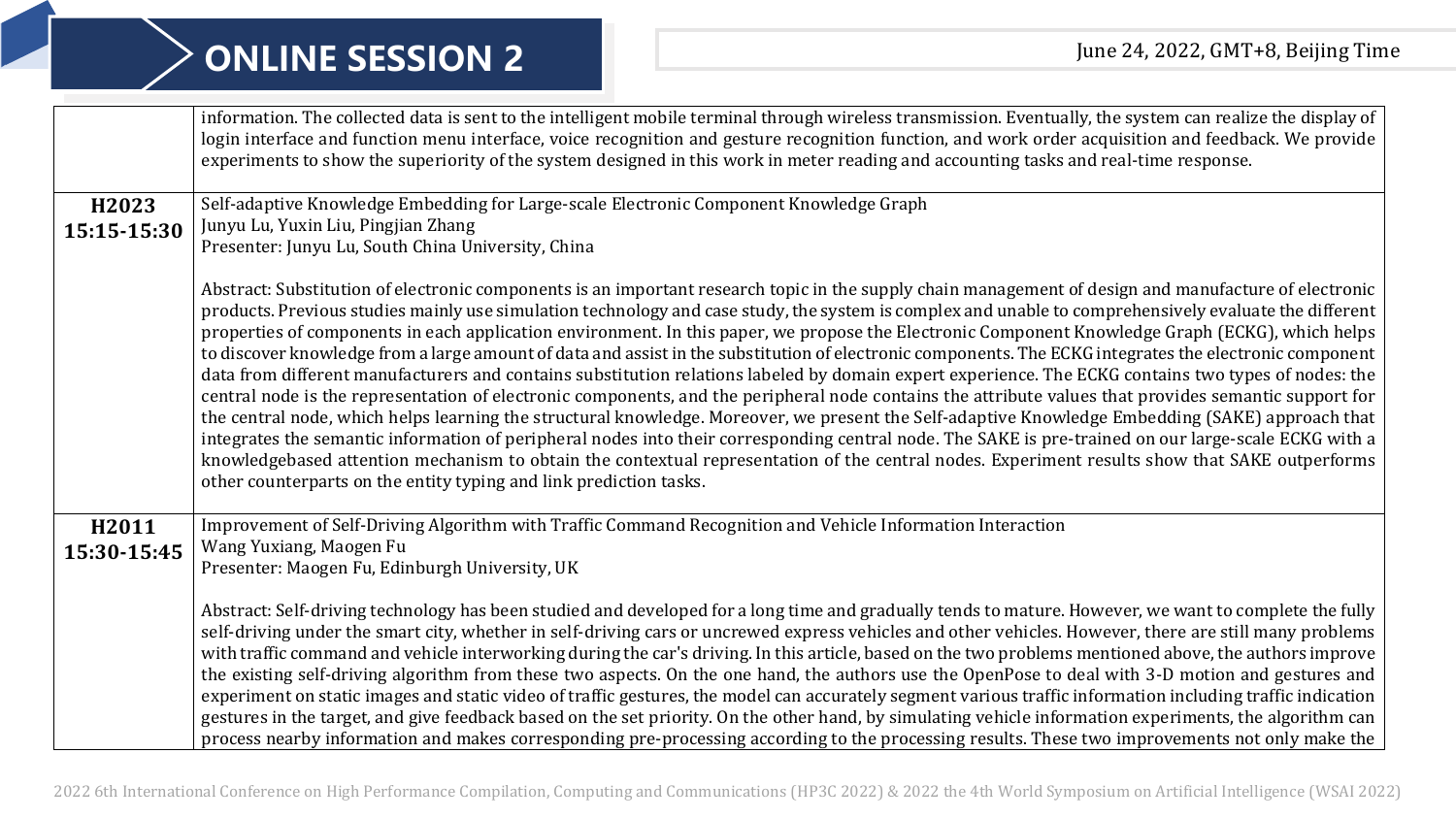|             | information. The collected data is sent to the intelligent mobile terminal through wireless transmission. Eventually, the system can realize the display of<br>login interface and function menu interface, voice recognition and gesture recognition function, and work order acquisition and feedback. We provide<br>experiments to show the superiority of the system designed in this work in meter reading and accounting tasks and real-time response.                                                                                                                                                                                                                                                                                                                                                                                                                                                                                                                                                                                                                                                                                                                                                                                                                                                                                                                                                                                                                         |
|-------------|--------------------------------------------------------------------------------------------------------------------------------------------------------------------------------------------------------------------------------------------------------------------------------------------------------------------------------------------------------------------------------------------------------------------------------------------------------------------------------------------------------------------------------------------------------------------------------------------------------------------------------------------------------------------------------------------------------------------------------------------------------------------------------------------------------------------------------------------------------------------------------------------------------------------------------------------------------------------------------------------------------------------------------------------------------------------------------------------------------------------------------------------------------------------------------------------------------------------------------------------------------------------------------------------------------------------------------------------------------------------------------------------------------------------------------------------------------------------------------------|
| H2023       | Self-adaptive Knowledge Embedding for Large-scale Electronic Component Knowledge Graph                                                                                                                                                                                                                                                                                                                                                                                                                                                                                                                                                                                                                                                                                                                                                                                                                                                                                                                                                                                                                                                                                                                                                                                                                                                                                                                                                                                               |
| 15:15-15:30 | Junyu Lu, Yuxin Liu, Pingjian Zhang<br>Presenter: Junyu Lu, South China University, China                                                                                                                                                                                                                                                                                                                                                                                                                                                                                                                                                                                                                                                                                                                                                                                                                                                                                                                                                                                                                                                                                                                                                                                                                                                                                                                                                                                            |
|             | Abstract: Substitution of electronic components is an important research topic in the supply chain management of design and manufacture of electronic<br>products. Previous studies mainly use simulation technology and case study, the system is complex and unable to comprehensively evaluate the different<br>properties of components in each application environment. In this paper, we propose the Electronic Component Knowledge Graph (ECKG), which helps<br>to discover knowledge from a large amount of data and assist in the substitution of electronic components. The ECKG integrates the electronic component<br>data from different manufacturers and contains substitution relations labeled by domain expert experience. The ECKG contains two types of nodes: the<br>central node is the representation of electronic components, and the peripheral node contains the attribute values that provides semantic support for<br>the central node, which helps learning the structural knowledge. Moreover, we present the Self-adaptive Knowledge Embedding (SAKE) approach that<br>integrates the semantic information of peripheral nodes into their corresponding central node. The SAKE is pre-trained on our large-scale ECKG with a<br>knowledgebased attention mechanism to obtain the contextual representation of the central nodes. Experiment results show that SAKE outperforms<br>other counterparts on the entity typing and link prediction tasks. |
| H2011       | Improvement of Self-Driving Algorithm with Traffic Command Recognition and Vehicle Information Interaction                                                                                                                                                                                                                                                                                                                                                                                                                                                                                                                                                                                                                                                                                                                                                                                                                                                                                                                                                                                                                                                                                                                                                                                                                                                                                                                                                                           |
| 15:30-15:45 | Wang Yuxiang, Maogen Fu                                                                                                                                                                                                                                                                                                                                                                                                                                                                                                                                                                                                                                                                                                                                                                                                                                                                                                                                                                                                                                                                                                                                                                                                                                                                                                                                                                                                                                                              |
|             | Presenter: Maogen Fu, Edinburgh University, UK                                                                                                                                                                                                                                                                                                                                                                                                                                                                                                                                                                                                                                                                                                                                                                                                                                                                                                                                                                                                                                                                                                                                                                                                                                                                                                                                                                                                                                       |
|             | Abstract: Self-driving technology has been studied and developed for a long time and gradually tends to mature. However, we want to complete the fully<br>self-driving under the smart city, whether in self-driving cars or uncrewed express vehicles and other vehicles. However, there are still many problems<br>with traffic command and vehicle interworking during the car's driving. In this article, based on the two problems mentioned above, the authors improve<br>the existing self-driving algorithm from these two aspects. On the one hand, the authors use the OpenPose to deal with 3-D motion and gestures and<br>experiment on static images and static video of traffic gestures, the model can accurately segment various traffic information including traffic indication<br>gestures in the target, and give feedback based on the set priority. On the other hand, by simulating vehicle information experiments, the algorithm can<br>process nearby information and makes corresponding pre-processing according to the processing results. These two improvements not only make the                                                                                                                                                                                                                                                                                                                                                                     |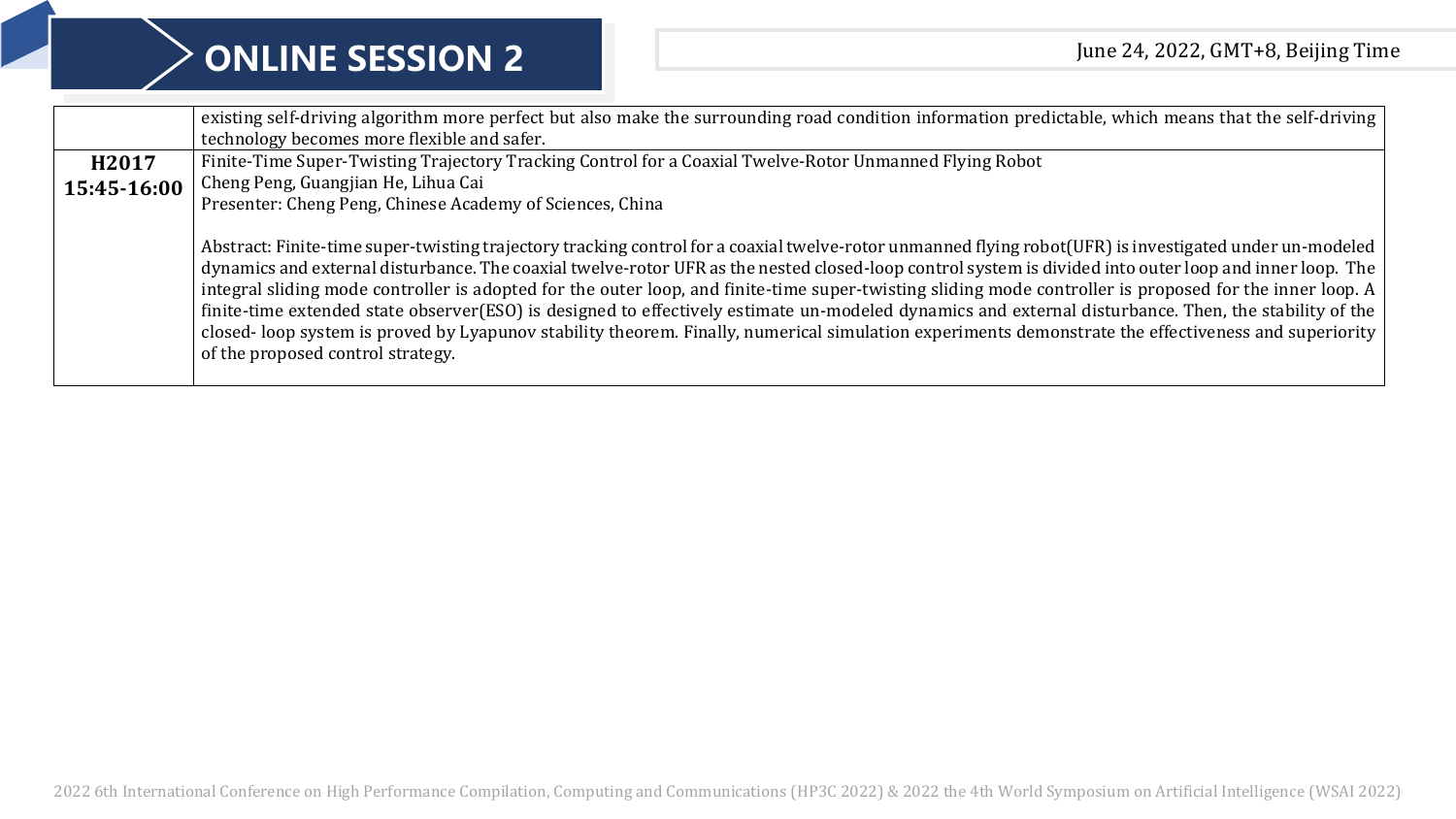|             | existing self-driving algorithm more perfect but also make the surrounding road condition information predictable, which means that the self-driving<br>technology becomes more flexible and safer.                                                                                                                                                                                                                                                                                                                                                                                                                                                                                                                                                                                                                                     |
|-------------|-----------------------------------------------------------------------------------------------------------------------------------------------------------------------------------------------------------------------------------------------------------------------------------------------------------------------------------------------------------------------------------------------------------------------------------------------------------------------------------------------------------------------------------------------------------------------------------------------------------------------------------------------------------------------------------------------------------------------------------------------------------------------------------------------------------------------------------------|
| H2017       | Finite-Time Super-Twisting Trajectory Tracking Control for a Coaxial Twelve-Rotor Unmanned Flying Robot                                                                                                                                                                                                                                                                                                                                                                                                                                                                                                                                                                                                                                                                                                                                 |
| 15:45-16:00 | Cheng Peng, Guangjian He, Lihua Cai                                                                                                                                                                                                                                                                                                                                                                                                                                                                                                                                                                                                                                                                                                                                                                                                     |
|             | Presenter: Cheng Peng, Chinese Academy of Sciences, China                                                                                                                                                                                                                                                                                                                                                                                                                                                                                                                                                                                                                                                                                                                                                                               |
|             | Abstract: Finite-time super-twisting trajectory tracking control for a coaxial twelve-rotor unmanned flying robot(UFR) is investigated under un-modeled  <br>dynamics and external disturbance. The coaxial twelve-rotor UFR as the nested closed-loop control system is divided into outer loop and inner loop. The<br>integral sliding mode controller is adopted for the outer loop, and finite-time super-twisting sliding mode controller is proposed for the inner loop. A<br>finite-time extended state observer(ESO) is designed to effectively estimate un-modeled dynamics and external disturbance. Then, the stability of the<br>closed-loop system is proved by Lyapunov stability theorem. Finally, numerical simulation experiments demonstrate the effectiveness and superiority  <br>of the proposed control strategy. |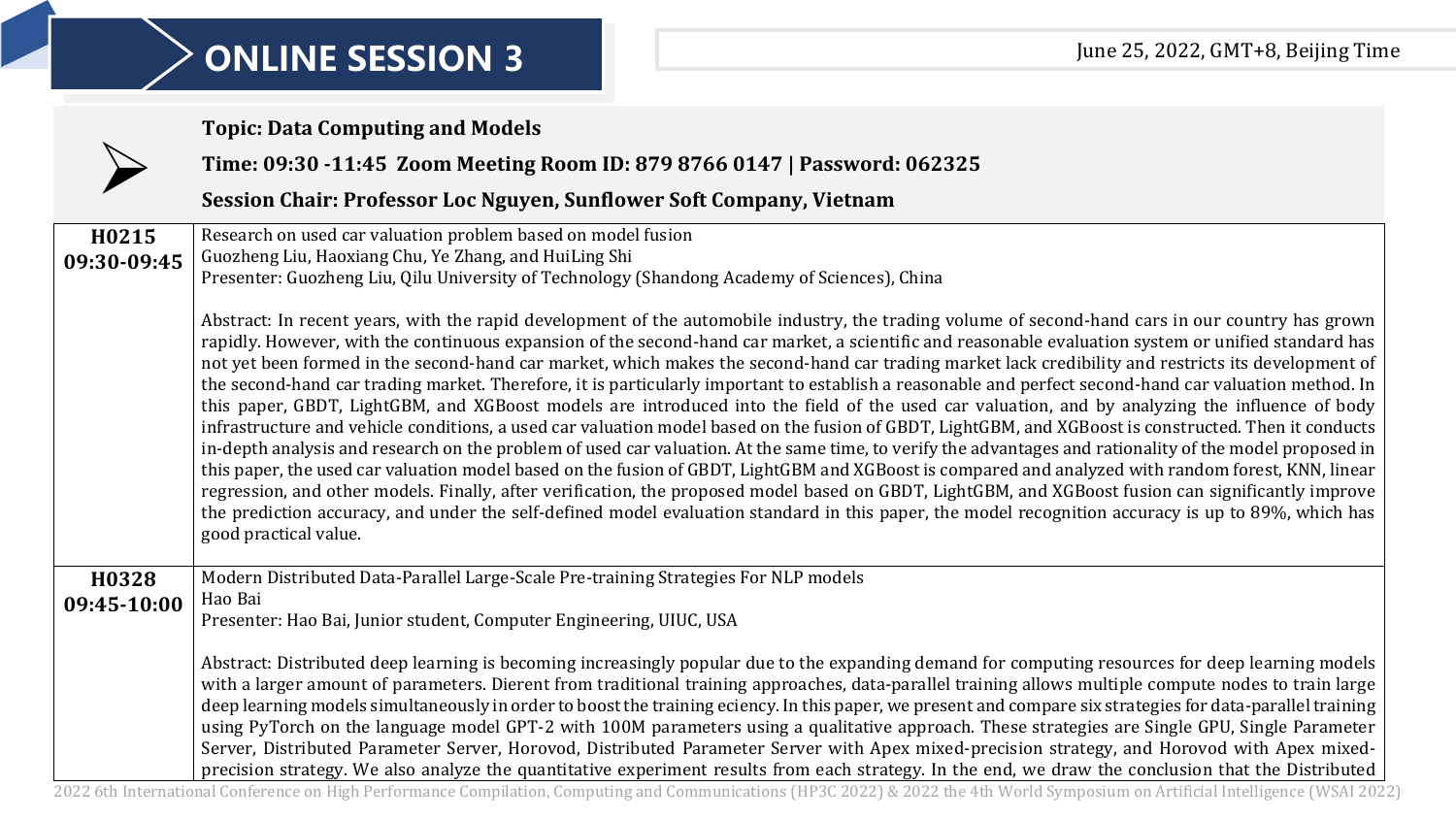|                      | <b>Topic: Data Computing and Models</b>                                                                                                                                                                                                                                                                                                                                                                                                                                                                                                                                                                                                                                                                                                                                                                                                                                                                                                                                                                                                                                                                                                                                                                                                                                                                                                                                                                                                                                                                                                                                                         |
|----------------------|-------------------------------------------------------------------------------------------------------------------------------------------------------------------------------------------------------------------------------------------------------------------------------------------------------------------------------------------------------------------------------------------------------------------------------------------------------------------------------------------------------------------------------------------------------------------------------------------------------------------------------------------------------------------------------------------------------------------------------------------------------------------------------------------------------------------------------------------------------------------------------------------------------------------------------------------------------------------------------------------------------------------------------------------------------------------------------------------------------------------------------------------------------------------------------------------------------------------------------------------------------------------------------------------------------------------------------------------------------------------------------------------------------------------------------------------------------------------------------------------------------------------------------------------------------------------------------------------------|
|                      | Time: 09:30 -11:45 Zoom Meeting Room ID: 879 8766 0147   Password: 062325                                                                                                                                                                                                                                                                                                                                                                                                                                                                                                                                                                                                                                                                                                                                                                                                                                                                                                                                                                                                                                                                                                                                                                                                                                                                                                                                                                                                                                                                                                                       |
|                      | Session Chair: Professor Loc Nguyen, Sunflower Soft Company, Vietnam                                                                                                                                                                                                                                                                                                                                                                                                                                                                                                                                                                                                                                                                                                                                                                                                                                                                                                                                                                                                                                                                                                                                                                                                                                                                                                                                                                                                                                                                                                                            |
| H0215<br>09:30-09:45 | Research on used car valuation problem based on model fusion<br>Guozheng Liu, Haoxiang Chu, Ye Zhang, and HuiLing Shi<br>Presenter: Guozheng Liu, Qilu University of Technology (Shandong Academy of Sciences), China                                                                                                                                                                                                                                                                                                                                                                                                                                                                                                                                                                                                                                                                                                                                                                                                                                                                                                                                                                                                                                                                                                                                                                                                                                                                                                                                                                           |
|                      | Abstract: In recent years, with the rapid development of the automobile industry, the trading volume of second-hand cars in our country has grown<br>rapidly. However, with the continuous expansion of the second-hand car market, a scientific and reasonable evaluation system or unified standard has<br>not yet been formed in the second-hand car market, which makes the second-hand car trading market lack credibility and restricts its development of<br>the second-hand car trading market. Therefore, it is particularly important to establish a reasonable and perfect second-hand car valuation method. In<br>this paper, GBDT, LightGBM, and XGBoost models are introduced into the field of the used car valuation, and by analyzing the influence of body<br>infrastructure and vehicle conditions, a used car valuation model based on the fusion of GBDT, LightGBM, and XGBoost is constructed. Then it conducts<br>in-depth analysis and research on the problem of used car valuation. At the same time, to verify the advantages and rationality of the model proposed in<br>this paper, the used car valuation model based on the fusion of GBDT, LightGBM and XGBoost is compared and analyzed with random forest, KNN, linear<br>regression, and other models. Finally, after verification, the proposed model based on GBDT, LightGBM, and XGBoost fusion can significantly improve<br>the prediction accuracy, and under the self-defined model evaluation standard in this paper, the model recognition accuracy is up to 89%, which has<br>good practical value. |
| H0328<br>09:45-10:00 | Modern Distributed Data-Parallel Large-Scale Pre-training Strategies For NLP models<br>Hao Bai<br>Presenter: Hao Bai, Junior student, Computer Engineering, UIUC, USA<br>Abstract: Distributed deep learning is becoming increasingly popular due to the expanding demand for computing resources for deep learning models<br>with a larger amount of parameters. Dierent from traditional training approaches, data-parallel training allows multiple compute nodes to train large                                                                                                                                                                                                                                                                                                                                                                                                                                                                                                                                                                                                                                                                                                                                                                                                                                                                                                                                                                                                                                                                                                             |
|                      | deep learning models simultaneously in order to boost the training eciency. In this paper, we present and compare six strategies for data-parallel training<br>using PyTorch on the language model GPT-2 with 100M parameters using a qualitative approach. These strategies are Single GPU, Single Parameter<br>Server, Distributed Parameter Server, Horovod, Distributed Parameter Server with Apex mixed-precision strategy, and Horovod with Apex mixed-<br>precision strategy. We also analyze the quantitative experiment results from each strategy. In the end, we draw the conclusion that the Distributed                                                                                                                                                                                                                                                                                                                                                                                                                                                                                                                                                                                                                                                                                                                                                                                                                                                                                                                                                                            |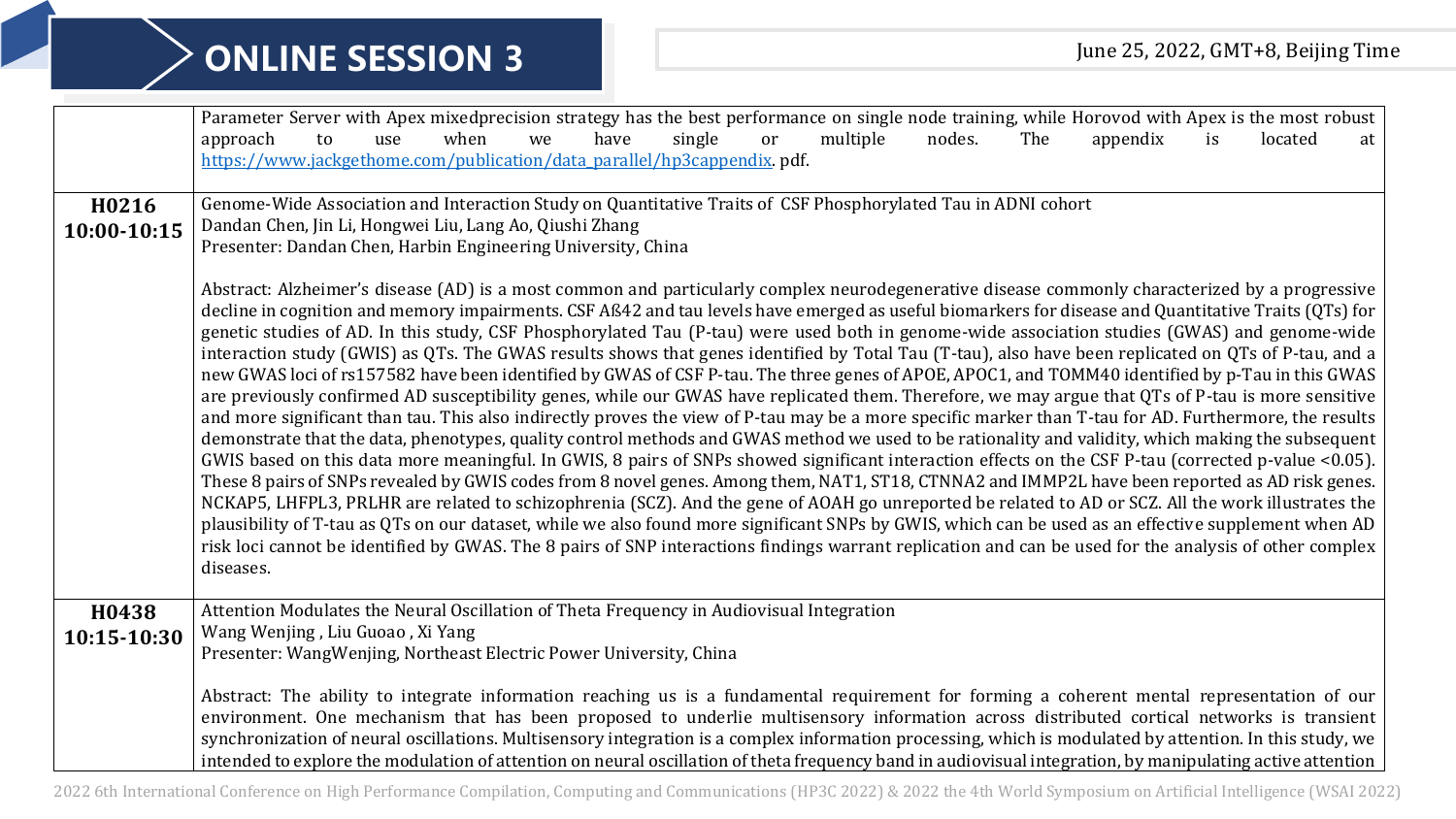|                      | Parameter Server with Apex mixedprecision strategy has the best performance on single node training, while Horovod with Apex is the most robust<br>single<br>multiple<br>when<br>have<br>nodes.<br>The<br>appendix<br>located<br>approach<br>to<br>we<br>use<br>or<br><i>is</i><br>at<br>https://www.jackgethome.com/publication/data_parallel/hp3cappendix.pdf.                                                                                                                                                                                                                                                                                                                                                                                                                                                                                                                                                                                                                                                                                                                                                                                                                                                                                                                                                                                                                                                                                                                                                                                                                                                                                                                                                                                                                                                                                                                                                                                                                                                                          |
|----------------------|-------------------------------------------------------------------------------------------------------------------------------------------------------------------------------------------------------------------------------------------------------------------------------------------------------------------------------------------------------------------------------------------------------------------------------------------------------------------------------------------------------------------------------------------------------------------------------------------------------------------------------------------------------------------------------------------------------------------------------------------------------------------------------------------------------------------------------------------------------------------------------------------------------------------------------------------------------------------------------------------------------------------------------------------------------------------------------------------------------------------------------------------------------------------------------------------------------------------------------------------------------------------------------------------------------------------------------------------------------------------------------------------------------------------------------------------------------------------------------------------------------------------------------------------------------------------------------------------------------------------------------------------------------------------------------------------------------------------------------------------------------------------------------------------------------------------------------------------------------------------------------------------------------------------------------------------------------------------------------------------------------------------------------------------|
| H0216<br>10:00-10:15 | Genome-Wide Association and Interaction Study on Quantitative Traits of CSF Phosphorylated Tau in ADNI cohort<br>Dandan Chen, Jin Li, Hongwei Liu, Lang Ao, Qiushi Zhang<br>Presenter: Dandan Chen, Harbin Engineering University, China                                                                                                                                                                                                                                                                                                                                                                                                                                                                                                                                                                                                                                                                                                                                                                                                                                                                                                                                                                                                                                                                                                                                                                                                                                                                                                                                                                                                                                                                                                                                                                                                                                                                                                                                                                                                  |
|                      | Abstract: Alzheimer's disease (AD) is a most common and particularly complex neurodegenerative disease commonly characterized by a progressive<br>decline in cognition and memory impairments. CSF Aß42 and tau levels have emerged as useful biomarkers for disease and Quantitative Traits (QTs) for<br>genetic studies of AD. In this study, CSF Phosphorylated Tau (P-tau) were used both in genome-wide association studies (GWAS) and genome-wide<br>interaction study (GWIS) as QTs. The GWAS results shows that genes identified by Total Tau (T-tau), also have been replicated on QTs of P-tau, and a<br>new GWAS loci of rs157582 have been identified by GWAS of CSF P-tau. The three genes of APOE, APOC1, and TOMM40 identified by p-Tau in this GWAS<br>are previously confirmed AD susceptibility genes, while our GWAS have replicated them. Therefore, we may argue that QTs of P-tau is more sensitive<br>and more significant than tau. This also indirectly proves the view of P-tau may be a more specific marker than T-tau for AD. Furthermore, the results<br>demonstrate that the data, phenotypes, quality control methods and GWAS method we used to be rationality and validity, which making the subsequent<br>GWIS based on this data more meaningful. In GWIS, 8 pairs of SNPs showed significant interaction effects on the CSF P-tau (corrected p-value <0.05).<br>These 8 pairs of SNPs revealed by GWIS codes from 8 novel genes. Among them, NAT1, ST18, CTNNA2 and IMMP2L have been reported as AD risk genes.<br>NCKAP5, LHFPL3, PRLHR are related to schizophrenia (SCZ). And the gene of AOAH go unreported be related to AD or SCZ. All the work illustrates the<br>plausibility of T-tau as QTs on our dataset, while we also found more significant SNPs by GWIS, which can be used as an effective supplement when AD<br>risk loci cannot be identified by GWAS. The 8 pairs of SNP interactions findings warrant replication and can be used for the analysis of other complex<br>diseases. |
| H0438<br>10:15-10:30 | Attention Modulates the Neural Oscillation of Theta Frequency in Audiovisual Integration<br>Wang Wenjing, Liu Guoao, Xi Yang<br>Presenter: WangWenjing, Northeast Electric Power University, China                                                                                                                                                                                                                                                                                                                                                                                                                                                                                                                                                                                                                                                                                                                                                                                                                                                                                                                                                                                                                                                                                                                                                                                                                                                                                                                                                                                                                                                                                                                                                                                                                                                                                                                                                                                                                                        |
|                      | Abstract: The ability to integrate information reaching us is a fundamental requirement for forming a coherent mental representation of our<br>environment. One mechanism that has been proposed to underlie multisensory information across distributed cortical networks is transient<br>synchronization of neural oscillations. Multisensory integration is a complex information processing, which is modulated by attention. In this study, we<br>intended to explore the modulation of attention on neural oscillation of theta frequency band in audiovisual integration, by manipulating active attention                                                                                                                                                                                                                                                                                                                                                                                                                                                                                                                                                                                                                                                                                                                                                                                                                                                                                                                                                                                                                                                                                                                                                                                                                                                                                                                                                                                                                         |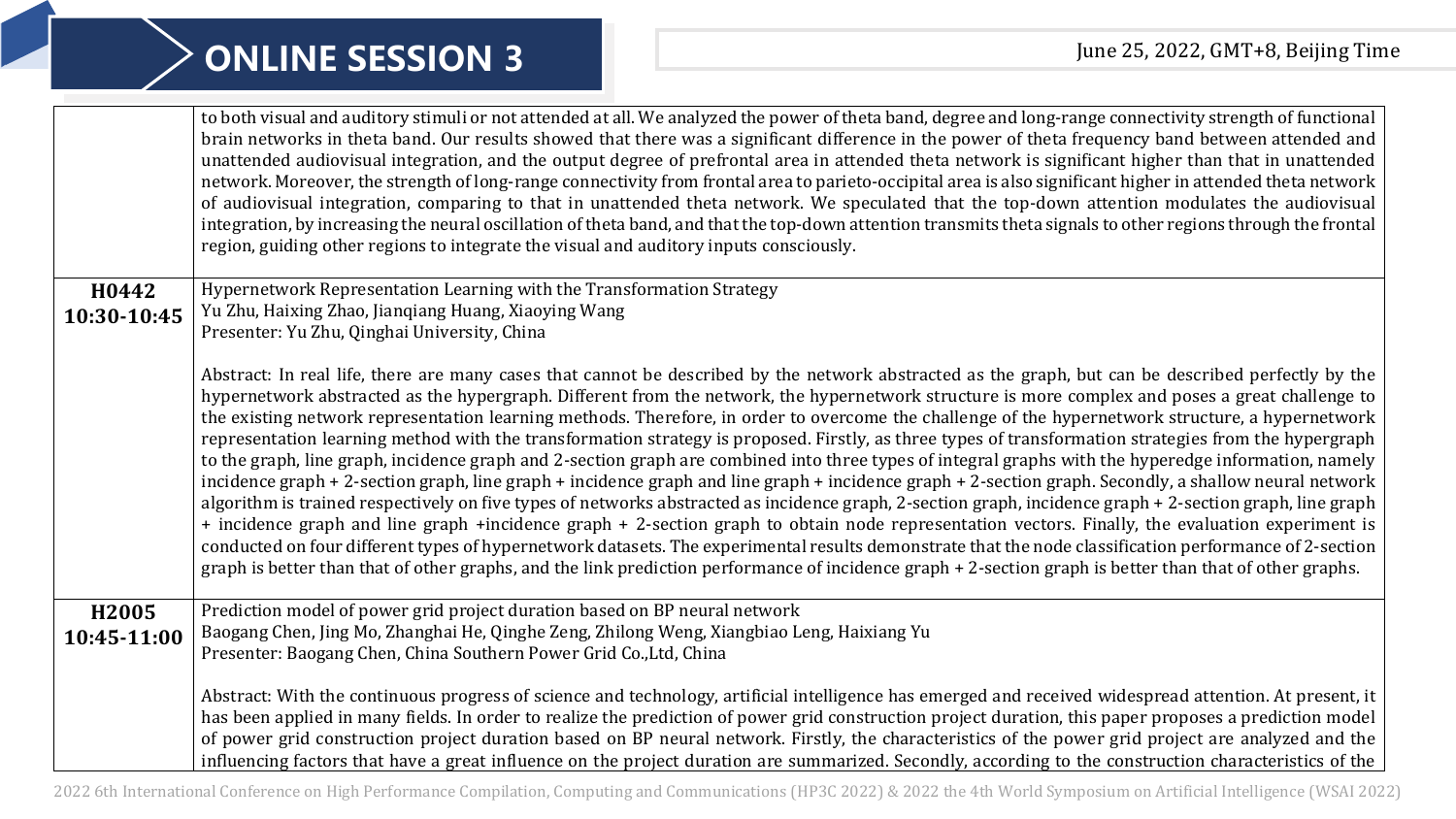|                      | to both visual and auditory stimuli or not attended at all. We analyzed the power of theta band, degree and long-range connectivity strength of functional<br>brain networks in theta band. Our results showed that there was a significant difference in the power of theta frequency band between attended and<br>unattended audiovisual integration, and the output degree of prefrontal area in attended theta network is significant higher than that in unattended<br>network. Moreover, the strength of long-range connectivity from frontal area to parieto-occipital area is also significant higher in attended theta network<br>of audiovisual integration, comparing to that in unattended theta network. We speculated that the top-down attention modulates the audiovisual<br>integration, by increasing the neural oscillation of theta band, and that the top-down attention transmits theta signals to other regions through the frontal<br>region, guiding other regions to integrate the visual and auditory inputs consciously.                                                                                                                                                                                                                                                                                                                                                                                                                                                                                                                            |
|----------------------|---------------------------------------------------------------------------------------------------------------------------------------------------------------------------------------------------------------------------------------------------------------------------------------------------------------------------------------------------------------------------------------------------------------------------------------------------------------------------------------------------------------------------------------------------------------------------------------------------------------------------------------------------------------------------------------------------------------------------------------------------------------------------------------------------------------------------------------------------------------------------------------------------------------------------------------------------------------------------------------------------------------------------------------------------------------------------------------------------------------------------------------------------------------------------------------------------------------------------------------------------------------------------------------------------------------------------------------------------------------------------------------------------------------------------------------------------------------------------------------------------------------------------------------------------------------------------------|
| H0442                | Hypernetwork Representation Learning with the Transformation Strategy                                                                                                                                                                                                                                                                                                                                                                                                                                                                                                                                                                                                                                                                                                                                                                                                                                                                                                                                                                                                                                                                                                                                                                                                                                                                                                                                                                                                                                                                                                           |
| 10:30-10:45          | Yu Zhu, Haixing Zhao, Jiangiang Huang, Xiaoying Wang<br>Presenter: Yu Zhu, Qinghai University, China                                                                                                                                                                                                                                                                                                                                                                                                                                                                                                                                                                                                                                                                                                                                                                                                                                                                                                                                                                                                                                                                                                                                                                                                                                                                                                                                                                                                                                                                            |
|                      |                                                                                                                                                                                                                                                                                                                                                                                                                                                                                                                                                                                                                                                                                                                                                                                                                                                                                                                                                                                                                                                                                                                                                                                                                                                                                                                                                                                                                                                                                                                                                                                 |
|                      | Abstract: In real life, there are many cases that cannot be described by the network abstracted as the graph, but can be described perfectly by the<br>hypernetwork abstracted as the hypergraph. Different from the network, the hypernetwork structure is more complex and poses a great challenge to<br>the existing network representation learning methods. Therefore, in order to overcome the challenge of the hypernetwork structure, a hypernetwork<br>representation learning method with the transformation strategy is proposed. Firstly, as three types of transformation strategies from the hypergraph<br>to the graph, line graph, incidence graph and 2-section graph are combined into three types of integral graphs with the hyperedge information, namely<br>incidence graph + 2-section graph, line graph + incidence graph and line graph + incidence graph + 2-section graph. Secondly, a shallow neural network<br>algorithm is trained respectively on five types of networks abstracted as incidence graph, 2-section graph, incidence graph + 2-section graph, line graph<br>+ incidence graph and line graph +incidence graph + 2-section graph to obtain node representation vectors. Finally, the evaluation experiment is<br>conducted on four different types of hypernetwork datasets. The experimental results demonstrate that the node classification performance of 2-section<br>graph is better than that of other graphs, and the link prediction performance of incidence graph + 2-section graph is better than that of other graphs. |
| H2005<br>10:45-11:00 | Prediction model of power grid project duration based on BP neural network<br>Baogang Chen, Jing Mo, Zhanghai He, Qinghe Zeng, Zhilong Weng, Xiangbiao Leng, Haixiang Yu<br>Presenter: Baogang Chen, China Southern Power Grid Co., Ltd, China                                                                                                                                                                                                                                                                                                                                                                                                                                                                                                                                                                                                                                                                                                                                                                                                                                                                                                                                                                                                                                                                                                                                                                                                                                                                                                                                  |
|                      | Abstract: With the continuous progress of science and technology, artificial intelligence has emerged and received widespread attention. At present, it<br>has been applied in many fields. In order to realize the prediction of power grid construction project duration, this paper proposes a prediction model<br>of power grid construction project duration based on BP neural network. Firstly, the characteristics of the power grid project are analyzed and the<br>influencing factors that have a great influence on the project duration are summarized. Secondly, according to the construction characteristics of the                                                                                                                                                                                                                                                                                                                                                                                                                                                                                                                                                                                                                                                                                                                                                                                                                                                                                                                                             |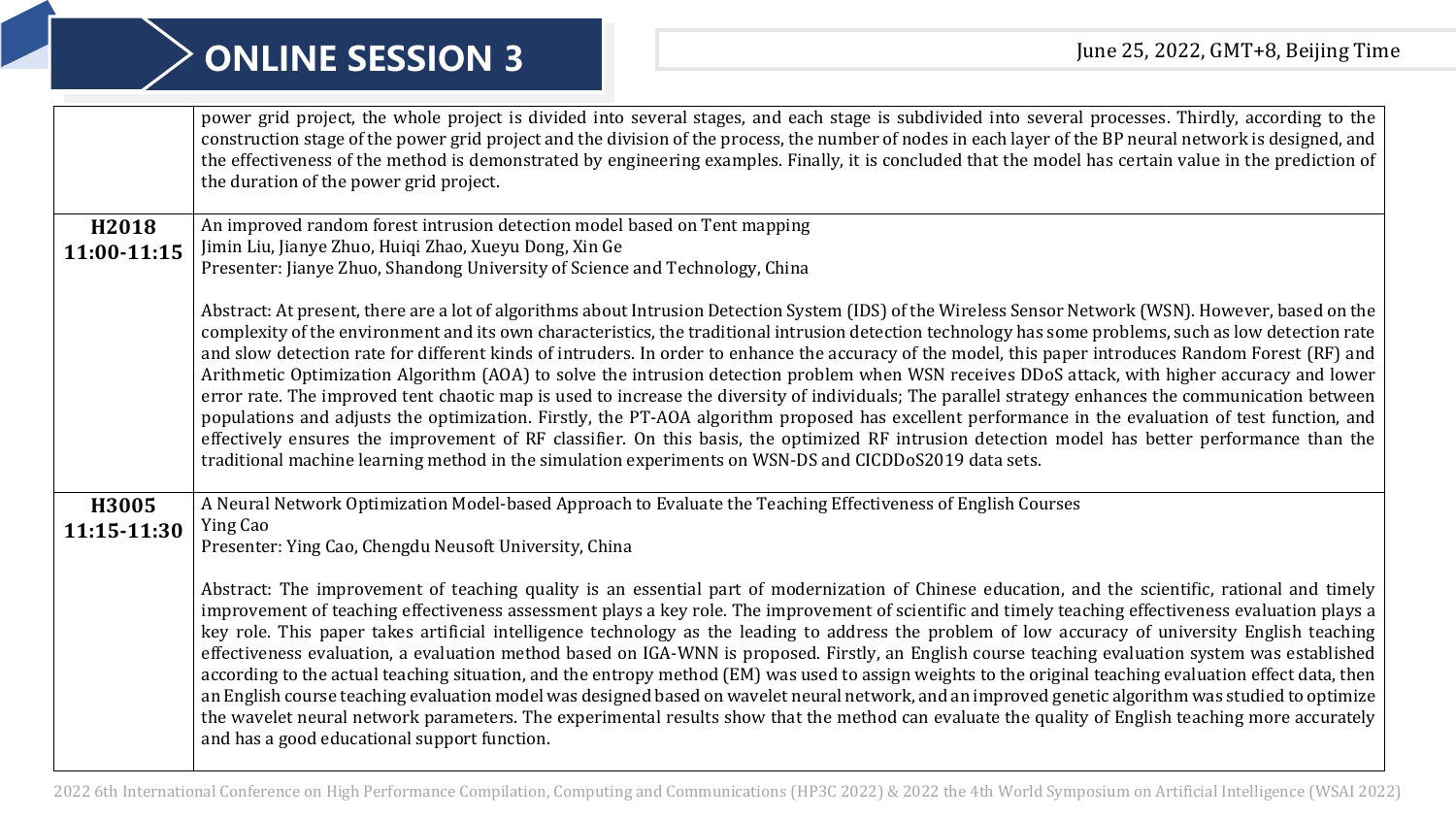|             | power grid project, the whole project is divided into several stages, and each stage is subdivided into several processes. Thirdly, according to the<br>construction stage of the power grid project and the division of the process, the number of nodes in each layer of the BP neural network is designed, and<br>the effectiveness of the method is demonstrated by engineering examples. Finally, it is concluded that the model has certain value in the prediction of<br>the duration of the power grid project.                                                                                                                                                                                                                                                                                                                                                                                                                                                                                                                                                                                                                                                                                 |
|-------------|---------------------------------------------------------------------------------------------------------------------------------------------------------------------------------------------------------------------------------------------------------------------------------------------------------------------------------------------------------------------------------------------------------------------------------------------------------------------------------------------------------------------------------------------------------------------------------------------------------------------------------------------------------------------------------------------------------------------------------------------------------------------------------------------------------------------------------------------------------------------------------------------------------------------------------------------------------------------------------------------------------------------------------------------------------------------------------------------------------------------------------------------------------------------------------------------------------|
| H2018       | An improved random forest intrusion detection model based on Tent mapping<br>Jimin Liu, Jianye Zhuo, Huiqi Zhao, Xueyu Dong, Xin Ge                                                                                                                                                                                                                                                                                                                                                                                                                                                                                                                                                                                                                                                                                                                                                                                                                                                                                                                                                                                                                                                                     |
| 11:00-11:15 | Presenter: Jianye Zhuo, Shandong University of Science and Technology, China                                                                                                                                                                                                                                                                                                                                                                                                                                                                                                                                                                                                                                                                                                                                                                                                                                                                                                                                                                                                                                                                                                                            |
|             | Abstract: At present, there are a lot of algorithms about Intrusion Detection System (IDS) of the Wireless Sensor Network (WSN). However, based on the<br>complexity of the environment and its own characteristics, the traditional intrusion detection technology has some problems, such as low detection rate<br>and slow detection rate for different kinds of intruders. In order to enhance the accuracy of the model, this paper introduces Random Forest (RF) and<br>Arithmetic Optimization Algorithm (AOA) to solve the intrusion detection problem when WSN receives DDoS attack, with higher accuracy and lower<br>error rate. The improved tent chaotic map is used to increase the diversity of individuals; The parallel strategy enhances the communication between<br>populations and adjusts the optimization. Firstly, the PT-AOA algorithm proposed has excellent performance in the evaluation of test function, and<br>effectively ensures the improvement of RF classifier. On this basis, the optimized RF intrusion detection model has better performance than the<br>traditional machine learning method in the simulation experiments on WSN-DS and CICDDoS2019 data sets. |
| H3005       | A Neural Network Optimization Model-based Approach to Evaluate the Teaching Effectiveness of English Courses<br>Ying Cao                                                                                                                                                                                                                                                                                                                                                                                                                                                                                                                                                                                                                                                                                                                                                                                                                                                                                                                                                                                                                                                                                |
| 11:15-11:30 | Presenter: Ying Cao, Chengdu Neusoft University, China                                                                                                                                                                                                                                                                                                                                                                                                                                                                                                                                                                                                                                                                                                                                                                                                                                                                                                                                                                                                                                                                                                                                                  |
|             | Abstract: The improvement of teaching quality is an essential part of modernization of Chinese education, and the scientific, rational and timely<br>improvement of teaching effectiveness assessment plays a key role. The improvement of scientific and timely teaching effectiveness evaluation plays a<br>key role. This paper takes artificial intelligence technology as the leading to address the problem of low accuracy of university English teaching<br>effectiveness evaluation, a evaluation method based on IGA-WNN is proposed. Firstly, an English course teaching evaluation system was established<br>according to the actual teaching situation, and the entropy method (EM) was used to assign weights to the original teaching evaluation effect data, then<br>an English course teaching evaluation model was designed based on wavelet neural network, and an improved genetic algorithm was studied to optimize<br>the wavelet neural network parameters. The experimental results show that the method can evaluate the quality of English teaching more accurately<br>and has a good educational support function.                                                           |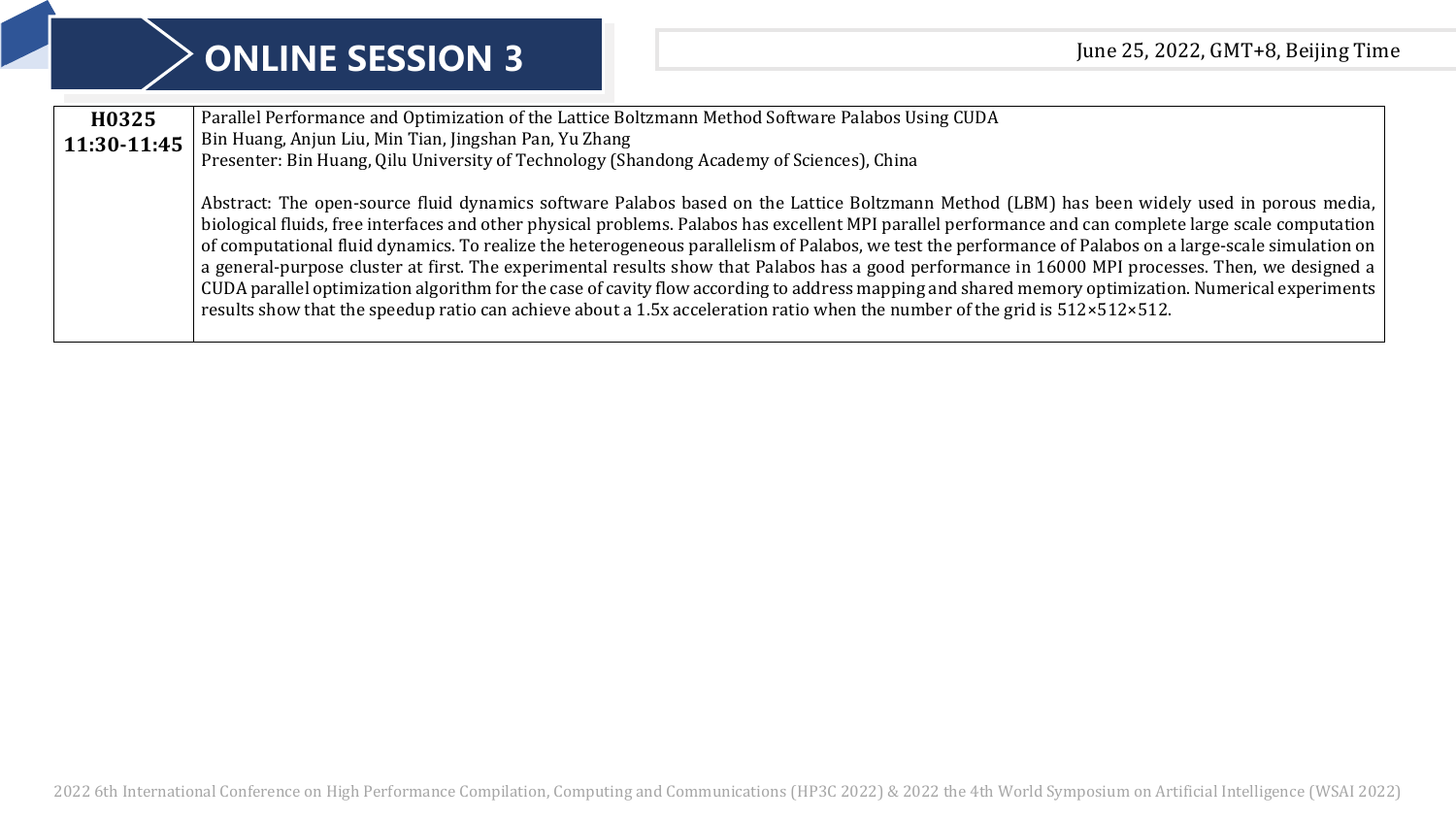|                      | <b>ONLINE SESSION 3</b>                                                                                                                                                                                                                                  | June 25, 2022, GMT+8, Beijing Time                                                                                                                                                                                                                                                                                                                                                                                                                                                                                                                                                                                                                                                                                                                                                                                                                                                                           |
|----------------------|----------------------------------------------------------------------------------------------------------------------------------------------------------------------------------------------------------------------------------------------------------|--------------------------------------------------------------------------------------------------------------------------------------------------------------------------------------------------------------------------------------------------------------------------------------------------------------------------------------------------------------------------------------------------------------------------------------------------------------------------------------------------------------------------------------------------------------------------------------------------------------------------------------------------------------------------------------------------------------------------------------------------------------------------------------------------------------------------------------------------------------------------------------------------------------|
| H0325<br>11:30-11:45 | Parallel Performance and Optimization of the Lattice Boltzmann Method Software Palabos Using CUDA<br>Bin Huang, Anjun Liu, Min Tian, Jingshan Pan, Yu Zhang<br>Presenter: Bin Huang, Qilu University of Technology (Shandong Academy of Sciences), China | Abstract: The open-source fluid dynamics software Palabos based on the Lattice Boltzmann Method (LBM) has been widely used in porous media,<br>biological fluids, free interfaces and other physical problems. Palabos has excellent MPI parallel performance and can complete large scale computation<br>of computational fluid dynamics. To realize the heterogeneous parallelism of Palabos, we test the performance of Palabos on a large-scale simulation on<br>a general-purpose cluster at first. The experimental results show that Palabos has a good performance in 16000 MPI processes. Then, we designed a<br>CUDA parallel optimization algorithm for the case of cavity flow according to address mapping and shared memory optimization. Numerical experiments<br>results show that the speedup ratio can achieve about a 1.5x acceleration ratio when the number of the grid is 512×512×512. |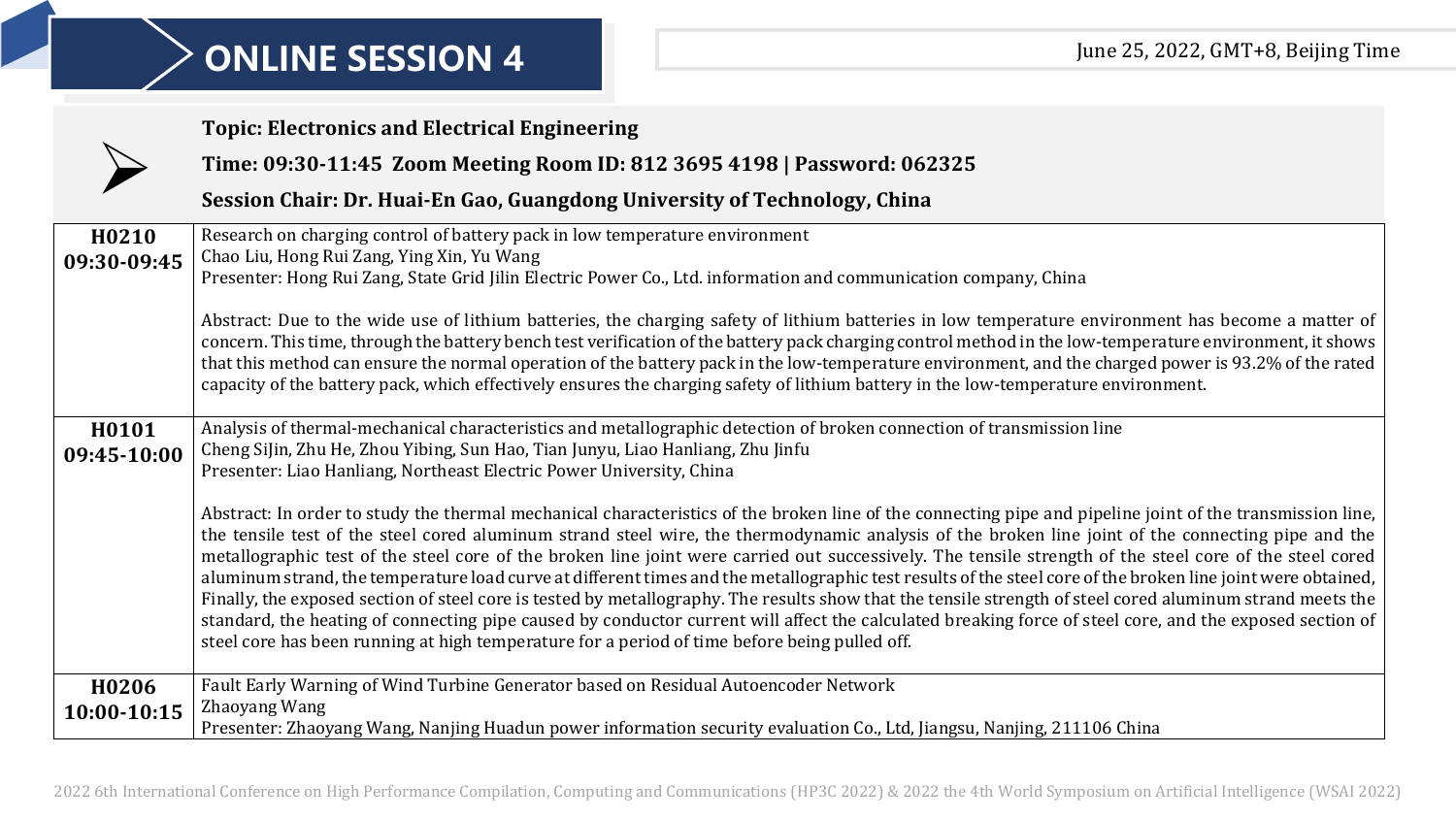## **ONLINE SESSION 4 DEFINE SESSION 4 DEFINE SESSION 1**

|                                  | <b>Topic: Electronics and Electrical Engineering</b>                                                                                                                                                                                                                                                                                                                                                                                                                                                                                                                                                                                                                                                                                                                                                                                                                                                                                                                                                                                                                  |
|----------------------------------|-----------------------------------------------------------------------------------------------------------------------------------------------------------------------------------------------------------------------------------------------------------------------------------------------------------------------------------------------------------------------------------------------------------------------------------------------------------------------------------------------------------------------------------------------------------------------------------------------------------------------------------------------------------------------------------------------------------------------------------------------------------------------------------------------------------------------------------------------------------------------------------------------------------------------------------------------------------------------------------------------------------------------------------------------------------------------|
|                                  | Time: 09:30-11:45 Zoom Meeting Room ID: 812 3695 4198   Password: 062325                                                                                                                                                                                                                                                                                                                                                                                                                                                                                                                                                                                                                                                                                                                                                                                                                                                                                                                                                                                              |
|                                  | Session Chair: Dr. Huai-En Gao, Guangdong University of Technology, China                                                                                                                                                                                                                                                                                                                                                                                                                                                                                                                                                                                                                                                                                                                                                                                                                                                                                                                                                                                             |
| H <sub>0210</sub><br>09:30-09:45 | Research on charging control of battery pack in low temperature environment<br>Chao Liu, Hong Rui Zang, Ying Xin, Yu Wang<br>Presenter: Hong Rui Zang, State Grid Jilin Electric Power Co., Ltd. information and communication company, China                                                                                                                                                                                                                                                                                                                                                                                                                                                                                                                                                                                                                                                                                                                                                                                                                         |
|                                  | Abstract: Due to the wide use of lithium batteries, the charging safety of lithium batteries in low temperature environment has become a matter of<br>concern. This time, through the battery bench test verification of the battery pack charging control method in the low-temperature environment, it shows<br>that this method can ensure the normal operation of the battery pack in the low-temperature environment, and the charged power is 93.2% of the rated<br>capacity of the battery pack, which effectively ensures the charging safety of lithium battery in the low-temperature environment.                                                                                                                                                                                                                                                                                                                                                                                                                                                          |
| H0101<br>09:45-10:00             | Analysis of thermal-mechanical characteristics and metallographic detection of broken connection of transmission line<br>Cheng Sijin, Zhu He, Zhou Yibing, Sun Hao, Tian Junyu, Liao Hanliang, Zhu Jinfu<br>Presenter: Liao Hanliang, Northeast Electric Power University, China                                                                                                                                                                                                                                                                                                                                                                                                                                                                                                                                                                                                                                                                                                                                                                                      |
|                                  | Abstract: In order to study the thermal mechanical characteristics of the broken line of the connecting pipe and pipeline joint of the transmission line,<br>the tensile test of the steel cored aluminum strand steel wire, the thermodynamic analysis of the broken line joint of the connecting pipe and the<br>metallographic test of the steel core of the broken line joint were carried out successively. The tensile strength of the steel core of the steel cored<br>aluminum strand, the temperature load curve at different times and the metallographic test results of the steel core of the broken line joint were obtained,<br>Finally, the exposed section of steel core is tested by metallography. The results show that the tensile strength of steel cored aluminum strand meets the<br>standard, the heating of connecting pipe caused by conductor current will affect the calculated breaking force of steel core, and the exposed section of<br>steel core has been running at high temperature for a period of time before being pulled off. |
| H <sub>0</sub> 206               | Fault Early Warning of Wind Turbine Generator based on Residual Autoencoder Network<br>Zhaoyang Wang                                                                                                                                                                                                                                                                                                                                                                                                                                                                                                                                                                                                                                                                                                                                                                                                                                                                                                                                                                  |
| 10:00-10:15                      | Presenter: Zhaoyang Wang, Nanjing Huadun power information security evaluation Co., Ltd, Jiangsu, Nanjing, 211106 China                                                                                                                                                                                                                                                                                                                                                                                                                                                                                                                                                                                                                                                                                                                                                                                                                                                                                                                                               |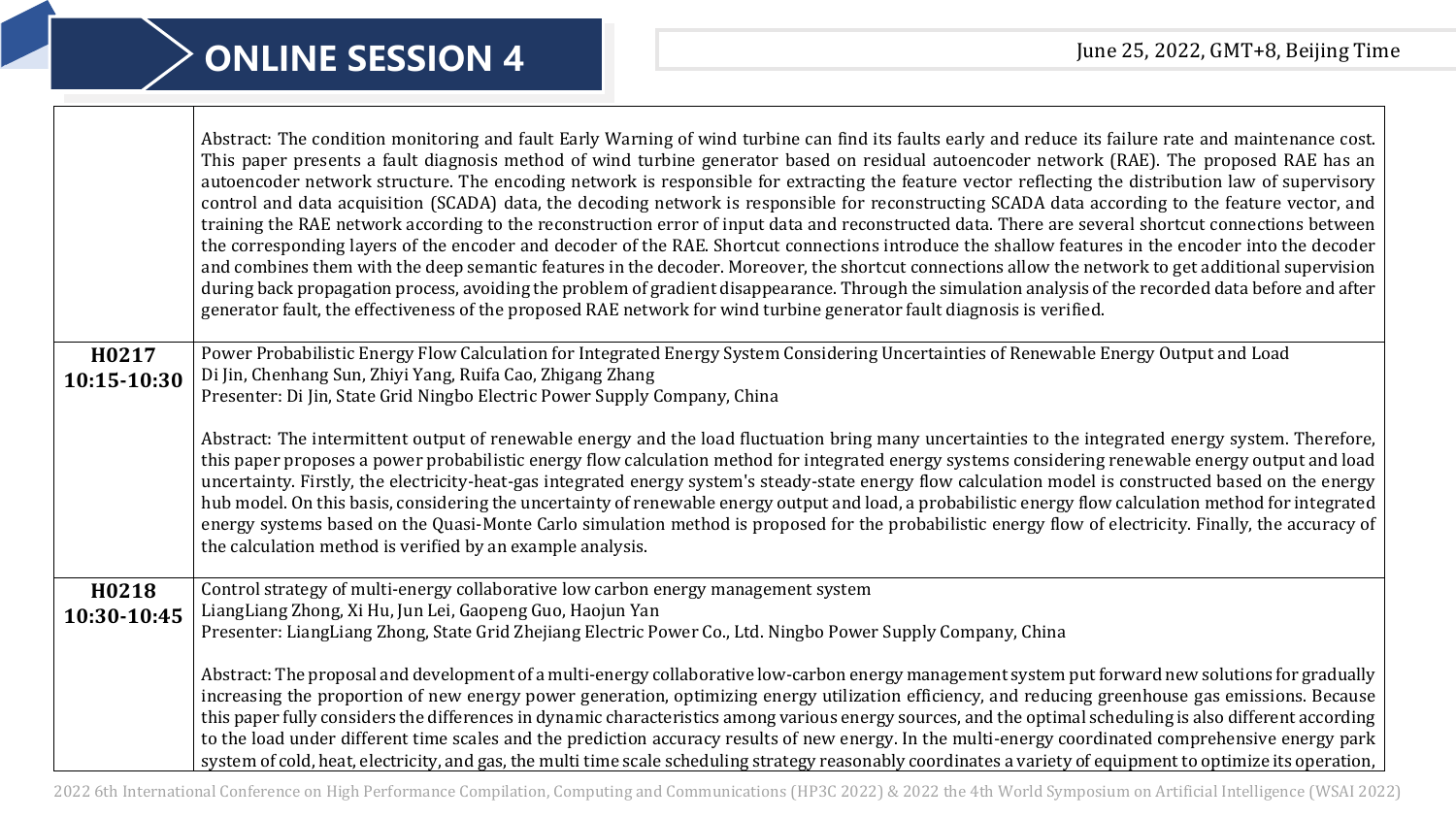|                      | Abstract: The condition monitoring and fault Early Warning of wind turbine can find its faults early and reduce its failure rate and maintenance cost.<br>This paper presents a fault diagnosis method of wind turbine generator based on residual autoencoder network (RAE). The proposed RAE has an<br>autoencoder network structure. The encoding network is responsible for extracting the feature vector reflecting the distribution law of supervisory<br>control and data acquisition (SCADA) data, the decoding network is responsible for reconstructing SCADA data according to the feature vector, and<br>training the RAE network according to the reconstruction error of input data and reconstructed data. There are several shortcut connections between<br>the corresponding layers of the encoder and decoder of the RAE. Shortcut connections introduce the shallow features in the encoder into the decoder<br>and combines them with the deep semantic features in the decoder. Moreover, the shortcut connections allow the network to get additional supervision<br>during back propagation process, avoiding the problem of gradient disappearance. Through the simulation analysis of the recorded data before and after<br>generator fault, the effectiveness of the proposed RAE network for wind turbine generator fault diagnosis is verified. |
|----------------------|-----------------------------------------------------------------------------------------------------------------------------------------------------------------------------------------------------------------------------------------------------------------------------------------------------------------------------------------------------------------------------------------------------------------------------------------------------------------------------------------------------------------------------------------------------------------------------------------------------------------------------------------------------------------------------------------------------------------------------------------------------------------------------------------------------------------------------------------------------------------------------------------------------------------------------------------------------------------------------------------------------------------------------------------------------------------------------------------------------------------------------------------------------------------------------------------------------------------------------------------------------------------------------------------------------------------------------------------------------------------------------|
| H0217<br>10:15-10:30 | Power Probabilistic Energy Flow Calculation for Integrated Energy System Considering Uncertainties of Renewable Energy Output and Load<br>Di Jin, Chenhang Sun, Zhiyi Yang, Ruifa Cao, Zhigang Zhang<br>Presenter: Di Jin, State Grid Ningbo Electric Power Supply Company, China                                                                                                                                                                                                                                                                                                                                                                                                                                                                                                                                                                                                                                                                                                                                                                                                                                                                                                                                                                                                                                                                                           |
|                      | Abstract: The intermittent output of renewable energy and the load fluctuation bring many uncertainties to the integrated energy system. Therefore,<br>this paper proposes a power probabilistic energy flow calculation method for integrated energy systems considering renewable energy output and load<br>uncertainty. Firstly, the electricity-heat-gas integrated energy system's steady-state energy flow calculation model is constructed based on the energy<br>hub model. On this basis, considering the uncertainty of renewable energy output and load, a probabilistic energy flow calculation method for integrated<br>energy systems based on the Quasi-Monte Carlo simulation method is proposed for the probabilistic energy flow of electricity. Finally, the accuracy of<br>the calculation method is verified by an example analysis.                                                                                                                                                                                                                                                                                                                                                                                                                                                                                                                   |
| H0218<br>10:30-10:45 | Control strategy of multi-energy collaborative low carbon energy management system<br>LiangLiang Zhong, Xi Hu, Jun Lei, Gaopeng Guo, Haojun Yan<br>Presenter: LiangLiang Zhong, State Grid Zhejiang Electric Power Co., Ltd. Ningbo Power Supply Company, China                                                                                                                                                                                                                                                                                                                                                                                                                                                                                                                                                                                                                                                                                                                                                                                                                                                                                                                                                                                                                                                                                                             |
|                      | Abstract: The proposal and development of a multi-energy collaborative low-carbon energy management system put forward new solutions for gradually<br>increasing the proportion of new energy power generation, optimizing energy utilization efficiency, and reducing greenhouse gas emissions. Because<br>this paper fully considers the differences in dynamic characteristics among various energy sources, and the optimal scheduling is also different according<br>to the load under different time scales and the prediction accuracy results of new energy. In the multi-energy coordinated comprehensive energy park<br>system of cold, heat, electricity, and gas, the multi time scale scheduling strategy reasonably coordinates a variety of equipment to optimize its operation,                                                                                                                                                                                                                                                                                                                                                                                                                                                                                                                                                                             |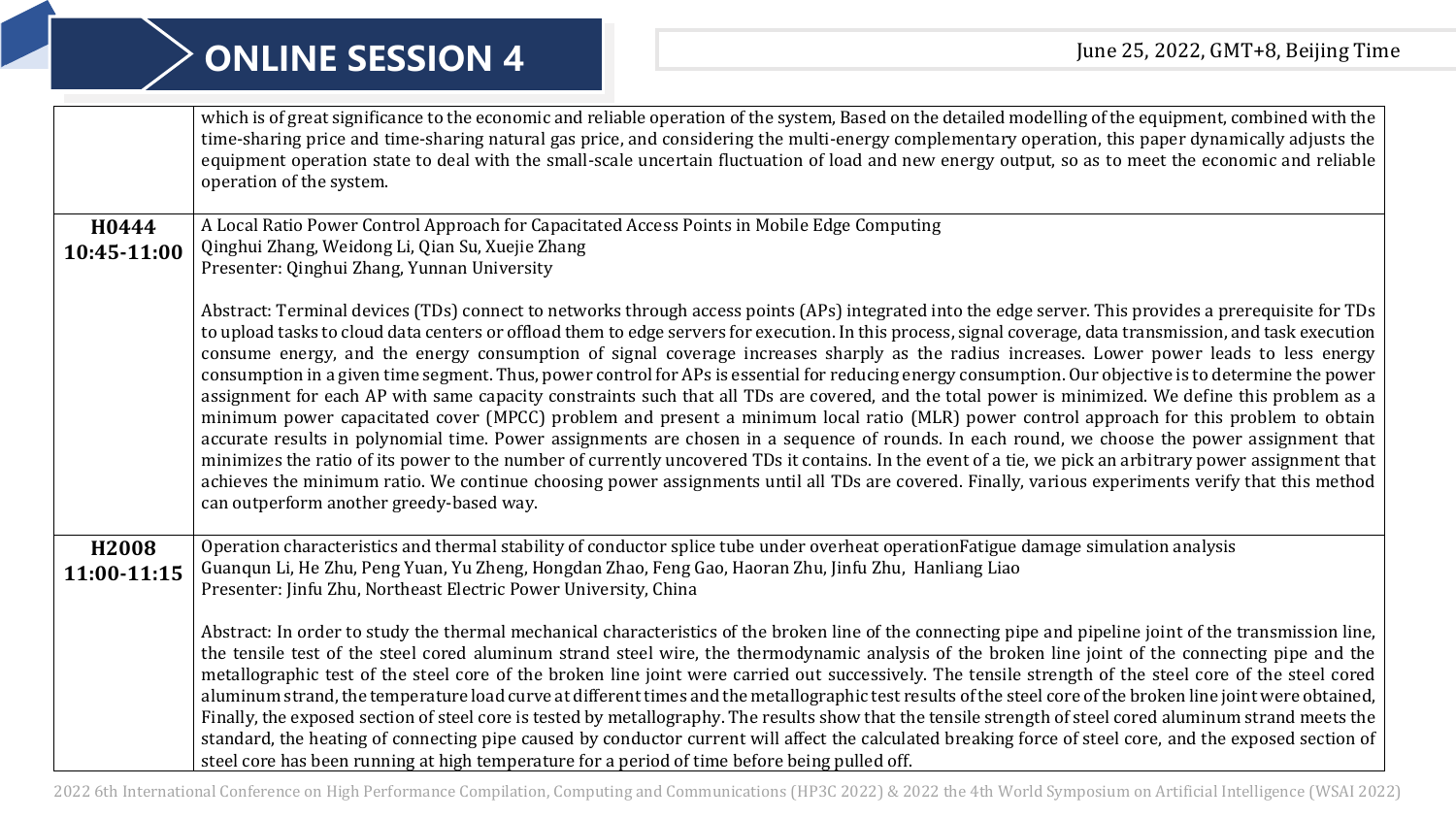## **ONLINE SESSION 4 DEFINE SESSION 4 DEFINE SESSION 1**

|                      | which is of great significance to the economic and reliable operation of the system, Based on the detailed modelling of the equipment, combined with the<br>time-sharing price and time-sharing natural gas price, and considering the multi-energy complementary operation, this paper dynamically adjusts the<br>equipment operation state to deal with the small-scale uncertain fluctuation of load and new energy output, so as to meet the economic and reliable<br>operation of the system.                                                                                                                                                                                                                                                                                                                                                                                                                                                                                                                                                                                                                                                                                                                                                                                                                                                                                                                                             |
|----------------------|------------------------------------------------------------------------------------------------------------------------------------------------------------------------------------------------------------------------------------------------------------------------------------------------------------------------------------------------------------------------------------------------------------------------------------------------------------------------------------------------------------------------------------------------------------------------------------------------------------------------------------------------------------------------------------------------------------------------------------------------------------------------------------------------------------------------------------------------------------------------------------------------------------------------------------------------------------------------------------------------------------------------------------------------------------------------------------------------------------------------------------------------------------------------------------------------------------------------------------------------------------------------------------------------------------------------------------------------------------------------------------------------------------------------------------------------|
| H0444<br>10:45-11:00 | A Local Ratio Power Control Approach for Capacitated Access Points in Mobile Edge Computing<br>Qinghui Zhang, Weidong Li, Qian Su, Xuejie Zhang<br>Presenter: Qinghui Zhang, Yunnan University                                                                                                                                                                                                                                                                                                                                                                                                                                                                                                                                                                                                                                                                                                                                                                                                                                                                                                                                                                                                                                                                                                                                                                                                                                                 |
|                      | Abstract: Terminal devices (TDs) connect to networks through access points (APs) integrated into the edge server. This provides a prerequisite for TDs<br>to upload tasks to cloud data centers or offload them to edge servers for execution. In this process, signal coverage, data transmission, and task execution<br>consume energy, and the energy consumption of signal coverage increases sharply as the radius increases. Lower power leads to less energy<br>consumption in a given time segment. Thus, power control for APs is essential for reducing energy consumption. Our objective is to determine the power<br>assignment for each AP with same capacity constraints such that all TDs are covered, and the total power is minimized. We define this problem as a<br>minimum power capacitated cover (MPCC) problem and present a minimum local ratio (MLR) power control approach for this problem to obtain<br>accurate results in polynomial time. Power assignments are chosen in a sequence of rounds. In each round, we choose the power assignment that<br>minimizes the ratio of its power to the number of currently uncovered TDs it contains. In the event of a tie, we pick an arbitrary power assignment that<br>achieves the minimum ratio. We continue choosing power assignments until all TDs are covered. Finally, various experiments verify that this method<br>can outperform another greedy-based way. |
| H2008<br>11:00-11:15 | Operation characteristics and thermal stability of conductor splice tube under overheat operationFatigue damage simulation analysis<br>Guanqun Li, He Zhu, Peng Yuan, Yu Zheng, Hongdan Zhao, Feng Gao, Haoran Zhu, Jinfu Zhu, Hanliang Liao                                                                                                                                                                                                                                                                                                                                                                                                                                                                                                                                                                                                                                                                                                                                                                                                                                                                                                                                                                                                                                                                                                                                                                                                   |
|                      | Presenter: Jinfu Zhu, Northeast Electric Power University, China<br>Abstract: In order to study the thermal mechanical characteristics of the broken line of the connecting pipe and pipeline joint of the transmission line,                                                                                                                                                                                                                                                                                                                                                                                                                                                                                                                                                                                                                                                                                                                                                                                                                                                                                                                                                                                                                                                                                                                                                                                                                  |
|                      | the tensile test of the steel cored aluminum strand steel wire, the thermodynamic analysis of the broken line joint of the connecting pipe and the<br>metallographic test of the steel core of the broken line joint were carried out successively. The tensile strength of the steel core of the steel cored<br>aluminum strand, the temperature load curve at different times and the metallographic test results of the steel core of the broken line joint were obtained,<br>Finally, the exposed section of steel core is tested by metallography. The results show that the tensile strength of steel cored aluminum strand meets the<br>standard, the heating of connecting pipe caused by conductor current will affect the calculated breaking force of steel core, and the exposed section of<br>steel core has been running at high temperature for a period of time before being pulled off.                                                                                                                                                                                                                                                                                                                                                                                                                                                                                                                                       |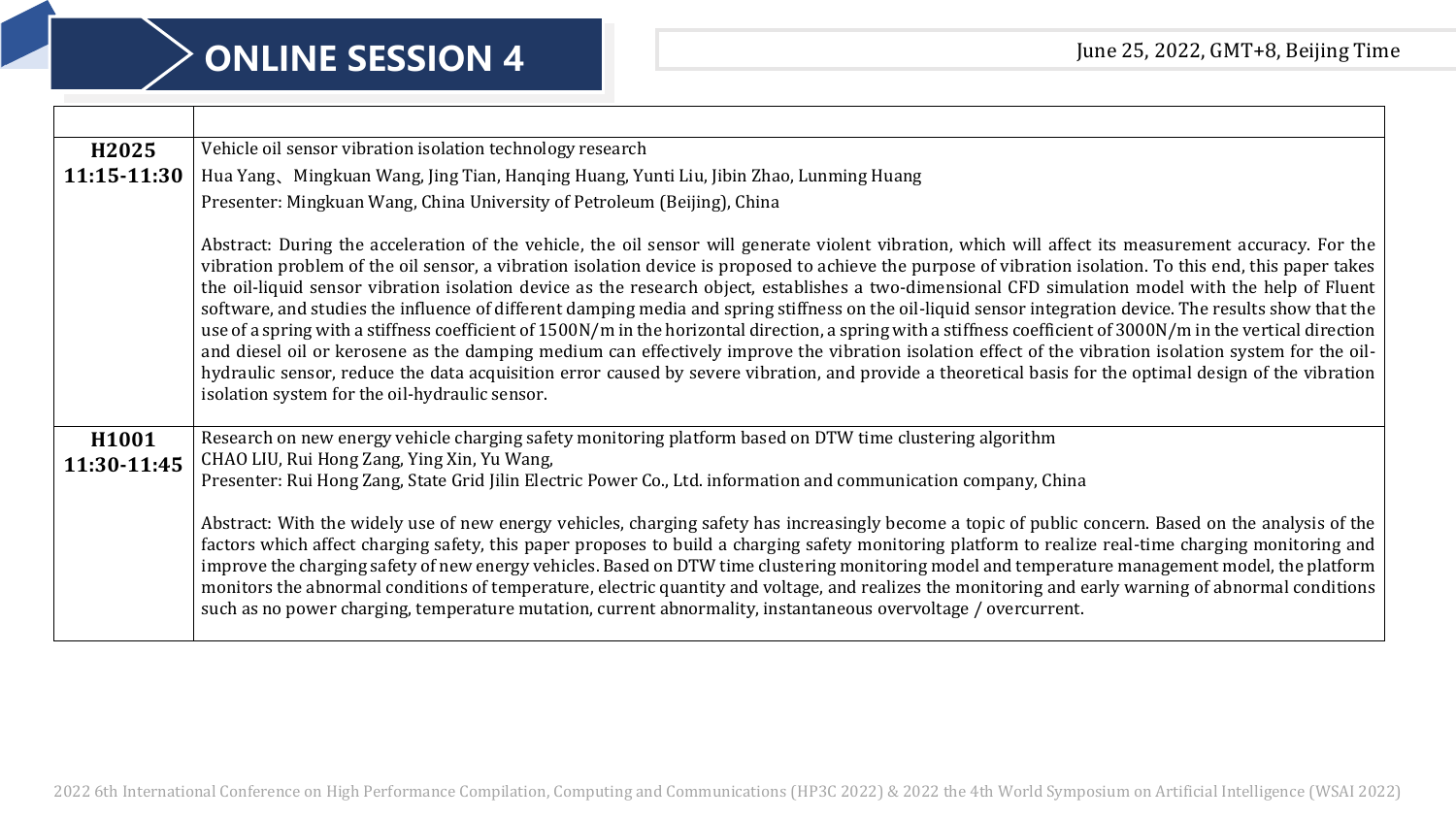| H2025             | Vehicle oil sensor vibration isolation technology research                                                                                                                                                                                                                                                                                                                                                                                                                                                                                                                                                                                                                                                                                                                                                                                                                                                                                                                                                                                                                                                                                                                         |  |
|-------------------|------------------------------------------------------------------------------------------------------------------------------------------------------------------------------------------------------------------------------------------------------------------------------------------------------------------------------------------------------------------------------------------------------------------------------------------------------------------------------------------------------------------------------------------------------------------------------------------------------------------------------------------------------------------------------------------------------------------------------------------------------------------------------------------------------------------------------------------------------------------------------------------------------------------------------------------------------------------------------------------------------------------------------------------------------------------------------------------------------------------------------------------------------------------------------------|--|
| 11:15-11:30       | Hua Yang、Mingkuan Wang, Jing Tian, Hanqing Huang, Yunti Liu, Jibin Zhao, Lunming Huang                                                                                                                                                                                                                                                                                                                                                                                                                                                                                                                                                                                                                                                                                                                                                                                                                                                                                                                                                                                                                                                                                             |  |
|                   | Presenter: Mingkuan Wang, China University of Petroleum (Beijing), China                                                                                                                                                                                                                                                                                                                                                                                                                                                                                                                                                                                                                                                                                                                                                                                                                                                                                                                                                                                                                                                                                                           |  |
|                   | Abstract: During the acceleration of the vehicle, the oil sensor will generate violent vibration, which will affect its measurement accuracy. For the<br>vibration problem of the oil sensor, a vibration isolation device is proposed to achieve the purpose of vibration isolation. To this end, this paper takes<br>the oil-liquid sensor vibration isolation device as the research object, establishes a two-dimensional CFD simulation model with the help of Fluent<br>software, and studies the influence of different damping media and spring stiffness on the oil-liquid sensor integration device. The results show that the<br>use of a spring with a stiffness coefficient of 1500N/m in the horizontal direction, a spring with a stiffness coefficient of 3000N/m in the vertical direction<br>and diesel oil or kerosene as the damping medium can effectively improve the vibration isolation effect of the vibration isolation system for the oil-<br>hydraulic sensor, reduce the data acquisition error caused by severe vibration, and provide a theoretical basis for the optimal design of the vibration<br>isolation system for the oil-hydraulic sensor. |  |
| H <sub>1001</sub> | Research on new energy vehicle charging safety monitoring platform based on DTW time clustering algorithm                                                                                                                                                                                                                                                                                                                                                                                                                                                                                                                                                                                                                                                                                                                                                                                                                                                                                                                                                                                                                                                                          |  |
| 11:30-11:45       | CHAO LIU, Rui Hong Zang, Ying Xin, Yu Wang,<br>Presenter: Rui Hong Zang, State Grid Jilin Electric Power Co., Ltd. information and communication company, China                                                                                                                                                                                                                                                                                                                                                                                                                                                                                                                                                                                                                                                                                                                                                                                                                                                                                                                                                                                                                    |  |
|                   | Abstract: With the widely use of new energy vehicles, charging safety has increasingly become a topic of public concern. Based on the analysis of the<br>factors which affect charging safety, this paper proposes to build a charging safety monitoring platform to realize real-time charging monitoring and<br>improve the charging safety of new energy vehicles. Based on DTW time clustering monitoring model and temperature management model, the platform<br>monitors the abnormal conditions of temperature, electric quantity and voltage, and realizes the monitoring and early warning of abnormal conditions<br>such as no power charging, temperature mutation, current abnormality, instantaneous overvoltage / overcurrent.                                                                                                                                                                                                                                                                                                                                                                                                                                       |  |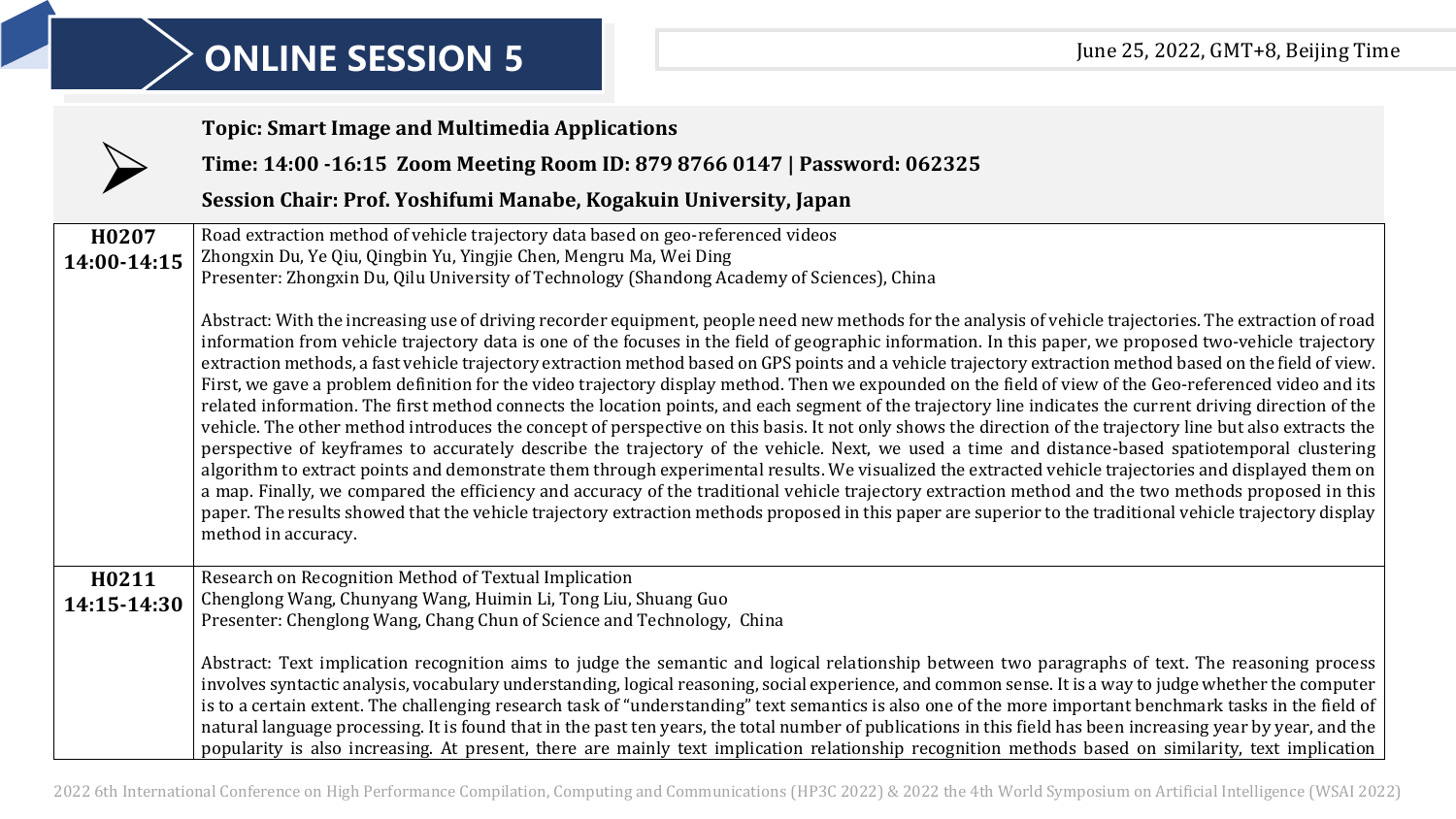|                      | <b>Topic: Smart Image and Multimedia Applications</b>                                                                                                                                                                                                                                                                                                                                                                                                                                                                                                                                                                                                                                                                                                                                                                                                                                                                                                                                                                                                                                                                                                                                                                                                                                                                                                                                                                                                                                                                                                                                                                                 |
|----------------------|---------------------------------------------------------------------------------------------------------------------------------------------------------------------------------------------------------------------------------------------------------------------------------------------------------------------------------------------------------------------------------------------------------------------------------------------------------------------------------------------------------------------------------------------------------------------------------------------------------------------------------------------------------------------------------------------------------------------------------------------------------------------------------------------------------------------------------------------------------------------------------------------------------------------------------------------------------------------------------------------------------------------------------------------------------------------------------------------------------------------------------------------------------------------------------------------------------------------------------------------------------------------------------------------------------------------------------------------------------------------------------------------------------------------------------------------------------------------------------------------------------------------------------------------------------------------------------------------------------------------------------------|
|                      | Time: 14:00 -16:15 Zoom Meeting Room ID: 879 8766 0147   Password: 062325                                                                                                                                                                                                                                                                                                                                                                                                                                                                                                                                                                                                                                                                                                                                                                                                                                                                                                                                                                                                                                                                                                                                                                                                                                                                                                                                                                                                                                                                                                                                                             |
|                      | Session Chair: Prof. Yoshifumi Manabe, Kogakuin University, Japan                                                                                                                                                                                                                                                                                                                                                                                                                                                                                                                                                                                                                                                                                                                                                                                                                                                                                                                                                                                                                                                                                                                                                                                                                                                                                                                                                                                                                                                                                                                                                                     |
| H0207<br>14:00-14:15 | Road extraction method of vehicle trajectory data based on geo-referenced videos<br>Zhongxin Du, Ye Qiu, Qingbin Yu, Yingjie Chen, Mengru Ma, Wei Ding<br>Presenter: Zhongxin Du, Qilu University of Technology (Shandong Academy of Sciences), China                                                                                                                                                                                                                                                                                                                                                                                                                                                                                                                                                                                                                                                                                                                                                                                                                                                                                                                                                                                                                                                                                                                                                                                                                                                                                                                                                                                 |
|                      | Abstract: With the increasing use of driving recorder equipment, people need new methods for the analysis of vehicle trajectories. The extraction of road<br>information from vehicle trajectory data is one of the focuses in the field of geographic information. In this paper, we proposed two-vehicle trajectory<br>extraction methods, a fast vehicle trajectory extraction method based on GPS points and a vehicle trajectory extraction method based on the field of view.<br>First, we gave a problem definition for the video trajectory display method. Then we expounded on the field of view of the Geo-referenced video and its<br>related information. The first method connects the location points, and each segment of the trajectory line indicates the current driving direction of the<br>vehicle. The other method introduces the concept of perspective on this basis. It not only shows the direction of the trajectory line but also extracts the<br>perspective of keyframes to accurately describe the trajectory of the vehicle. Next, we used a time and distance-based spatiotemporal clustering<br>algorithm to extract points and demonstrate them through experimental results. We visualized the extracted vehicle trajectories and displayed them on<br>a map. Finally, we compared the efficiency and accuracy of the traditional vehicle trajectory extraction method and the two methods proposed in this<br>paper. The results showed that the vehicle trajectory extraction methods proposed in this paper are superior to the traditional vehicle trajectory display<br>method in accuracy. |
| H0211<br>14:15-14:30 | Research on Recognition Method of Textual Implication<br>Chenglong Wang, Chunyang Wang, Huimin Li, Tong Liu, Shuang Guo<br>Presenter: Chenglong Wang, Chang Chun of Science and Technology, China<br>Abstract: Text implication recognition aims to judge the semantic and logical relationship between two paragraphs of text. The reasoning process<br>involves syntactic analysis, vocabulary understanding, logical reasoning, social experience, and common sense. It is a way to judge whether the computer<br>is to a certain extent. The challenging research task of "understanding" text semantics is also one of the more important benchmark tasks in the field of                                                                                                                                                                                                                                                                                                                                                                                                                                                                                                                                                                                                                                                                                                                                                                                                                                                                                                                                                        |
|                      | natural language processing. It is found that in the past ten years, the total number of publications in this field has been increasing year by year, and the<br>popularity is also increasing. At present, there are mainly text implication relationship recognition methods based on similarity, text implication                                                                                                                                                                                                                                                                                                                                                                                                                                                                                                                                                                                                                                                                                                                                                                                                                                                                                                                                                                                                                                                                                                                                                                                                                                                                                                                  |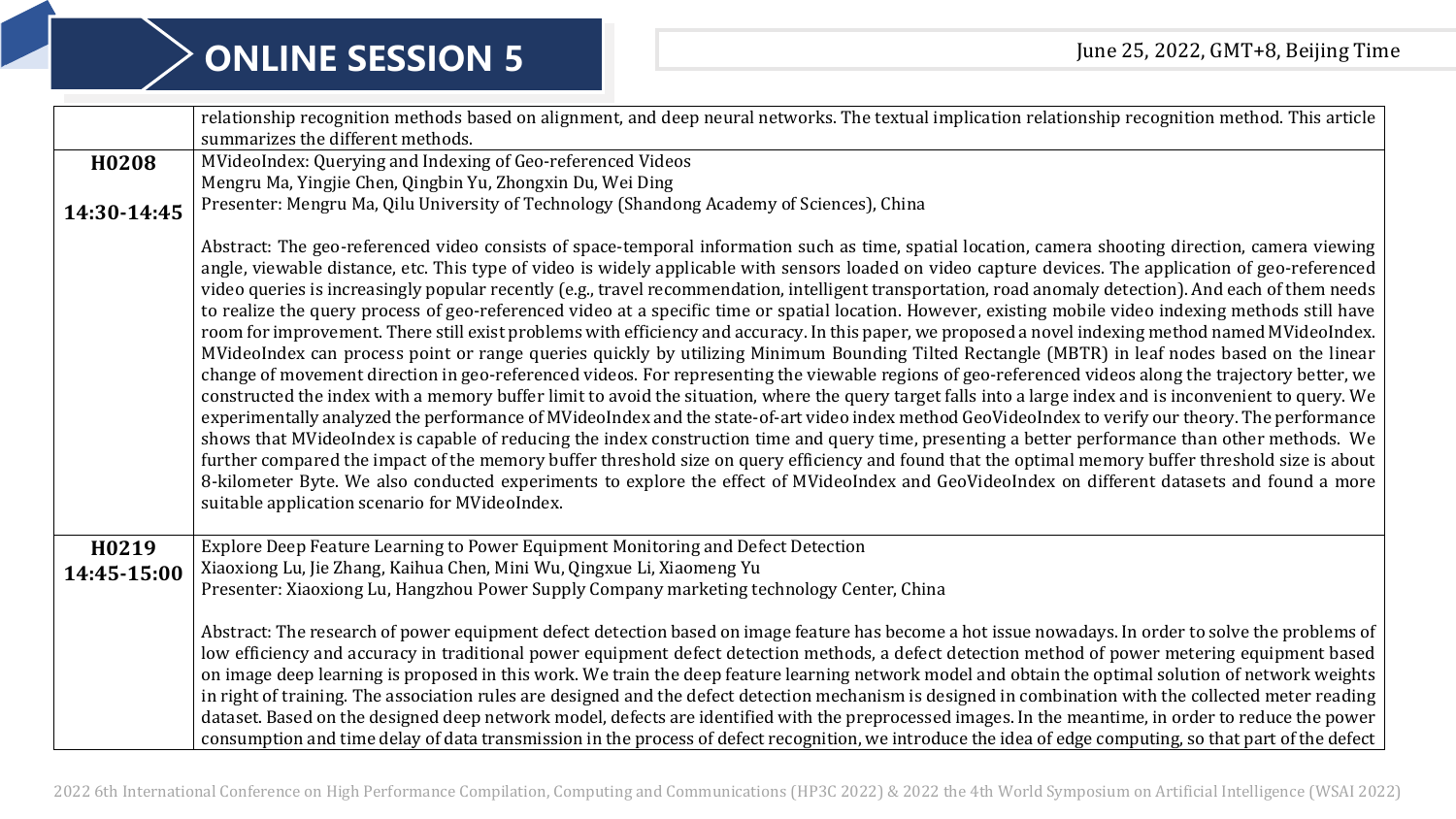|                      | relationship recognition methods based on alignment, and deep neural networks. The textual implication relationship recognition method. This article                                                                                                                                                                                                                                                                                                                                                                                                                                                                                                                                                                                                                                                                                                                                                                                                                                                                                                                                                                                                                                                                                                                                                                                                                                                                                                                                                                                                                                                                                                                                                                                                                                                                                                                                                                                      |
|----------------------|-------------------------------------------------------------------------------------------------------------------------------------------------------------------------------------------------------------------------------------------------------------------------------------------------------------------------------------------------------------------------------------------------------------------------------------------------------------------------------------------------------------------------------------------------------------------------------------------------------------------------------------------------------------------------------------------------------------------------------------------------------------------------------------------------------------------------------------------------------------------------------------------------------------------------------------------------------------------------------------------------------------------------------------------------------------------------------------------------------------------------------------------------------------------------------------------------------------------------------------------------------------------------------------------------------------------------------------------------------------------------------------------------------------------------------------------------------------------------------------------------------------------------------------------------------------------------------------------------------------------------------------------------------------------------------------------------------------------------------------------------------------------------------------------------------------------------------------------------------------------------------------------------------------------------------------------|
|                      | summarizes the different methods.                                                                                                                                                                                                                                                                                                                                                                                                                                                                                                                                                                                                                                                                                                                                                                                                                                                                                                                                                                                                                                                                                                                                                                                                                                                                                                                                                                                                                                                                                                                                                                                                                                                                                                                                                                                                                                                                                                         |
| H0208                | MVideoIndex: Querying and Indexing of Geo-referenced Videos                                                                                                                                                                                                                                                                                                                                                                                                                                                                                                                                                                                                                                                                                                                                                                                                                                                                                                                                                                                                                                                                                                                                                                                                                                                                                                                                                                                                                                                                                                                                                                                                                                                                                                                                                                                                                                                                               |
|                      | Mengru Ma, Yingjie Chen, Qingbin Yu, Zhongxin Du, Wei Ding                                                                                                                                                                                                                                                                                                                                                                                                                                                                                                                                                                                                                                                                                                                                                                                                                                                                                                                                                                                                                                                                                                                                                                                                                                                                                                                                                                                                                                                                                                                                                                                                                                                                                                                                                                                                                                                                                |
| 14:30-14:45          | Presenter: Mengru Ma, Qilu University of Technology (Shandong Academy of Sciences), China                                                                                                                                                                                                                                                                                                                                                                                                                                                                                                                                                                                                                                                                                                                                                                                                                                                                                                                                                                                                                                                                                                                                                                                                                                                                                                                                                                                                                                                                                                                                                                                                                                                                                                                                                                                                                                                 |
|                      | Abstract: The geo-referenced video consists of space-temporal information such as time, spatial location, camera shooting direction, camera viewing<br>angle, viewable distance, etc. This type of video is widely applicable with sensors loaded on video capture devices. The application of geo-referenced<br>video queries is increasingly popular recently (e.g., travel recommendation, intelligent transportation, road anomaly detection). And each of them needs<br>to realize the query process of geo-referenced video at a specific time or spatial location. However, existing mobile video indexing methods still have<br>room for improvement. There still exist problems with efficiency and accuracy. In this paper, we proposed a novel indexing method named MVideoIndex.<br>MVideoIndex can process point or range queries quickly by utilizing Minimum Bounding Tilted Rectangle (MBTR) in leaf nodes based on the linear<br>change of movement direction in geo-referenced videos. For representing the viewable regions of geo-referenced videos along the trajectory better, we<br>constructed the index with a memory buffer limit to avoid the situation, where the query target falls into a large index and is inconvenient to query. We<br>experimentally analyzed the performance of MVideoIndex and the state-of-art video index method GeoVideoIndex to verify our theory. The performance<br>shows that MVideoIndex is capable of reducing the index construction time and query time, presenting a better performance than other methods. We<br>further compared the impact of the memory buffer threshold size on query efficiency and found that the optimal memory buffer threshold size is about<br>8-kilometer Byte. We also conducted experiments to explore the effect of MVideoIndex and GeoVideoIndex on different datasets and found a more<br>suitable application scenario for MVideoIndex. |
| H0219<br>14:45-15:00 | Explore Deep Feature Learning to Power Equipment Monitoring and Defect Detection<br>Xiaoxiong Lu, Jie Zhang, Kaihua Chen, Mini Wu, Qingxue Li, Xiaomeng Yu                                                                                                                                                                                                                                                                                                                                                                                                                                                                                                                                                                                                                                                                                                                                                                                                                                                                                                                                                                                                                                                                                                                                                                                                                                                                                                                                                                                                                                                                                                                                                                                                                                                                                                                                                                                |
|                      | Presenter: Xiaoxiong Lu, Hangzhou Power Supply Company marketing technology Center, China                                                                                                                                                                                                                                                                                                                                                                                                                                                                                                                                                                                                                                                                                                                                                                                                                                                                                                                                                                                                                                                                                                                                                                                                                                                                                                                                                                                                                                                                                                                                                                                                                                                                                                                                                                                                                                                 |
|                      | Abstract: The research of power equipment defect detection based on image feature has become a hot issue nowadays. In order to solve the problems of                                                                                                                                                                                                                                                                                                                                                                                                                                                                                                                                                                                                                                                                                                                                                                                                                                                                                                                                                                                                                                                                                                                                                                                                                                                                                                                                                                                                                                                                                                                                                                                                                                                                                                                                                                                      |
|                      | low efficiency and accuracy in traditional power equipment defect detection methods, a defect detection method of power metering equipment based                                                                                                                                                                                                                                                                                                                                                                                                                                                                                                                                                                                                                                                                                                                                                                                                                                                                                                                                                                                                                                                                                                                                                                                                                                                                                                                                                                                                                                                                                                                                                                                                                                                                                                                                                                                          |
|                      | on image deep learning is proposed in this work. We train the deep feature learning network model and obtain the optimal solution of network weights                                                                                                                                                                                                                                                                                                                                                                                                                                                                                                                                                                                                                                                                                                                                                                                                                                                                                                                                                                                                                                                                                                                                                                                                                                                                                                                                                                                                                                                                                                                                                                                                                                                                                                                                                                                      |
|                      | in right of training. The association rules are designed and the defect detection mechanism is designed in combination with the collected meter reading                                                                                                                                                                                                                                                                                                                                                                                                                                                                                                                                                                                                                                                                                                                                                                                                                                                                                                                                                                                                                                                                                                                                                                                                                                                                                                                                                                                                                                                                                                                                                                                                                                                                                                                                                                                   |
|                      | dataset. Based on the designed deep network model, defects are identified with the preprocessed images. In the meantime, in order to reduce the power                                                                                                                                                                                                                                                                                                                                                                                                                                                                                                                                                                                                                                                                                                                                                                                                                                                                                                                                                                                                                                                                                                                                                                                                                                                                                                                                                                                                                                                                                                                                                                                                                                                                                                                                                                                     |
|                      | consumption and time delay of data transmission in the process of defect recognition, we introduce the idea of edge computing, so that part of the defect                                                                                                                                                                                                                                                                                                                                                                                                                                                                                                                                                                                                                                                                                                                                                                                                                                                                                                                                                                                                                                                                                                                                                                                                                                                                                                                                                                                                                                                                                                                                                                                                                                                                                                                                                                                 |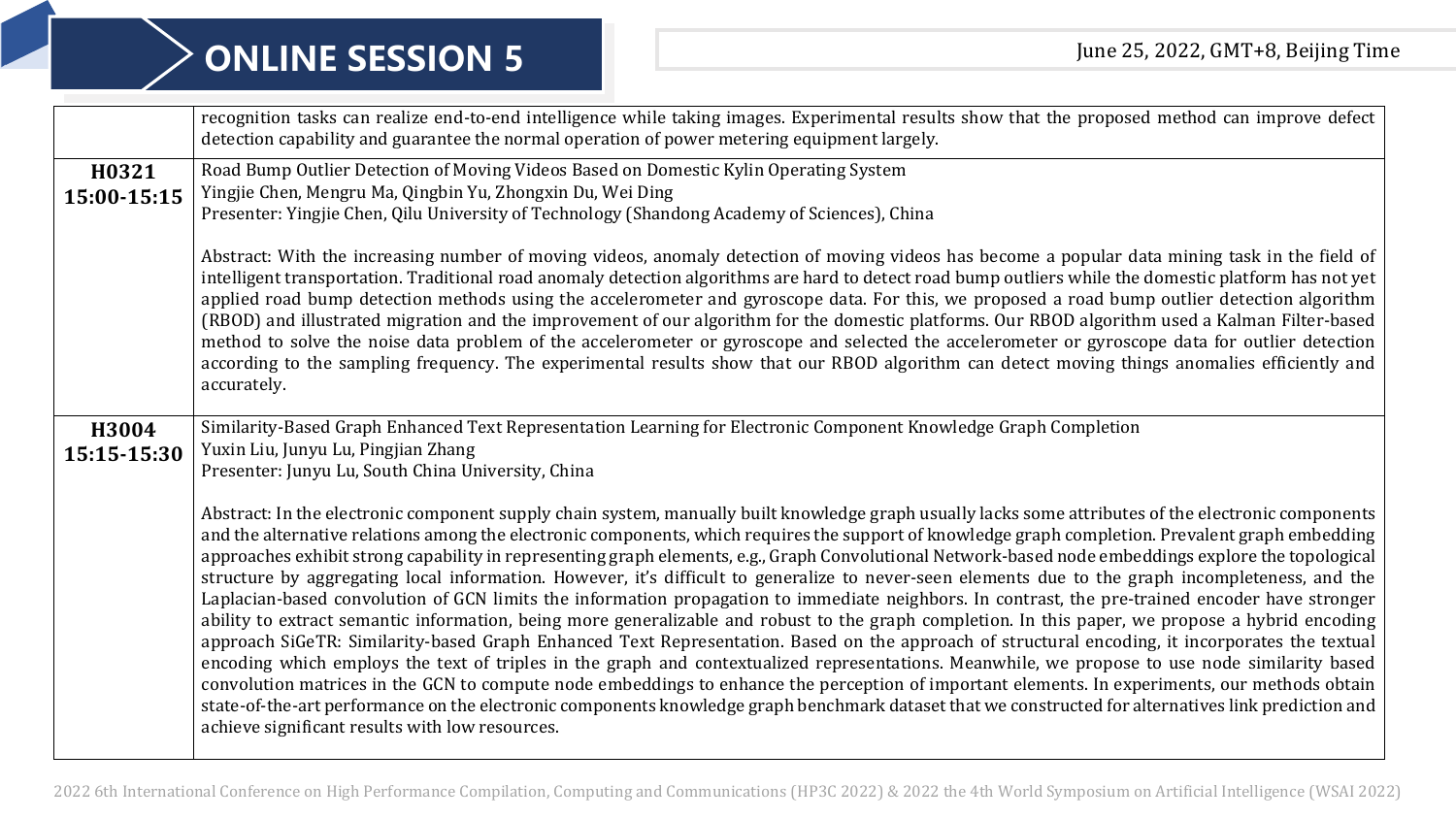## **ONLINE SESSION 5** June 25, 2022, GMT+8, Beijing Time

|                      | recognition tasks can realize end-to-end intelligence while taking images. Experimental results show that the proposed method can improve defect<br>detection capability and guarantee the normal operation of power metering equipment largely.                                                                                                                                                                                                                                                                                                                                                                                                                                                                                                                                                                                                                                                                                                                                                                                                                                                                                                                                                                                                                                                                                                                                                                                                                                                                                                                                                   |
|----------------------|----------------------------------------------------------------------------------------------------------------------------------------------------------------------------------------------------------------------------------------------------------------------------------------------------------------------------------------------------------------------------------------------------------------------------------------------------------------------------------------------------------------------------------------------------------------------------------------------------------------------------------------------------------------------------------------------------------------------------------------------------------------------------------------------------------------------------------------------------------------------------------------------------------------------------------------------------------------------------------------------------------------------------------------------------------------------------------------------------------------------------------------------------------------------------------------------------------------------------------------------------------------------------------------------------------------------------------------------------------------------------------------------------------------------------------------------------------------------------------------------------------------------------------------------------------------------------------------------------|
| H0321<br>15:00-15:15 | Road Bump Outlier Detection of Moving Videos Based on Domestic Kylin Operating System<br>Yingjie Chen, Mengru Ma, Qingbin Yu, Zhongxin Du, Wei Ding<br>Presenter: Yingjie Chen, Qilu University of Technology (Shandong Academy of Sciences), China                                                                                                                                                                                                                                                                                                                                                                                                                                                                                                                                                                                                                                                                                                                                                                                                                                                                                                                                                                                                                                                                                                                                                                                                                                                                                                                                                |
|                      | Abstract: With the increasing number of moving videos, anomaly detection of moving videos has become a popular data mining task in the field of<br>intelligent transportation. Traditional road anomaly detection algorithms are hard to detect road bump outliers while the domestic platform has not yet<br>applied road bump detection methods using the accelerometer and gyroscope data. For this, we proposed a road bump outlier detection algorithm<br>(RBOD) and illustrated migration and the improvement of our algorithm for the domestic platforms. Our RBOD algorithm used a Kalman Filter-based<br>method to solve the noise data problem of the accelerometer or gyroscope and selected the accelerometer or gyroscope data for outlier detection<br>according to the sampling frequency. The experimental results show that our RBOD algorithm can detect moving things anomalies efficiently and<br>accurately.                                                                                                                                                                                                                                                                                                                                                                                                                                                                                                                                                                                                                                                                  |
| H3004<br>15:15-15:30 | Similarity-Based Graph Enhanced Text Representation Learning for Electronic Component Knowledge Graph Completion<br>Yuxin Liu, Junyu Lu, Pingjian Zhang<br>Presenter: Junyu Lu, South China University, China                                                                                                                                                                                                                                                                                                                                                                                                                                                                                                                                                                                                                                                                                                                                                                                                                                                                                                                                                                                                                                                                                                                                                                                                                                                                                                                                                                                      |
|                      | Abstract: In the electronic component supply chain system, manually built knowledge graph usually lacks some attributes of the electronic components<br>and the alternative relations among the electronic components, which requires the support of knowledge graph completion. Prevalent graph embedding<br>approaches exhibit strong capability in representing graph elements, e.g., Graph Convolutional Network-based node embeddings explore the topological<br>structure by aggregating local information. However, it's difficult to generalize to never-seen elements due to the graph incompleteness, and the<br>Laplacian-based convolution of GCN limits the information propagation to immediate neighbors. In contrast, the pre-trained encoder have stronger<br>ability to extract semantic information, being more generalizable and robust to the graph completion. In this paper, we propose a hybrid encoding<br>approach SiGeTR: Similarity-based Graph Enhanced Text Representation. Based on the approach of structural encoding, it incorporates the textual<br>encoding which employs the text of triples in the graph and contextualized representations. Meanwhile, we propose to use node similarity based<br>convolution matrices in the GCN to compute node embeddings to enhance the perception of important elements. In experiments, our methods obtain<br>state-of-the-art performance on the electronic components knowledge graph benchmark dataset that we constructed for alternatives link prediction and<br>achieve significant results with low resources. |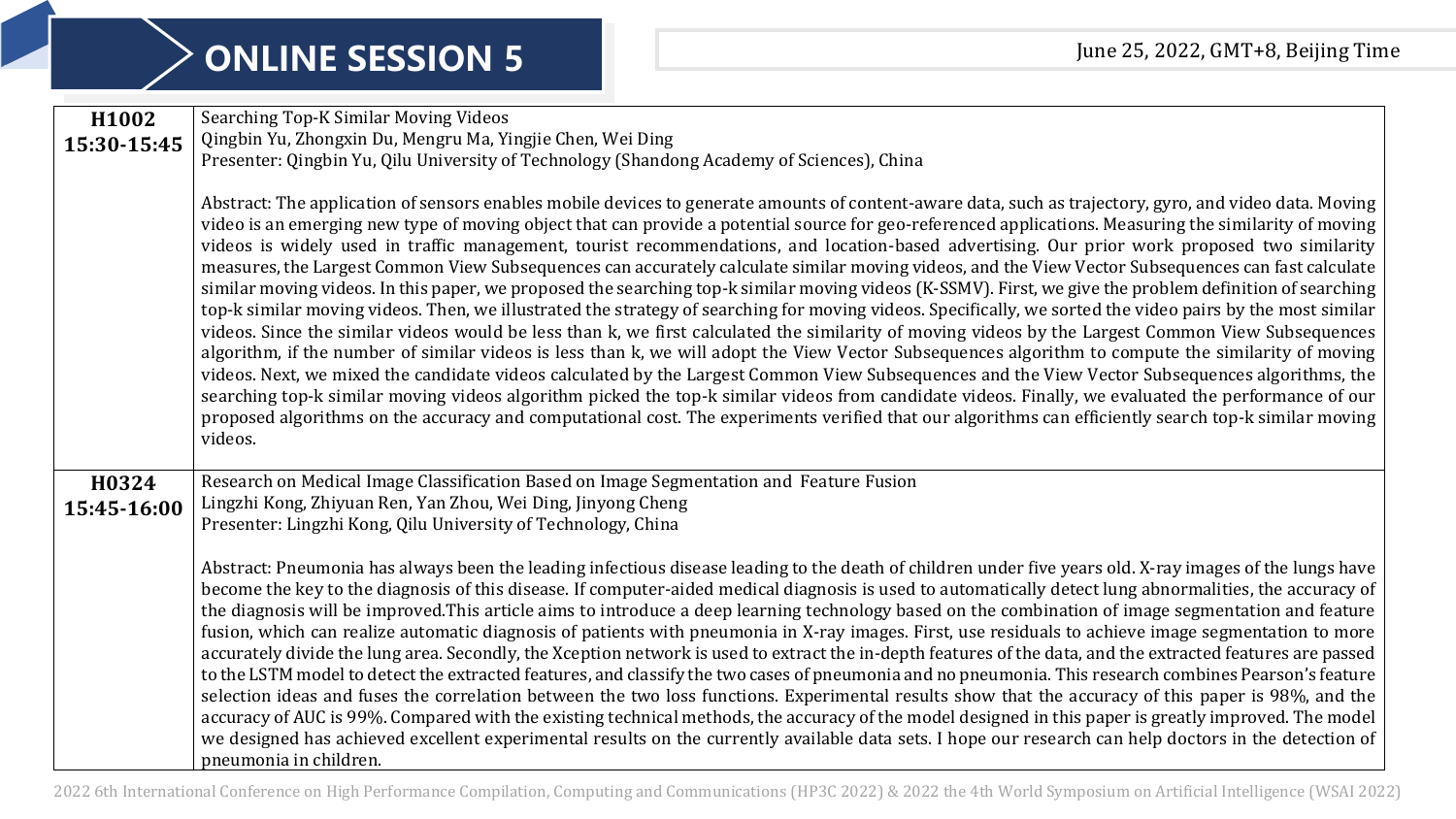## **ONLINE SESSION 5** June 25, 2022, GMT+8, Beijing Time

| Searching Top-K Similar Moving Videos                                                                                                                                                                                                                                                                            |
|------------------------------------------------------------------------------------------------------------------------------------------------------------------------------------------------------------------------------------------------------------------------------------------------------------------|
| Qingbin Yu, Zhongxin Du, Mengru Ma, Yingjie Chen, Wei Ding                                                                                                                                                                                                                                                       |
| Presenter: Qingbin Yu, Qilu University of Technology (Shandong Academy of Sciences), China                                                                                                                                                                                                                       |
|                                                                                                                                                                                                                                                                                                                  |
| Abstract: The application of sensors enables mobile devices to generate amounts of content-aware data, such as trajectory, gyro, and video data. Moving                                                                                                                                                          |
| video is an emerging new type of moving object that can provide a potential source for geo-referenced applications. Measuring the similarity of moving                                                                                                                                                           |
| videos is widely used in traffic management, tourist recommendations, and location-based advertising. Our prior work proposed two similarity                                                                                                                                                                     |
| measures, the Largest Common View Subsequences can accurately calculate similar moving videos, and the View Vector Subsequences can fast calculate                                                                                                                                                               |
| similar moving videos. In this paper, we proposed the searching top-k similar moving videos (K-SSMV). First, we give the problem definition of searching                                                                                                                                                         |
| top-k similar moving videos. Then, we illustrated the strategy of searching for moving videos. Specifically, we sorted the video pairs by the most similar<br>videos. Since the similar videos would be less than k, we first calculated the similarity of moving videos by the Largest Common View Subsequences |
| algorithm, if the number of similar videos is less than k, we will adopt the View Vector Subsequences algorithm to compute the similarity of moving                                                                                                                                                              |
| videos. Next, we mixed the candidate videos calculated by the Largest Common View Subsequences and the View Vector Subsequences algorithms, the                                                                                                                                                                  |
| searching top-k similar moving videos algorithm picked the top-k similar videos from candidate videos. Finally, we evaluated the performance of our                                                                                                                                                              |
| proposed algorithms on the accuracy and computational cost. The experiments verified that our algorithms can efficiently search top-k similar moving                                                                                                                                                             |
| videos.                                                                                                                                                                                                                                                                                                          |
|                                                                                                                                                                                                                                                                                                                  |
| Research on Medical Image Classification Based on Image Segmentation and Feature Fusion                                                                                                                                                                                                                          |
| Lingzhi Kong, Zhiyuan Ren, Yan Zhou, Wei Ding, Jinyong Cheng                                                                                                                                                                                                                                                     |
| Presenter: Lingzhi Kong, Qilu University of Technology, China                                                                                                                                                                                                                                                    |
|                                                                                                                                                                                                                                                                                                                  |
| Abstract: Pneumonia has always been the leading infectious disease leading to the death of children under five years old. X-ray images of the lungs have                                                                                                                                                         |
| become the key to the diagnosis of this disease. If computer-aided medical diagnosis is used to automatically detect lung abnormalities, the accuracy of                                                                                                                                                         |
| the diagnosis will be improved. This article aims to introduce a deep learning technology based on the combination of image segmentation and feature                                                                                                                                                             |
| fusion, which can realize automatic diagnosis of patients with pneumonia in X-ray images. First, use residuals to achieve image segmentation to more                                                                                                                                                             |
| accurately divide the lung area. Secondly, the Xception network is used to extract the in-depth features of the data, and the extracted features are passed                                                                                                                                                      |
| to the LSTM model to detect the extracted features, and classify the two cases of pneumonia and no pneumonia. This research combines Pearson's feature<br>selection ideas and fuses the correlation between the two loss functions. Experimental results show that the accuracy of this paper is 98%, and the    |
| accuracy of AUC is 99%. Compared with the existing technical methods, the accuracy of the model designed in this paper is greatly improved. The model                                                                                                                                                            |
| we designed has achieved excellent experimental results on the currently available data sets. I hope our research can help doctors in the detection of                                                                                                                                                           |
|                                                                                                                                                                                                                                                                                                                  |
|                                                                                                                                                                                                                                                                                                                  |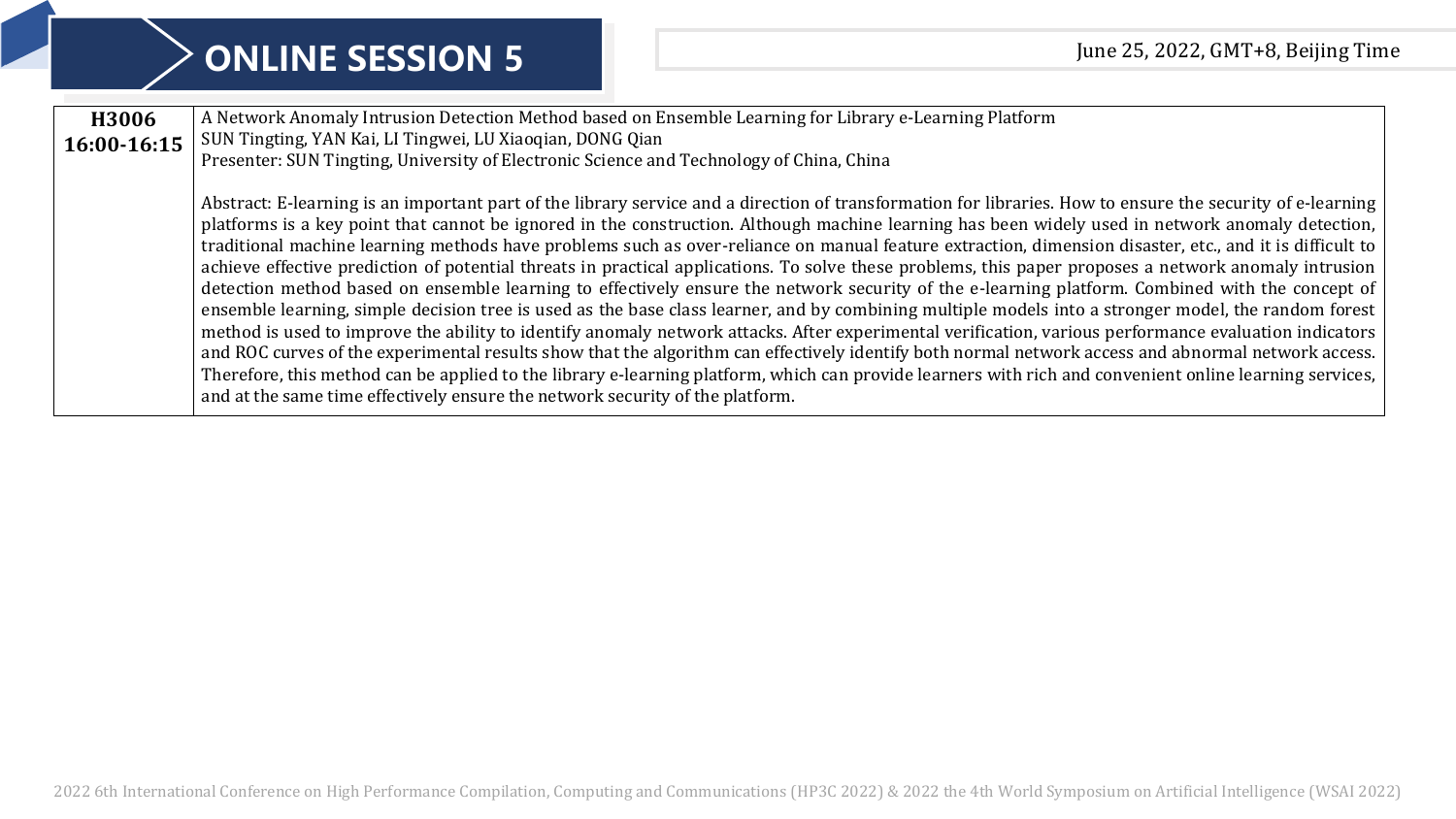| H3006       | A Network Anomaly Intrusion Detection Method based on Ensemble Learning for Library e-Learning Platform                                                    |
|-------------|------------------------------------------------------------------------------------------------------------------------------------------------------------|
| 16:00-16:15 | SUN Tingting, YAN Kai, LI Tingwei, LU Xiaoqian, DONG Qian                                                                                                  |
|             | Presenter: SUN Tingting, University of Electronic Science and Technology of China, China                                                                   |
|             |                                                                                                                                                            |
|             | Abstract: E-learning is an important part of the library service and a direction of transformation for libraries. How to ensure the security of e-learning |
|             | platforms is a key point that cannot be ignored in the construction. Although machine learning has been widely used in network anomaly detection,          |
|             | traditional machine learning methods have problems such as over-reliance on manual feature extraction, dimension disaster, etc., and it is difficult to    |
|             | achieve effective prediction of potential threats in practical applications. To solve these problems, this paper proposes a network anomaly intrusion      |
|             | detection method based on ensemble learning to effectively ensure the network security of the e-learning platform. Combined with the concept of            |
|             | ensemble learning, simple decision tree is used as the base class learner, and by combining multiple models into a stronger model, the random forest       |
|             | method is used to improve the ability to identify anomaly network attacks. After experimental verification, various performance evaluation indicators      |
|             | and ROC curves of the experimental results show that the algorithm can effectively identify both normal network access and abnormal network access.        |
|             | Therefore, this method can be applied to the library e-learning platform, which can provide learners with rich and convenient online learning services,    |
|             | and at the same time effectively ensure the network security of the platform.                                                                              |
|             |                                                                                                                                                            |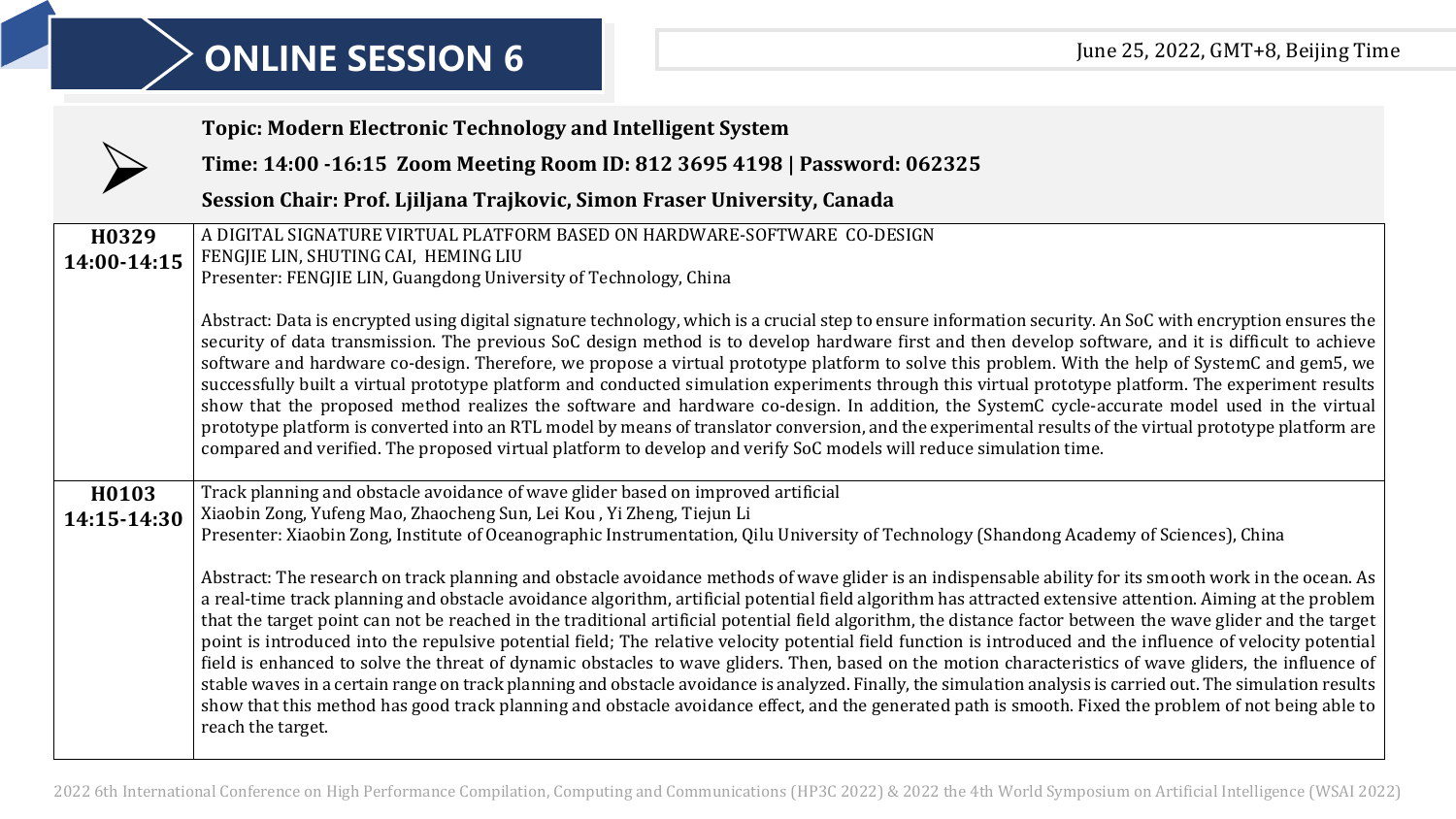|                      | <b>Topic: Modern Electronic Technology and Intelligent System</b>                                                                                                                                                                                                                                                                                                                                                                                                                                                                                                                                                                                                                                                                                                                                                                                                                                                                                                                                                                                                                                                                                                                                                                                                                                                                                                                                                                                                         |
|----------------------|---------------------------------------------------------------------------------------------------------------------------------------------------------------------------------------------------------------------------------------------------------------------------------------------------------------------------------------------------------------------------------------------------------------------------------------------------------------------------------------------------------------------------------------------------------------------------------------------------------------------------------------------------------------------------------------------------------------------------------------------------------------------------------------------------------------------------------------------------------------------------------------------------------------------------------------------------------------------------------------------------------------------------------------------------------------------------------------------------------------------------------------------------------------------------------------------------------------------------------------------------------------------------------------------------------------------------------------------------------------------------------------------------------------------------------------------------------------------------|
|                      | Time: 14:00 -16:15 Zoom Meeting Room ID: 812 3695 4198   Password: 062325                                                                                                                                                                                                                                                                                                                                                                                                                                                                                                                                                                                                                                                                                                                                                                                                                                                                                                                                                                                                                                                                                                                                                                                                                                                                                                                                                                                                 |
|                      | Session Chair: Prof. Ljiljana Trajkovic, Simon Fraser University, Canada                                                                                                                                                                                                                                                                                                                                                                                                                                                                                                                                                                                                                                                                                                                                                                                                                                                                                                                                                                                                                                                                                                                                                                                                                                                                                                                                                                                                  |
| H0329<br>14:00-14:15 | A DIGITAL SIGNATURE VIRTUAL PLATFORM BASED ON HARDWARE-SOFTWARE CO-DESIGN<br>FENGJIE LIN, SHUTING CAI, HEMING LIU<br>Presenter: FENGJIE LIN, Guangdong University of Technology, China                                                                                                                                                                                                                                                                                                                                                                                                                                                                                                                                                                                                                                                                                                                                                                                                                                                                                                                                                                                                                                                                                                                                                                                                                                                                                    |
|                      | Abstract: Data is encrypted using digital signature technology, which is a crucial step to ensure information security. An SoC with encryption ensures the<br>security of data transmission. The previous SoC design method is to develop hardware first and then develop software, and it is difficult to achieve<br>software and hardware co-design. Therefore, we propose a virtual prototype platform to solve this problem. With the help of SystemC and gem5, we<br>successfully built a virtual prototype platform and conducted simulation experiments through this virtual prototype platform. The experiment results<br>show that the proposed method realizes the software and hardware co-design. In addition, the SystemC cycle-accurate model used in the virtual<br>prototype platform is converted into an RTL model by means of translator conversion, and the experimental results of the virtual prototype platform are<br>compared and verified. The proposed virtual platform to develop and verify SoC models will reduce simulation time.                                                                                                                                                                                                                                                                                                                                                                                                          |
| H0103<br>14:15-14:30 | Track planning and obstacle avoidance of wave glider based on improved artificial<br>Xiaobin Zong, Yufeng Mao, Zhaocheng Sun, Lei Kou, Yi Zheng, Tiejun Li<br>Presenter: Xiaobin Zong, Institute of Oceanographic Instrumentation, Qilu University of Technology (Shandong Academy of Sciences), China<br>Abstract: The research on track planning and obstacle avoidance methods of wave glider is an indispensable ability for its smooth work in the ocean. As<br>a real-time track planning and obstacle avoidance algorithm, artificial potential field algorithm has attracted extensive attention. Aiming at the problem<br>that the target point can not be reached in the traditional artificial potential field algorithm, the distance factor between the wave glider and the target<br>point is introduced into the repulsive potential field; The relative velocity potential field function is introduced and the influence of velocity potential<br>field is enhanced to solve the threat of dynamic obstacles to wave gliders. Then, based on the motion characteristics of wave gliders, the influence of<br>stable waves in a certain range on track planning and obstacle avoidance is analyzed. Finally, the simulation analysis is carried out. The simulation results<br>show that this method has good track planning and obstacle avoidance effect, and the generated path is smooth. Fixed the problem of not being able to<br>reach the target. |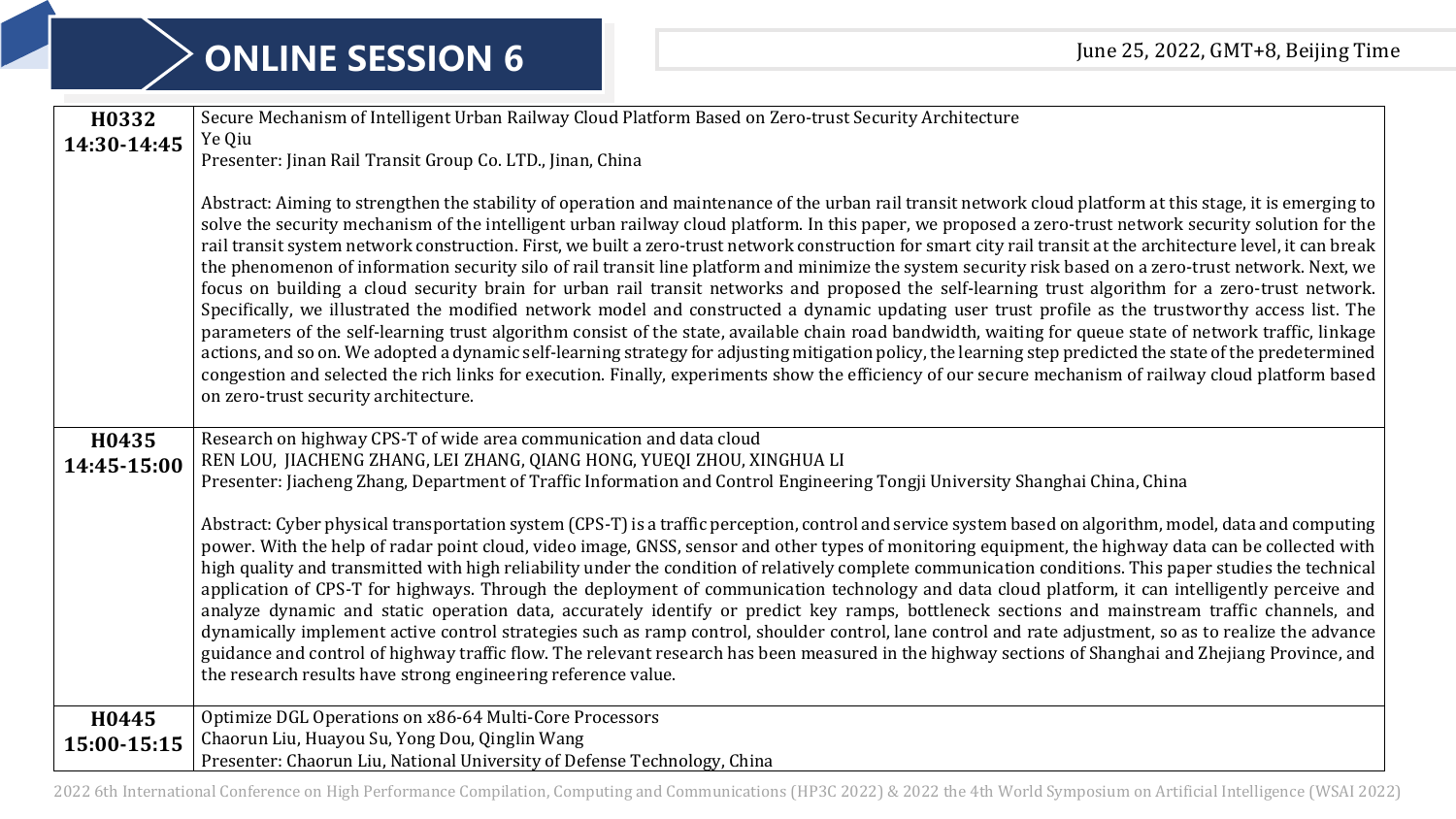| H0332       | Secure Mechanism of Intelligent Urban Railway Cloud Platform Based on Zero-trust Security Architecture                                                                                                                                                                                                                                                                                                                                                                                                                                                                                                                                                                                                                                                                                                                                                                                                                                                                                                                                                                                                                                                                                                                                                                                                                                                                                                                                                                                       |
|-------------|----------------------------------------------------------------------------------------------------------------------------------------------------------------------------------------------------------------------------------------------------------------------------------------------------------------------------------------------------------------------------------------------------------------------------------------------------------------------------------------------------------------------------------------------------------------------------------------------------------------------------------------------------------------------------------------------------------------------------------------------------------------------------------------------------------------------------------------------------------------------------------------------------------------------------------------------------------------------------------------------------------------------------------------------------------------------------------------------------------------------------------------------------------------------------------------------------------------------------------------------------------------------------------------------------------------------------------------------------------------------------------------------------------------------------------------------------------------------------------------------|
| 14:30-14:45 | Ye Qiu                                                                                                                                                                                                                                                                                                                                                                                                                                                                                                                                                                                                                                                                                                                                                                                                                                                                                                                                                                                                                                                                                                                                                                                                                                                                                                                                                                                                                                                                                       |
|             | Presenter: Jinan Rail Transit Group Co. LTD., Jinan, China                                                                                                                                                                                                                                                                                                                                                                                                                                                                                                                                                                                                                                                                                                                                                                                                                                                                                                                                                                                                                                                                                                                                                                                                                                                                                                                                                                                                                                   |
|             | Abstract: Aiming to strengthen the stability of operation and maintenance of the urban rail transit network cloud platform at this stage, it is emerging to<br>solve the security mechanism of the intelligent urban railway cloud platform. In this paper, we proposed a zero-trust network security solution for the<br>rail transit system network construction. First, we built a zero-trust network construction for smart city rail transit at the architecture level, it can break<br>the phenomenon of information security silo of rail transit line platform and minimize the system security risk based on a zero-trust network. Next, we<br>focus on building a cloud security brain for urban rail transit networks and proposed the self-learning trust algorithm for a zero-trust network.<br>Specifically, we illustrated the modified network model and constructed a dynamic updating user trust profile as the trustworthy access list. The<br>parameters of the self-learning trust algorithm consist of the state, available chain road bandwidth, waiting for queue state of network traffic, linkage<br>actions, and so on. We adopted a dynamic self-learning strategy for adjusting mitigation policy, the learning step predicted the state of the predetermined<br>congestion and selected the rich links for execution. Finally, experiments show the efficiency of our secure mechanism of railway cloud platform based<br>on zero-trust security architecture. |
|             |                                                                                                                                                                                                                                                                                                                                                                                                                                                                                                                                                                                                                                                                                                                                                                                                                                                                                                                                                                                                                                                                                                                                                                                                                                                                                                                                                                                                                                                                                              |
| H0435       | Research on highway CPS-T of wide area communication and data cloud<br>REN LOU, JIACHENG ZHANG, LEI ZHANG, QIANG HONG, YUEQI ZHOU, XINGHUA LI                                                                                                                                                                                                                                                                                                                                                                                                                                                                                                                                                                                                                                                                                                                                                                                                                                                                                                                                                                                                                                                                                                                                                                                                                                                                                                                                                |
| 14:45-15:00 | Presenter: Jiacheng Zhang, Department of Traffic Information and Control Engineering Tongji University Shanghai China, China                                                                                                                                                                                                                                                                                                                                                                                                                                                                                                                                                                                                                                                                                                                                                                                                                                                                                                                                                                                                                                                                                                                                                                                                                                                                                                                                                                 |
|             |                                                                                                                                                                                                                                                                                                                                                                                                                                                                                                                                                                                                                                                                                                                                                                                                                                                                                                                                                                                                                                                                                                                                                                                                                                                                                                                                                                                                                                                                                              |
|             | Abstract: Cyber physical transportation system (CPS-T) is a traffic perception, control and service system based on algorithm, model, data and computing<br>power. With the help of radar point cloud, video image, GNSS, sensor and other types of monitoring equipment, the highway data can be collected with<br>high quality and transmitted with high reliability under the condition of relatively complete communication conditions. This paper studies the technical<br>application of CPS-T for highways. Through the deployment of communication technology and data cloud platform, it can intelligently perceive and<br>analyze dynamic and static operation data, accurately identify or predict key ramps, bottleneck sections and mainstream traffic channels, and<br>dynamically implement active control strategies such as ramp control, shoulder control, lane control and rate adjustment, so as to realize the advance<br>guidance and control of highway traffic flow. The relevant research has been measured in the highway sections of Shanghai and Zhejiang Province, and<br>the research results have strong engineering reference value.                                                                                                                                                                                                                                                                                                                         |
| H0445       | Optimize DGL Operations on x86-64 Multi-Core Processors                                                                                                                                                                                                                                                                                                                                                                                                                                                                                                                                                                                                                                                                                                                                                                                                                                                                                                                                                                                                                                                                                                                                                                                                                                                                                                                                                                                                                                      |
| 15:00-15:15 | Chaorun Liu, Huayou Su, Yong Dou, Qinglin Wang                                                                                                                                                                                                                                                                                                                                                                                                                                                                                                                                                                                                                                                                                                                                                                                                                                                                                                                                                                                                                                                                                                                                                                                                                                                                                                                                                                                                                                               |
|             | Presenter: Chaorun Liu, National University of Defense Technology, China                                                                                                                                                                                                                                                                                                                                                                                                                                                                                                                                                                                                                                                                                                                                                                                                                                                                                                                                                                                                                                                                                                                                                                                                                                                                                                                                                                                                                     |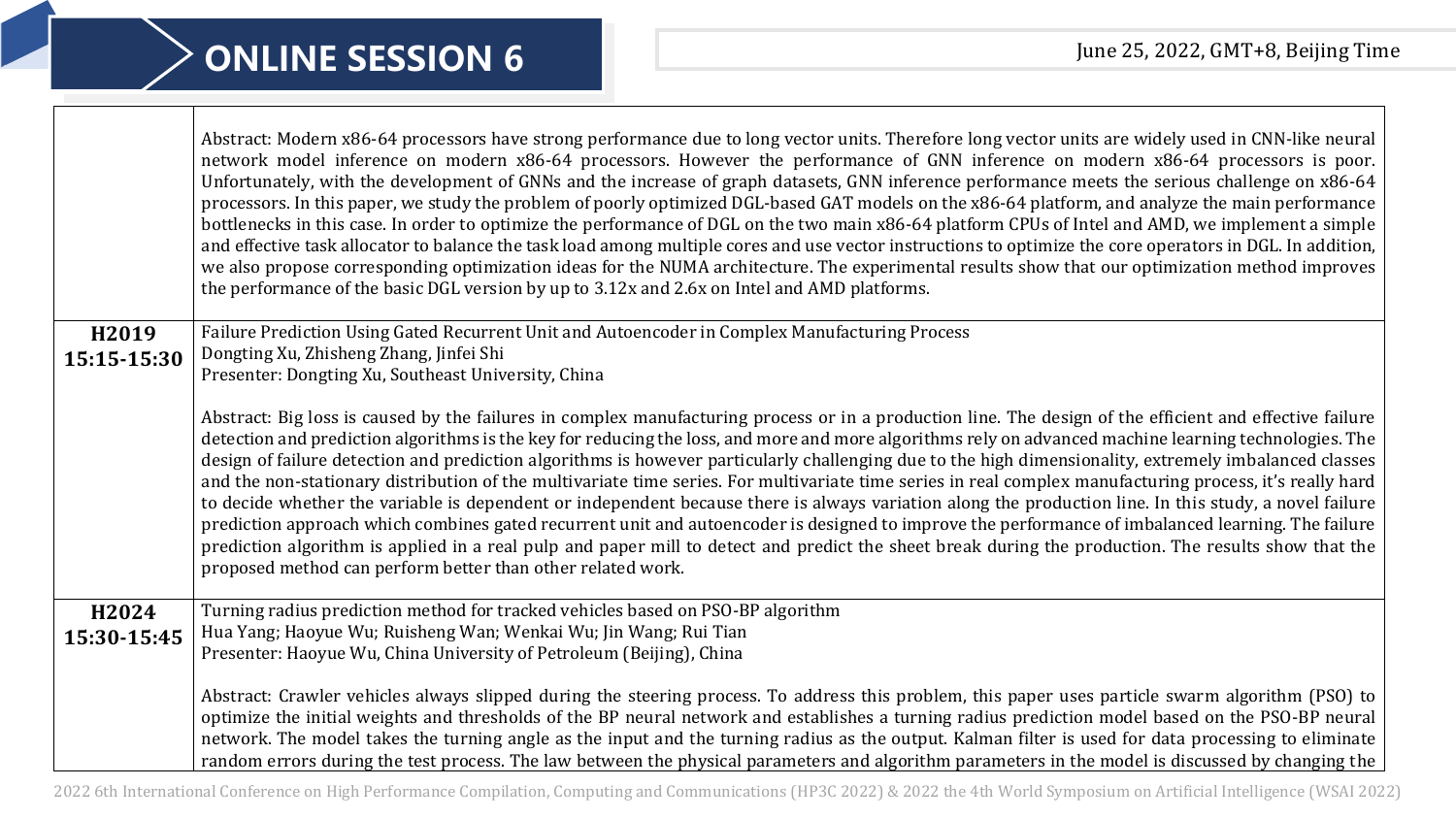|             | Abstract: Modern x86-64 processors have strong performance due to long vector units. Therefore long vector units are widely used in CNN-like neural<br>network model inference on modern x86-64 processors. However the performance of GNN inference on modern x86-64 processors is poor.<br>Unfortunately, with the development of GNNs and the increase of graph datasets, GNN inference performance meets the serious challenge on x86-64<br>processors. In this paper, we study the problem of poorly optimized DGL-based GAT models on the x86-64 platform, and analyze the main performance<br>bottlenecks in this case. In order to optimize the performance of DGL on the two main x86-64 platform CPUs of Intel and AMD, we implement a simple<br>and effective task allocator to balance the task load among multiple cores and use vector instructions to optimize the core operators in DGL. In addition,<br>we also propose corresponding optimization ideas for the NUMA architecture. The experimental results show that our optimization method improves<br>the performance of the basic DGL version by up to 3.12x and 2.6x on Intel and AMD platforms. |
|-------------|--------------------------------------------------------------------------------------------------------------------------------------------------------------------------------------------------------------------------------------------------------------------------------------------------------------------------------------------------------------------------------------------------------------------------------------------------------------------------------------------------------------------------------------------------------------------------------------------------------------------------------------------------------------------------------------------------------------------------------------------------------------------------------------------------------------------------------------------------------------------------------------------------------------------------------------------------------------------------------------------------------------------------------------------------------------------------------------------------------------------------------------------------------------------------|
| H2019       | Failure Prediction Using Gated Recurrent Unit and Autoencoder in Complex Manufacturing Process                                                                                                                                                                                                                                                                                                                                                                                                                                                                                                                                                                                                                                                                                                                                                                                                                                                                                                                                                                                                                                                                           |
| 15:15-15:30 | Dongting Xu, Zhisheng Zhang, Jinfei Shi<br>Presenter: Dongting Xu, Southeast University, China                                                                                                                                                                                                                                                                                                                                                                                                                                                                                                                                                                                                                                                                                                                                                                                                                                                                                                                                                                                                                                                                           |
|             |                                                                                                                                                                                                                                                                                                                                                                                                                                                                                                                                                                                                                                                                                                                                                                                                                                                                                                                                                                                                                                                                                                                                                                          |
|             | Abstract: Big loss is caused by the failures in complex manufacturing process or in a production line. The design of the efficient and effective failure                                                                                                                                                                                                                                                                                                                                                                                                                                                                                                                                                                                                                                                                                                                                                                                                                                                                                                                                                                                                                 |
|             | detection and prediction algorithms is the key for reducing the loss, and more and more algorithms rely on advanced machine learning technologies. The<br>design of failure detection and prediction algorithms is however particularly challenging due to the high dimensionality, extremely imbalanced classes                                                                                                                                                                                                                                                                                                                                                                                                                                                                                                                                                                                                                                                                                                                                                                                                                                                         |
|             | and the non-stationary distribution of the multivariate time series. For multivariate time series in real complex manufacturing process, it's really hard                                                                                                                                                                                                                                                                                                                                                                                                                                                                                                                                                                                                                                                                                                                                                                                                                                                                                                                                                                                                                |
|             | to decide whether the variable is dependent or independent because there is always variation along the production line. In this study, a novel failure<br>prediction approach which combines gated recurrent unit and autoencoder is designed to improve the performance of imbalanced learning. The failure                                                                                                                                                                                                                                                                                                                                                                                                                                                                                                                                                                                                                                                                                                                                                                                                                                                             |
|             | prediction algorithm is applied in a real pulp and paper mill to detect and predict the sheet break during the production. The results show that the                                                                                                                                                                                                                                                                                                                                                                                                                                                                                                                                                                                                                                                                                                                                                                                                                                                                                                                                                                                                                     |
|             | proposed method can perform better than other related work.                                                                                                                                                                                                                                                                                                                                                                                                                                                                                                                                                                                                                                                                                                                                                                                                                                                                                                                                                                                                                                                                                                              |
| H2024       | Turning radius prediction method for tracked vehicles based on PSO-BP algorithm                                                                                                                                                                                                                                                                                                                                                                                                                                                                                                                                                                                                                                                                                                                                                                                                                                                                                                                                                                                                                                                                                          |
| 15:30-15:45 | Hua Yang; Haoyue Wu; Ruisheng Wan; Wenkai Wu; Jin Wang; Rui Tian                                                                                                                                                                                                                                                                                                                                                                                                                                                                                                                                                                                                                                                                                                                                                                                                                                                                                                                                                                                                                                                                                                         |
|             | Presenter: Haoyue Wu, China University of Petroleum (Beijing), China                                                                                                                                                                                                                                                                                                                                                                                                                                                                                                                                                                                                                                                                                                                                                                                                                                                                                                                                                                                                                                                                                                     |
|             | Abstract: Crawler vehicles always slipped during the steering process. To address this problem, this paper uses particle swarm algorithm (PSO) to                                                                                                                                                                                                                                                                                                                                                                                                                                                                                                                                                                                                                                                                                                                                                                                                                                                                                                                                                                                                                        |
|             | optimize the initial weights and thresholds of the BP neural network and establishes a turning radius prediction model based on the PSO-BP neural                                                                                                                                                                                                                                                                                                                                                                                                                                                                                                                                                                                                                                                                                                                                                                                                                                                                                                                                                                                                                        |
|             | network. The model takes the turning angle as the input and the turning radius as the output. Kalman filter is used for data processing to eliminate                                                                                                                                                                                                                                                                                                                                                                                                                                                                                                                                                                                                                                                                                                                                                                                                                                                                                                                                                                                                                     |
|             | random errors during the test process. The law between the physical parameters and algorithm parameters in the model is discussed by changing the                                                                                                                                                                                                                                                                                                                                                                                                                                                                                                                                                                                                                                                                                                                                                                                                                                                                                                                                                                                                                        |